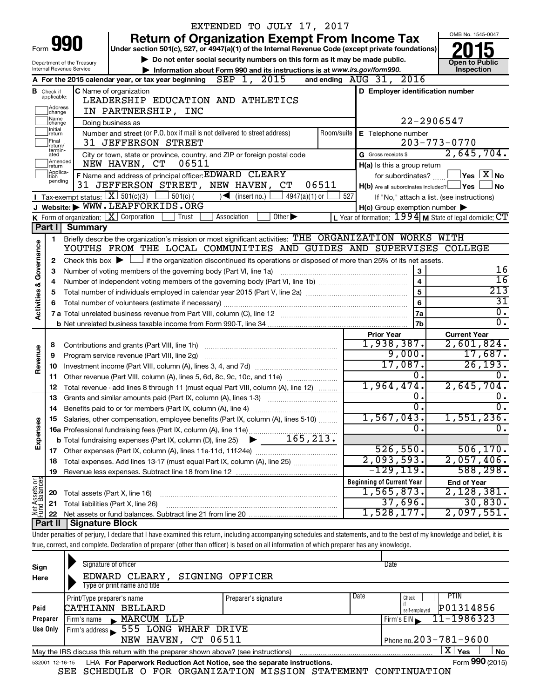|                                                   |                                  |                                                |                                                                                                                                             |            | EXTENDED TO JULY 17, 2017                                                   |                             |       |                                  |                                                     |                                                                                                                                                                            |  |
|---------------------------------------------------|----------------------------------|------------------------------------------------|---------------------------------------------------------------------------------------------------------------------------------------------|------------|-----------------------------------------------------------------------------|-----------------------------|-------|----------------------------------|-----------------------------------------------------|----------------------------------------------------------------------------------------------------------------------------------------------------------------------------|--|
|                                                   |                                  |                                                |                                                                                                                                             |            | <b>Return of Organization Exempt From Income Tax</b>                        |                             |       |                                  |                                                     | OMB No. 1545-0047                                                                                                                                                          |  |
| Form                                              |                                  | 990                                            | Under section 501(c), 527, or 4947(a)(1) of the Internal Revenue Code (except private foundations)                                          |            |                                                                             |                             |       |                                  |                                                     |                                                                                                                                                                            |  |
|                                                   |                                  | Department of the Treasury                     |                                                                                                                                             |            | Do not enter social security numbers on this form as it may be made public. |                             |       |                                  |                                                     | <b>Open to Public</b>                                                                                                                                                      |  |
|                                                   |                                  | Internal Revenue Service                       |                                                                                                                                             |            | Information about Form 990 and its instructions is at www.irs.gov/form990.  |                             |       |                                  |                                                     | Inspection                                                                                                                                                                 |  |
|                                                   |                                  |                                                | A For the 2015 calendar year, or tax year beginning $SEP$ 1, 2015                                                                           |            |                                                                             |                             |       | and ending AUG 31, 2016          |                                                     |                                                                                                                                                                            |  |
|                                                   | <b>B</b> Check if<br>applicable: |                                                | C Name of organization                                                                                                                      |            |                                                                             |                             |       |                                  |                                                     | D Employer identification number                                                                                                                                           |  |
|                                                   |                                  |                                                | LEADERSHIP EDUCATION AND ATHLETICS                                                                                                          |            |                                                                             |                             |       |                                  |                                                     |                                                                                                                                                                            |  |
| Address<br> change<br>IN PARTNERSHIP, INC<br>Name |                                  |                                                |                                                                                                                                             |            |                                                                             |                             |       |                                  |                                                     |                                                                                                                                                                            |  |
|                                                   | change<br>Initial                |                                                | Doing business as                                                                                                                           |            |                                                                             |                             |       |                                  | 22-2906547                                          |                                                                                                                                                                            |  |
|                                                   | return                           |                                                | Number and street (or P.O. box if mail is not delivered to street address)                                                                  |            |                                                                             |                             |       | Room/suite   E Telephone number  |                                                     |                                                                                                                                                                            |  |
|                                                   | Final<br>return/<br>termin-      |                                                | 31 JEFFERSON STREET                                                                                                                         |            |                                                                             |                             |       |                                  |                                                     | $203 - 773 - 0770$                                                                                                                                                         |  |
|                                                   | ated<br>Amended                  |                                                | City or town, state or province, country, and ZIP or foreign postal code                                                                    |            |                                                                             |                             |       | G Gross receipts \$              |                                                     | 2,645,704.                                                                                                                                                                 |  |
|                                                   | return<br> Applica-              |                                                | NEW HAVEN, CT                                                                                                                               | 06511      |                                                                             |                             |       |                                  | H(a) Is this a group return                         |                                                                                                                                                                            |  |
|                                                   | tion<br>pending                  |                                                | F Name and address of principal officer: EDWARD CLEARY                                                                                      |            |                                                                             |                             |       |                                  | for subordinates?                                   | $\Box$ Yes $[X]$ No                                                                                                                                                        |  |
|                                                   |                                  |                                                | 31 JEFFERSON STREET, NEW HAVEN, CT                                                                                                          |            |                                                                             |                             | 06511 |                                  |                                                     | $H(b)$ Are all subordinates included? $\Box$ Yes  <br>No                                                                                                                   |  |
|                                                   |                                  | <b>I</b> Tax-exempt status: $X \mid 501(c)(3)$ | J Website: WWW.LEAPFORKIDS.ORG                                                                                                              | $501(c)$ ( | $\sqrt{\frac{1}{1}}$ (insert no.)                                           | 4947(a)(1) or               | 527   |                                  |                                                     | If "No," attach a list. (see instructions)                                                                                                                                 |  |
|                                                   |                                  |                                                | K Form of organization: $X$ Corporation                                                                                                     | Trust      | Association                                                                 | Other $\blacktriangleright$ |       |                                  | $H(c)$ Group exemption number $\blacktriangleright$ | L Year of formation: 1994 M State of legal domicile: CT                                                                                                                    |  |
|                                                   | Part I                           | Summary                                        |                                                                                                                                             |            |                                                                             |                             |       |                                  |                                                     |                                                                                                                                                                            |  |
|                                                   | 1                                |                                                | Briefly describe the organization's mission or most significant activities: THE ORGANIZATION WORKS WITH                                     |            |                                                                             |                             |       |                                  |                                                     |                                                                                                                                                                            |  |
|                                                   |                                  |                                                | YOUTHS FROM THE LOCAL COMMUNITIES AND GUIDES AND SUPERVISES COLLEGE                                                                         |            |                                                                             |                             |       |                                  |                                                     |                                                                                                                                                                            |  |
| Governance                                        | 2                                |                                                | Check this box $\blacktriangleright$ $\Box$ if the organization discontinued its operations or disposed of more than 25% of its net assets. |            |                                                                             |                             |       |                                  |                                                     |                                                                                                                                                                            |  |
|                                                   | 3                                |                                                | Number of voting members of the governing body (Part VI, line 1a)                                                                           |            |                                                                             |                             |       |                                  | 3                                                   | 16                                                                                                                                                                         |  |
|                                                   | 4                                |                                                |                                                                                                                                             |            |                                                                             |                             |       |                                  | $\overline{\mathbf{4}}$                             | $\overline{16}$                                                                                                                                                            |  |
| <b>Activities &amp;</b>                           | 5                                |                                                | 5                                                                                                                                           |            |                                                                             |                             |       |                                  |                                                     |                                                                                                                                                                            |  |
|                                                   | 6                                |                                                | 6                                                                                                                                           |            |                                                                             |                             |       |                                  |                                                     |                                                                                                                                                                            |  |
|                                                   |                                  |                                                |                                                                                                                                             |            |                                                                             |                             |       |                                  | 7a                                                  | 31<br>σ.                                                                                                                                                                   |  |
|                                                   |                                  |                                                |                                                                                                                                             |            |                                                                             |                             |       |                                  | 7b                                                  | $\overline{0}$ .                                                                                                                                                           |  |
|                                                   |                                  |                                                |                                                                                                                                             |            |                                                                             |                             |       | <b>Prior Year</b>                |                                                     | <b>Current Year</b>                                                                                                                                                        |  |
|                                                   | 8                                |                                                |                                                                                                                                             |            |                                                                             |                             |       | 1,938,387.                       |                                                     | 2,601,824.                                                                                                                                                                 |  |
| Revenue                                           | 9                                |                                                | Program service revenue (Part VIII, line 2g)                                                                                                |            |                                                                             |                             |       |                                  | 9,000.                                              | 17,687.                                                                                                                                                                    |  |
|                                                   | 10                               |                                                |                                                                                                                                             |            |                                                                             |                             |       |                                  | 17,087.                                             | 26, 193.                                                                                                                                                                   |  |
|                                                   | 11                               |                                                | Other revenue (Part VIII, column (A), lines 5, 6d, 8c, 9c, 10c, and 11e)                                                                    |            |                                                                             | 0.                          | 0.    |                                  |                                                     |                                                                                                                                                                            |  |
|                                                   | 12                               |                                                | Total revenue - add lines 8 through 11 (must equal Part VIII, column (A), line 12)                                                          |            |                                                                             |                             |       | 1,964,474.                       |                                                     | 2,645,704.                                                                                                                                                                 |  |
|                                                   | 13                               |                                                | Grants and similar amounts paid (Part IX, column (A), lines 1-3)                                                                            |            |                                                                             |                             |       |                                  | $\overline{0}$ .                                    | о.                                                                                                                                                                         |  |
|                                                   | 14                               |                                                | Benefits paid to or for members (Part IX, column (A), line 4)                                                                               |            |                                                                             |                             |       |                                  | σ.                                                  | σ.                                                                                                                                                                         |  |
|                                                   |                                  |                                                | 15 Salaries, other compensation, employee benefits (Part IX, column (A), lines 5-10)                                                        |            |                                                                             |                             |       | 1,567,043.                       |                                                     | 1,551,236.                                                                                                                                                                 |  |
| Expenses                                          |                                  |                                                |                                                                                                                                             |            |                                                                             |                             |       |                                  | 0.                                                  | Ο.                                                                                                                                                                         |  |
|                                                   |                                  |                                                |                                                                                                                                             |            |                                                                             |                             |       |                                  |                                                     |                                                                                                                                                                            |  |
|                                                   |                                  |                                                |                                                                                                                                             |            |                                                                             |                             |       |                                  | 526, 550.                                           | 506, 170.                                                                                                                                                                  |  |
|                                                   | 18                               |                                                | Total expenses. Add lines 13-17 (must equal Part IX, column (A), line 25)                                                                   |            |                                                                             |                             |       | 2,093,593.                       |                                                     | 2,057,406.                                                                                                                                                                 |  |
|                                                   | 19                               |                                                |                                                                                                                                             |            |                                                                             |                             |       |                                  | -129,119.                                           | 588,298.                                                                                                                                                                   |  |
| Net Assets or                                     |                                  |                                                |                                                                                                                                             |            |                                                                             |                             |       | <b>Beginning of Current Year</b> |                                                     | <b>End of Year</b>                                                                                                                                                         |  |
|                                                   | 20                               |                                                | Total assets (Part X, line 16)                                                                                                              |            |                                                                             |                             |       | 1,565,873.                       |                                                     | 2,128,381.                                                                                                                                                                 |  |
|                                                   | 21                               |                                                | Total liabilities (Part X, line 26)                                                                                                         |            |                                                                             |                             |       |                                  | 37,696.                                             | 30,830.                                                                                                                                                                    |  |
|                                                   | 22                               |                                                |                                                                                                                                             |            |                                                                             |                             |       | 1,528,177.                       |                                                     | 2,097,551.                                                                                                                                                                 |  |
|                                                   | ∣ Part II                        | <b>Signature Block</b>                         |                                                                                                                                             |            |                                                                             |                             |       |                                  |                                                     |                                                                                                                                                                            |  |
|                                                   |                                  |                                                |                                                                                                                                             |            |                                                                             |                             |       |                                  |                                                     | Under penalties of perjury, I declare that I have examined this return, including accompanying schedules and statements, and to the best of my knowledge and belief, it is |  |
|                                                   |                                  |                                                | true, correct, and complete. Declaration of preparer (other than officer) is based on all information of which preparer has any knowledge.  |            |                                                                             |                             |       |                                  |                                                     |                                                                                                                                                                            |  |
|                                                   |                                  |                                                |                                                                                                                                             |            |                                                                             |                             |       |                                  |                                                     |                                                                                                                                                                            |  |
| Sign                                              |                                  |                                                | Signature of officer                                                                                                                        |            |                                                                             |                             |       | Date                             |                                                     |                                                                                                                                                                            |  |
| Here                                              |                                  |                                                | EDWARD CLEARY,                                                                                                                              |            | SIGNING OFFICER                                                             |                             |       |                                  |                                                     |                                                                                                                                                                            |  |
|                                                   |                                  |                                                | Type or print name and title                                                                                                                |            |                                                                             |                             |       |                                  |                                                     |                                                                                                                                                                            |  |
|                                                   |                                  | Print/Type preparer's name                     |                                                                                                                                             |            | Preparer's signature                                                        |                             |       | Date                             | Check                                               | <b>PTIN</b>                                                                                                                                                                |  |

|          |                                                                                                            |                                              | 532001 12-16-15 LHA For Paperwork Reduction Act Notice, see the separate instructions. |  |                                                       |  | Form 990 (2015) |  |  |  |
|----------|------------------------------------------------------------------------------------------------------------|----------------------------------------------|----------------------------------------------------------------------------------------|--|-------------------------------------------------------|--|-----------------|--|--|--|
|          | x<br><b>No</b><br>Yes<br>May the IRS discuss this return with the preparer shown above? (see instructions) |                                              |                                                                                        |  |                                                       |  |                 |  |  |  |
|          |                                                                                                            | NEW HAVEN, CT 06511                          |                                                                                        |  | Phone no. $203 - 781 - 9600$                          |  |                 |  |  |  |
|          |                                                                                                            | Use Only Firm's address 555 LONG WHARF DRIVE |                                                                                        |  |                                                       |  |                 |  |  |  |
| Preparer |                                                                                                            | Firm's name MARCUM LLP                       |                                                                                        |  | $I$ Firm's EIN 11-1986323                             |  |                 |  |  |  |
| Paid     | CATHIANN BELLARD                                                                                           |                                              |                                                                                        |  | $\int_{self\text{-}emptyed}^{t}$ $\mathbf{P01314856}$ |  |                 |  |  |  |

SEE SCHEDULE O FOR ORGANIZATION MISSION STATEMENT CONTINUATION

Form **990** (2015)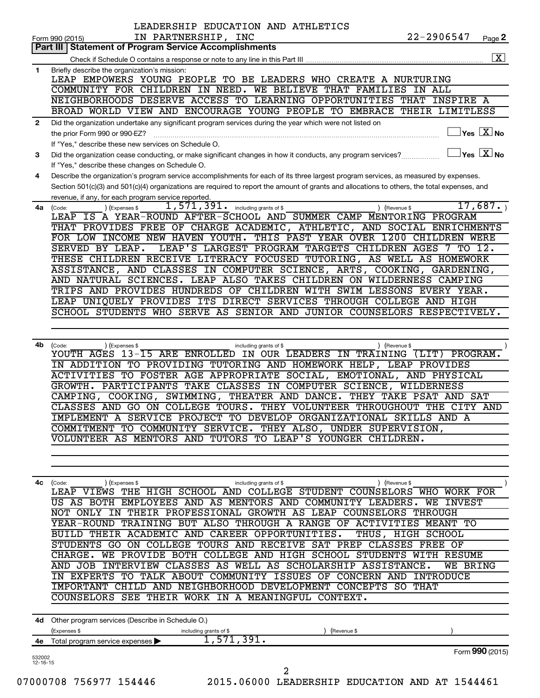|                | LEADERSHIP EDUCATION AND ATHLETICS<br>IN PARTNERSHIP, INC                                                                                    | 22-2906547        |                                            |
|----------------|----------------------------------------------------------------------------------------------------------------------------------------------|-------------------|--------------------------------------------|
|                | Form 990 (2015)<br><b>Statement of Program Service Accomplishments</b><br>Part III I                                                         |                   | Page 2                                     |
|                |                                                                                                                                              |                   | $\boxed{\textbf{X}}$                       |
| 1              | Briefly describe the organization's mission:                                                                                                 |                   |                                            |
|                | LEAP EMPOWERS YOUNG PEOPLE TO BE LEADERS WHO CREATE A NURTURING                                                                              |                   |                                            |
|                | COMMUNITY FOR CHILDREN IN NEED. WE BELIEVE THAT FAMILIES IN ALL                                                                              |                   |                                            |
|                | NEIGHBORHOODS DESERVE ACCESS TO LEARNING OPPORTUNITIES THAT INSPIRE A                                                                        |                   |                                            |
|                | BROAD WORLD VIEW AND ENCOURAGE YOUNG PEOPLE TO EMBRACE THEIR LIMITLESS                                                                       |                   |                                            |
| 2              | Did the organization undertake any significant program services during the year which were not listed on                                     |                   |                                            |
|                | the prior Form 990 or 990-EZ?                                                                                                                |                   | $\overline{\ }$ Yes $\overline{\rm{X}}$ No |
|                | If "Yes," describe these new services on Schedule O.                                                                                         |                   |                                            |
| 3              | Did the organization cease conducting, or make significant changes in how it conducts, any program services?                                 |                   | $\Box$ Yes $[\overline{\mathrm{X}}]$ No    |
|                | If "Yes," describe these changes on Schedule O.                                                                                              |                   |                                            |
| 4              | Describe the organization's program service accomplishments for each of its three largest program services, as measured by expenses.         |                   |                                            |
|                | Section 501(c)(3) and 501(c)(4) organizations are required to report the amount of grants and allocations to others, the total expenses, and |                   |                                            |
|                | revenue, if any, for each program service reported.                                                                                          |                   |                                            |
|                | $\overline{1}$ , 571, 391. including grants of \$<br>(Expenses \$<br>4a (Code:<br>(Revenue \$                                                |                   | 17,687.                                    |
|                | LEAP IS A YEAR-ROUND AFTER-SCHOOL AND SUMMER CAMP MENTORING PROGRAM                                                                          |                   |                                            |
|                | THAT PROVIDES FREE OF CHARGE ACADEMIC, ATHLETIC, AND SOCIAL ENRICHMENTS                                                                      |                   |                                            |
|                | FOR LOW INCOME NEW HAVEN YOUTH. THIS PAST YEAR OVER 1200 CHILDREN WERE                                                                       |                   |                                            |
|                | SERVED BY LEAP.<br>LEAP'S LARGEST PROGRAM TARGETS CHILDREN AGES 7 TO 12.                                                                     |                   |                                            |
|                | THESE CHILDREN RECEIVE LITERACY FOCUSED TUTORING, AS WELL AS HOMEWORK                                                                        |                   |                                            |
|                | ASSISTANCE, AND CLASSES IN COMPUTER SCIENCE, ARTS, COOKING, GARDENING,                                                                       |                   |                                            |
|                | AND NATURAL SCIENCES. LEAP ALSO TAKES CHILDREN ON WILDERNESS CAMPING                                                                         |                   |                                            |
|                | TRIPS AND PROVIDES HUNDREDS OF CHILDREN WITH SWIM LESSONS EVERY YEAR.                                                                        |                   |                                            |
|                | LEAP UNIQUELY PROVIDES ITS DIRECT SERVICES THROUGH COLLEGE AND HIGH                                                                          |                   |                                            |
|                | SCHOOL STUDENTS WHO SERVE AS SENIOR AND JUNIOR COUNSELORS RESPECTIVELY.                                                                      |                   |                                            |
|                |                                                                                                                                              |                   |                                            |
|                |                                                                                                                                              |                   |                                            |
| 4b             | (Code:<br>(Expenses \$<br>including grants of \$<br>(Revenue \$                                                                              |                   |                                            |
|                | YOUTH AGES 13-15 ARE ENROLLED IN OUR LEADERS IN TRAINING (LIT) PROGRAM.                                                                      |                   |                                            |
|                | IN ADDITION TO PROVIDING TUTORING AND HOMEWORK HELP, LEAP PROVIDES                                                                           |                   |                                            |
|                | ACTIVITIES TO FOSTER AGE APPROPRIATE SOCIAL, EMOTIONAL, AND PHYSICAL                                                                         |                   |                                            |
|                | GROWTH. PARTICIPANTS TAKE CLASSES IN COMPUTER SCIENCE, WILDERNESS                                                                            |                   |                                            |
|                | CAMPING, COOKING, SWIMMING, THEATER AND DANCE. THEY TAKE PSAT AND SAT                                                                        |                   |                                            |
|                | CLASSES AND GO ON COLLEGE TOURS. THEY VOLUNTEER THROUGHOUT THE CITY AND                                                                      |                   |                                            |
|                | IMPLEMENT A SERVICE PROJECT TO DEVELOP ORGANIZATIONAL SKILLS AND A                                                                           |                   |                                            |
|                | COMMITMENT TO COMMUNITY SERVICE. THEY ALSO, UNDER SUPERVISION,                                                                               |                   |                                            |
|                | VOLUNTEER AS MENTORS AND TUTORS TO LEAP'S YOUNGER CHILDREN.                                                                                  |                   |                                            |
|                |                                                                                                                                              |                   |                                            |
|                |                                                                                                                                              |                   |                                            |
|                |                                                                                                                                              |                   |                                            |
| 4с             | ) (Expenses \$<br>(Code:<br>including grants of \$<br>(Revenue \$<br>LEAP VIEWS THE HIGH SCHOOL AND COLLEGE STUDENT COUNSELORS WHO WORK FOR  |                   |                                            |
|                | US AS BOTH EMPLOYEES AND AS MENTORS AND COMMUNITY LEADERS. WE INVEST                                                                         |                   |                                            |
|                | NOT ONLY IN THEIR PROFESSIONAL GROWTH AS LEAP COUNSELORS THROUGH                                                                             |                   |                                            |
|                | YEAR-ROUND TRAINING BUT ALSO THROUGH A RANGE OF ACTIVITIES MEANT TO                                                                          |                   |                                            |
|                | BUILD THEIR ACADEMIC AND CAREER OPPORTUNITIES.                                                                                               |                   |                                            |
|                | STUDENTS GO ON COLLEGE TOURS AND RECEIVE SAT PREP CLASSES FREE OF                                                                            | THUS, HIGH SCHOOL |                                            |
|                | CHARGE. WE PROVIDE BOTH COLLEGE AND HIGH SCHOOL STUDENTS WITH RESUME                                                                         |                   |                                            |
|                | AND JOB INTERVIEW CLASSES AS WELL AS SCHOLARSHIP ASSISTANCE.                                                                                 |                   |                                            |
|                | IN EXPERTS TO TALK ABOUT COMMUNITY ISSUES OF CONCERN AND INTRODUCE                                                                           | WE BRING          |                                            |
|                | IMPORTANT CHILD AND NEIGHBORHOOD DEVELOPMENT CONCEPTS SO THAT                                                                                |                   |                                            |
|                | COUNSELORS SEE THEIR WORK IN A MEANINGFUL CONTEXT.                                                                                           |                   |                                            |
|                |                                                                                                                                              |                   |                                            |
|                |                                                                                                                                              |                   |                                            |
|                | 4d Other program services (Describe in Schedule O.)                                                                                          |                   |                                            |
|                | (Expenses \$<br>including grants of \$<br>(Revenue \$                                                                                        |                   |                                            |
| 4е             | 1,571,391.<br>Total program service expenses >                                                                                               |                   |                                            |
| 532002         |                                                                                                                                              |                   | Form 990 (2015)                            |
| $12 - 16 - 15$ | 2                                                                                                                                            |                   |                                            |
|                | 07000708 756977 154446<br>2015.06000 LEADERSHIP EDUCATION AND AT 1544461                                                                     |                   |                                            |
|                |                                                                                                                                              |                   |                                            |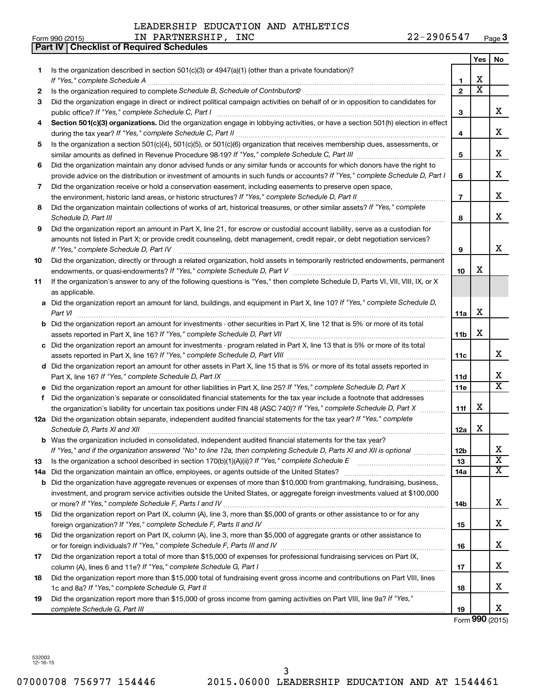|     | 22-2906547<br>IN PARTNERSHIP, INC<br>Form 990 (2015)                                                                                                                                                                                 |                 |                         | Page 3                     |
|-----|--------------------------------------------------------------------------------------------------------------------------------------------------------------------------------------------------------------------------------------|-----------------|-------------------------|----------------------------|
|     | <b>Checklist of Required Schedules</b><br><b>Part IV</b>                                                                                                                                                                             |                 |                         |                            |
|     |                                                                                                                                                                                                                                      |                 | Yes                     | No                         |
| 1.  | Is the organization described in section $501(c)(3)$ or $4947(a)(1)$ (other than a private foundation)?                                                                                                                              |                 |                         |                            |
|     |                                                                                                                                                                                                                                      | 1               | х                       |                            |
| 2   |                                                                                                                                                                                                                                      | $\mathfrak{p}$  | $\overline{\textbf{x}}$ |                            |
| 3   | Did the organization engage in direct or indirect political campaign activities on behalf of or in opposition to candidates for                                                                                                      |                 |                         |                            |
|     | public office? If "Yes," complete Schedule C, Part I                                                                                                                                                                                 | 3               |                         | x                          |
| 4   | Section 501(c)(3) organizations. Did the organization engage in lobbying activities, or have a section 501(h) election in effect                                                                                                     |                 |                         |                            |
|     |                                                                                                                                                                                                                                      | 4               |                         | х                          |
| 5   | Is the organization a section 501(c)(4), 501(c)(5), or 501(c)(6) organization that receives membership dues, assessments, or                                                                                                         |                 |                         |                            |
|     |                                                                                                                                                                                                                                      | 5               |                         | х                          |
| 6   | Did the organization maintain any donor advised funds or any similar funds or accounts for which donors have the right to                                                                                                            |                 |                         |                            |
|     | provide advice on the distribution or investment of amounts in such funds or accounts? If "Yes," complete Schedule D, Part I                                                                                                         | 6               |                         | х                          |
| 7   | Did the organization receive or hold a conservation easement, including easements to preserve open space,                                                                                                                            |                 |                         |                            |
|     | the environment, historic land areas, or historic structures? If "Yes," complete Schedule D, Part II                                                                                                                                 | $\overline{7}$  |                         | х                          |
| 8   | Did the organization maintain collections of works of art, historical treasures, or other similar assets? If "Yes," complete                                                                                                         |                 |                         |                            |
|     | Schedule D, Part III <b>Marting Community Contract Contract Contract Contract Contract Contract Contract Contract Contract Contract Contract Contract Contract Contract Contract Contract Contract Contract Contract Contract Co</b> | 8               |                         | x                          |
| 9   | Did the organization report an amount in Part X, line 21, for escrow or custodial account liability, serve as a custodian for                                                                                                        |                 |                         |                            |
|     | amounts not listed in Part X; or provide credit counseling, debt management, credit repair, or debt negotiation services?                                                                                                            |                 |                         |                            |
|     | If "Yes," complete Schedule D, Part IV                                                                                                                                                                                               | 9               |                         | x                          |
| 10  | Did the organization, directly or through a related organization, hold assets in temporarily restricted endowments, permanent                                                                                                        |                 |                         |                            |
|     |                                                                                                                                                                                                                                      | 10              | х                       |                            |
|     | If the organization's answer to any of the following questions is "Yes," then complete Schedule D, Parts VI, VII, VIII, IX, or X                                                                                                     |                 |                         |                            |
| 11  | as applicable.                                                                                                                                                                                                                       |                 |                         |                            |
|     |                                                                                                                                                                                                                                      |                 |                         |                            |
| a   | Did the organization report an amount for land, buildings, and equipment in Part X, line 10? If "Yes," complete Schedule D,<br>Part VI                                                                                               |                 | х                       |                            |
|     |                                                                                                                                                                                                                                      | 11a             |                         |                            |
|     | <b>b</b> Did the organization report an amount for investments - other securities in Part X, line 12 that is 5% or more of its total                                                                                                 | 11 <sub>b</sub> | х                       |                            |
|     |                                                                                                                                                                                                                                      |                 |                         |                            |
|     | c Did the organization report an amount for investments - program related in Part X, line 13 that is 5% or more of its total                                                                                                         |                 |                         | х                          |
|     |                                                                                                                                                                                                                                      | 11c             |                         |                            |
|     | d Did the organization report an amount for other assets in Part X, line 15 that is 5% or more of its total assets reported in                                                                                                       |                 |                         | х                          |
|     |                                                                                                                                                                                                                                      | 11d             |                         | $\overline{\mathbf{x}}$    |
|     | e Did the organization report an amount for other liabilities in Part X, line 25? If "Yes," complete Schedule D, Part X                                                                                                              | 11c             |                         |                            |
| f   | Did the organization's separate or consolidated financial statements for the tax year include a footnote that addresses                                                                                                              |                 |                         |                            |
|     | the organization's liability for uncertain tax positions under FIN 48 (ASC 740)? If "Yes," complete Schedule D, Part X                                                                                                               | 11f             | х                       |                            |
|     | 12a Did the organization obtain separate, independent audited financial statements for the tax year? If "Yes," complete                                                                                                              |                 |                         |                            |
|     | Schedule D, Parts XI and XII                                                                                                                                                                                                         | 12a             | Χ                       |                            |
|     | <b>b</b> Was the organization included in consolidated, independent audited financial statements for the tax year?                                                                                                                   |                 |                         |                            |
|     | If "Yes," and if the organization answered "No" to line 12a, then completing Schedule D, Parts XI and XII is optional <i>maniming</i>                                                                                                | 12 <sub>b</sub> |                         | х<br>$\overline{\text{X}}$ |
| 13  |                                                                                                                                                                                                                                      | 13              |                         |                            |
| 14a |                                                                                                                                                                                                                                      | 14a             |                         | x                          |
|     | <b>b</b> Did the organization have aggregate revenues or expenses of more than \$10,000 from grantmaking, fundraising, business,                                                                                                     |                 |                         |                            |
|     | investment, and program service activities outside the United States, or aggregate foreign investments valued at \$100,000                                                                                                           |                 |                         |                            |
|     |                                                                                                                                                                                                                                      | 14b             |                         | х                          |
| 15  | Did the organization report on Part IX, column (A), line 3, more than \$5,000 of grants or other assistance to or for any                                                                                                            |                 |                         |                            |
|     |                                                                                                                                                                                                                                      | 15              |                         | X.                         |
| 16  | Did the organization report on Part IX, column (A), line 3, more than \$5,000 of aggregate grants or other assistance to                                                                                                             |                 |                         |                            |
|     |                                                                                                                                                                                                                                      | 16              |                         | X.                         |
| 17  | Did the organization report a total of more than \$15,000 of expenses for professional fundraising services on Part IX,                                                                                                              |                 |                         |                            |
|     |                                                                                                                                                                                                                                      | 17              |                         | X.                         |
| 18  | Did the organization report more than \$15,000 total of fundraising event gross income and contributions on Part VIII, lines                                                                                                         |                 |                         |                            |
|     |                                                                                                                                                                                                                                      | 18              |                         | x.                         |
| 19  | Did the organization report more than \$15,000 of gross income from gaming activities on Part VIII, line 9a? If "Yes,"                                                                                                               |                 |                         |                            |
|     |                                                                                                                                                                                                                                      | 19              |                         | x                          |

Form **990** (2015)

532003 12-16-15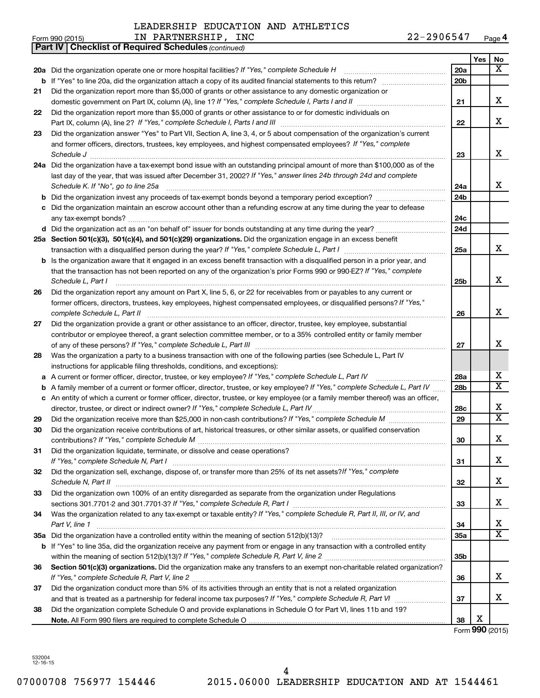Form 990 (2015)  $IN \text{ PARTNERSHIP}$ ,  $INC \text{ 22-2906547}$   $Page$ 

**4**

|    | <b>Part IV   Checklist of Required Schedules (continued)</b>                                                                                                                                                                       |                 |     |                              |
|----|------------------------------------------------------------------------------------------------------------------------------------------------------------------------------------------------------------------------------------|-----------------|-----|------------------------------|
|    |                                                                                                                                                                                                                                    |                 | Yes | No                           |
|    | 20a Did the organization operate one or more hospital facilities? If "Yes," complete Schedule H                                                                                                                                    | <b>20a</b>      |     | $\overline{\mathbf{x}}$      |
| b  |                                                                                                                                                                                                                                    | 20 <sub>b</sub> |     |                              |
| 21 | Did the organization report more than \$5,000 of grants or other assistance to any domestic organization or                                                                                                                        |                 |     |                              |
|    |                                                                                                                                                                                                                                    | 21              |     | x                            |
| 22 | Did the organization report more than \$5,000 of grants or other assistance to or for domestic individuals on                                                                                                                      |                 |     |                              |
|    |                                                                                                                                                                                                                                    | 22              |     | X                            |
| 23 | Did the organization answer "Yes" to Part VII, Section A, line 3, 4, or 5 about compensation of the organization's current                                                                                                         |                 |     |                              |
|    | and former officers, directors, trustees, key employees, and highest compensated employees? If "Yes," complete                                                                                                                     |                 |     |                              |
|    | Schedule J <b>Execute J Execute Contract Contract Contract Contract Contract Contract Contract Contract Contract Contract Contract Contract Contract Contract Contract Contract Contract Contract Contract Contract Contract C</b> | 23              |     | X                            |
|    | 24a Did the organization have a tax-exempt bond issue with an outstanding principal amount of more than \$100,000 as of the                                                                                                        |                 |     |                              |
|    | last day of the year, that was issued after December 31, 2002? If "Yes," answer lines 24b through 24d and complete                                                                                                                 |                 |     |                              |
|    | Schedule K. If "No", go to line 25a                                                                                                                                                                                                | 24a             |     | x                            |
| b  |                                                                                                                                                                                                                                    | 24 <sub>b</sub> |     |                              |
| c  | Did the organization maintain an escrow account other than a refunding escrow at any time during the year to defease                                                                                                               |                 |     |                              |
|    |                                                                                                                                                                                                                                    | 24c             |     |                              |
|    | d Did the organization act as an "on behalf of" issuer for bonds outstanding at any time during the year?                                                                                                                          | 24d             |     |                              |
|    | 25a Section 501(c)(3), 501(c)(4), and 501(c)(29) organizations. Did the organization engage in an excess benefit                                                                                                                   |                 |     |                              |
|    |                                                                                                                                                                                                                                    | 25a             |     | x                            |
|    | <b>b</b> Is the organization aware that it engaged in an excess benefit transaction with a disqualified person in a prior year, and                                                                                                |                 |     |                              |
|    | that the transaction has not been reported on any of the organization's prior Forms 990 or 990-EZ? If "Yes," complete                                                                                                              |                 |     |                              |
|    | Schedule L, Part I                                                                                                                                                                                                                 | 25b             |     | X                            |
| 26 | Did the organization report any amount on Part X, line 5, 6, or 22 for receivables from or payables to any current or                                                                                                              |                 |     |                              |
|    | former officers, directors, trustees, key employees, highest compensated employees, or disqualified persons? If "Yes,"                                                                                                             |                 |     |                              |
|    | complete Schedule L, Part II                                                                                                                                                                                                       | 26              |     | X                            |
| 27 | Did the organization provide a grant or other assistance to an officer, director, trustee, key employee, substantial                                                                                                               |                 |     |                              |
|    | contributor or employee thereof, a grant selection committee member, or to a 35% controlled entity or family member                                                                                                                |                 |     |                              |
|    |                                                                                                                                                                                                                                    | 27              |     | X                            |
| 28 | Was the organization a party to a business transaction with one of the following parties (see Schedule L, Part IV                                                                                                                  |                 |     |                              |
|    | instructions for applicable filing thresholds, conditions, and exceptions):                                                                                                                                                        |                 |     |                              |
| а  | A current or former officer, director, trustee, or key employee? If "Yes," complete Schedule L, Part IV                                                                                                                            | 28a             |     | х<br>$\overline{\mathbf{x}}$ |
| b  | A family member of a current or former officer, director, trustee, or key employee? If "Yes," complete Schedule L, Part IV                                                                                                         | 28 <sub>b</sub> |     |                              |
|    | c An entity of which a current or former officer, director, trustee, or key employee (or a family member thereof) was an officer,                                                                                                  |                 |     | х                            |
|    | director, trustee, or direct or indirect owner? If "Yes," complete Schedule L, Part IV                                                                                                                                             | 28c             |     | $\overline{\mathtt{x}}$      |
| 29 |                                                                                                                                                                                                                                    | 29              |     |                              |
| 30 | Did the organization receive contributions of art, historical treasures, or other similar assets, or qualified conservation                                                                                                        |                 |     | Χ                            |
|    |                                                                                                                                                                                                                                    | 30              |     |                              |
| 31 | Did the organization liquidate, terminate, or dissolve and cease operations?                                                                                                                                                       | 31              |     | x                            |
|    | Did the organization sell, exchange, dispose of, or transfer more than 25% of its net assets? If "Yes," complete                                                                                                                   |                 |     |                              |
| 32 |                                                                                                                                                                                                                                    | 32              |     | x                            |
| 33 | Did the organization own 100% of an entity disregarded as separate from the organization under Regulations                                                                                                                         |                 |     |                              |
|    |                                                                                                                                                                                                                                    | 33              |     | x                            |
| 34 | Was the organization related to any tax-exempt or taxable entity? If "Yes," complete Schedule R, Part II, III, or IV, and                                                                                                          |                 |     |                              |
|    | Part V, line 1                                                                                                                                                                                                                     | 34              |     | x                            |
|    |                                                                                                                                                                                                                                    | 35a             |     | $\overline{\mathtt{x}}$      |
| b  | If "Yes" to line 35a, did the organization receive any payment from or engage in any transaction with a controlled entity                                                                                                          |                 |     |                              |
|    |                                                                                                                                                                                                                                    | 35 <sub>b</sub> |     |                              |
| 36 | Section 501(c)(3) organizations. Did the organization make any transfers to an exempt non-charitable related organization?                                                                                                         |                 |     |                              |
|    |                                                                                                                                                                                                                                    | 36              |     | x                            |
| 37 | Did the organization conduct more than 5% of its activities through an entity that is not a related organization                                                                                                                   |                 |     |                              |
|    |                                                                                                                                                                                                                                    | 37              |     | X                            |
| 38 | Did the organization complete Schedule O and provide explanations in Schedule O for Part VI, lines 11b and 19?                                                                                                                     |                 |     |                              |
|    |                                                                                                                                                                                                                                    | 38              | х   |                              |
|    |                                                                                                                                                                                                                                    |                 |     | Form 990 (2015)              |

532004 12-16-15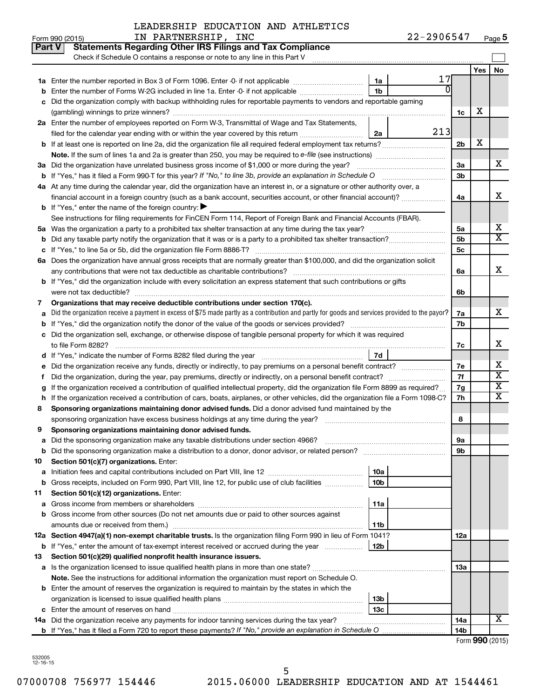| LEADERSHIP EDUCATION AND ATHLETICS |  |  |  |
|------------------------------------|--|--|--|
|------------------------------------|--|--|--|

|    | Part V<br><b>Statements Regarding Other IRS Filings and Tax Compliance</b><br>Check if Schedule O contains a response or note to any line in this Part V |     |                |     |                         |  |  |  |  |
|----|----------------------------------------------------------------------------------------------------------------------------------------------------------|-----|----------------|-----|-------------------------|--|--|--|--|
|    |                                                                                                                                                          |     |                | Yes | No                      |  |  |  |  |
|    | 1a                                                                                                                                                       | 17  |                |     |                         |  |  |  |  |
|    | 1 <sub>b</sub><br>Enter the number of Forms W-2G included in line 1a. Enter -0- if not applicable                                                        |     |                |     |                         |  |  |  |  |
|    | Did the organization comply with backup withholding rules for reportable payments to vendors and reportable gaming                                       |     |                |     |                         |  |  |  |  |
|    |                                                                                                                                                          |     | 1c             | х   |                         |  |  |  |  |
|    | 2a Enter the number of employees reported on Form W-3, Transmittal of Wage and Tax Statements,                                                           |     |                |     |                         |  |  |  |  |
|    | filed for the calendar year ending with or within the year covered by this return<br>2a                                                                  | 213 |                |     |                         |  |  |  |  |
|    |                                                                                                                                                          |     | 2 <sub>b</sub> | х   |                         |  |  |  |  |
|    |                                                                                                                                                          |     |                |     |                         |  |  |  |  |
|    | 3a Did the organization have unrelated business gross income of \$1,000 or more during the year?                                                         |     | За             |     | х                       |  |  |  |  |
|    | <b>b</b> If "Yes," has it filed a Form 990-T for this year? If "No," to line 3b, provide an explanation in Schedule O                                    |     | 3b             |     |                         |  |  |  |  |
|    | 4a At any time during the calendar year, did the organization have an interest in, or a signature or other authority over, a                             |     |                |     |                         |  |  |  |  |
|    | financial account in a foreign country (such as a bank account, securities account, or other financial account)?                                         |     | 4a             |     | x                       |  |  |  |  |
|    | <b>b</b> If "Yes," enter the name of the foreign country: $\blacktriangleright$                                                                          |     |                |     |                         |  |  |  |  |
|    | See instructions for filing requirements for FinCEN Form 114, Report of Foreign Bank and Financial Accounts (FBAR).                                      |     |                |     |                         |  |  |  |  |
|    |                                                                                                                                                          |     | 5a             |     | х                       |  |  |  |  |
|    |                                                                                                                                                          |     | 5b             |     | X                       |  |  |  |  |
|    |                                                                                                                                                          |     | 5с             |     |                         |  |  |  |  |
|    | 6a Does the organization have annual gross receipts that are normally greater than \$100,000, and did the organization solicit                           |     |                |     |                         |  |  |  |  |
|    |                                                                                                                                                          |     | 6a             |     | X                       |  |  |  |  |
|    | b If "Yes," did the organization include with every solicitation an express statement that such contributions or gifts                                   |     |                |     |                         |  |  |  |  |
|    | were not tax deductible?                                                                                                                                 |     | 6b             |     |                         |  |  |  |  |
| 7  | Organizations that may receive deductible contributions under section 170(c).                                                                            |     | 7a             |     | X                       |  |  |  |  |
|    | Did the organization receive a payment in excess of \$75 made partly as a contribution and partly for goods and services provided to the payor?          |     |                |     |                         |  |  |  |  |
|    |                                                                                                                                                          |     | 7b             |     |                         |  |  |  |  |
| с  | Did the organization sell, exchange, or otherwise dispose of tangible personal property for which it was required                                        |     |                |     |                         |  |  |  |  |
|    |                                                                                                                                                          |     | 7c             |     | X                       |  |  |  |  |
|    | <b>7d</b>                                                                                                                                                |     |                |     | х                       |  |  |  |  |
|    | Did the organization receive any funds, directly or indirectly, to pay premiums on a personal benefit contract?                                          |     | 7е             |     | $\overline{\text{x}}$   |  |  |  |  |
| t  | Did the organization, during the year, pay premiums, directly or indirectly, on a personal benefit contract?                                             |     | 7f             |     | $\overline{\textbf{X}}$ |  |  |  |  |
|    | If the organization received a contribution of qualified intellectual property, did the organization file Form 8899 as required?                         |     | 7g             |     | x                       |  |  |  |  |
| h  | If the organization received a contribution of cars, boats, airplanes, or other vehicles, did the organization file a Form 1098-C?                       |     | 7h             |     |                         |  |  |  |  |
| 8  | Sponsoring organizations maintaining donor advised funds. Did a donor advised fund maintained by the                                                     |     | 8              |     |                         |  |  |  |  |
| 9  | Sponsoring organizations maintaining donor advised funds.                                                                                                |     |                |     |                         |  |  |  |  |
|    |                                                                                                                                                          |     |                |     |                         |  |  |  |  |
|    | <b>b</b> Did the sponsoring organization make a distribution to a donor, donor advisor, or related person?                                               |     | υа<br>9b       |     |                         |  |  |  |  |
| 10 | Section 501(c)(7) organizations. Enter:                                                                                                                  |     |                |     |                         |  |  |  |  |
| а  | 10a                                                                                                                                                      |     |                |     |                         |  |  |  |  |
|    | b Gross receipts, included on Form 990, Part VIII, line 12, for public use of club facilities<br>10b                                                     |     |                |     |                         |  |  |  |  |
| 11 | Section 501(c)(12) organizations. Enter:                                                                                                                 |     |                |     |                         |  |  |  |  |
| а  | 11a                                                                                                                                                      |     |                |     |                         |  |  |  |  |
|    | b Gross income from other sources (Do not net amounts due or paid to other sources against                                                               |     |                |     |                         |  |  |  |  |
|    | amounts due or received from them.)<br>11b                                                                                                               |     |                |     |                         |  |  |  |  |
|    | 12a Section 4947(a)(1) non-exempt charitable trusts. Is the organization filing Form 990 in lieu of Form 1041?                                           |     | 12a            |     |                         |  |  |  |  |
|    | b If "Yes," enter the amount of tax-exempt interest received or accrued during the year<br>12b                                                           |     |                |     |                         |  |  |  |  |
| 13 | Section 501(c)(29) qualified nonprofit health insurance issuers.                                                                                         |     |                |     |                         |  |  |  |  |
|    | a Is the organization licensed to issue qualified health plans in more than one state?                                                                   |     | 13a            |     |                         |  |  |  |  |
|    | Note. See the instructions for additional information the organization must report on Schedule O.                                                        |     |                |     |                         |  |  |  |  |
|    | <b>b</b> Enter the amount of reserves the organization is required to maintain by the states in which the                                                |     |                |     |                         |  |  |  |  |
|    | 13 <sub>b</sub>                                                                                                                                          |     |                |     |                         |  |  |  |  |
|    | 13 <sub>c</sub>                                                                                                                                          |     |                |     |                         |  |  |  |  |
|    | 14a Did the organization receive any payments for indoor tanning services during the tax year?                                                           |     | 14a            |     | X                       |  |  |  |  |
|    |                                                                                                                                                          |     | 14b            |     |                         |  |  |  |  |

| Form 990 (2015) |  |
|-----------------|--|
|-----------------|--|

532005 12-16-15

Г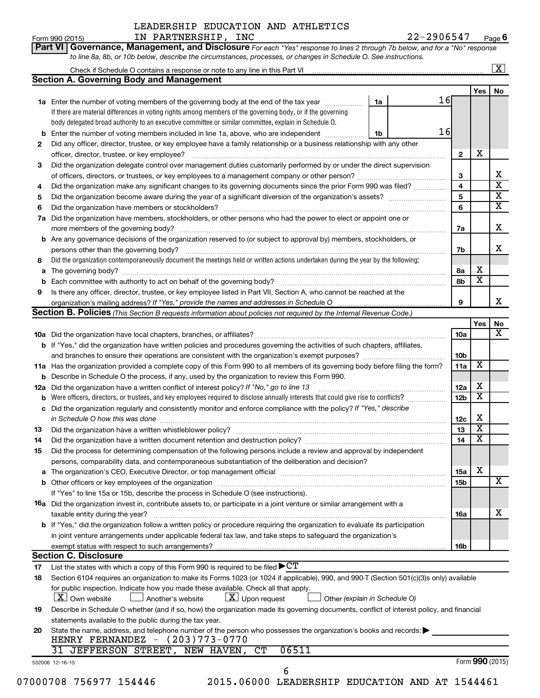# Form 990 (2015)  $IN \text{ PARTNERSHIP}$ ,  $INC \text{ 22-2906547}$   $Page$ LEADERSHIP EDUCATION AND ATHLETICS

| Part VI   Governance, Management, and Disclosure For each "Yes" response to lines 2 through 7b below, and for a "No" response |
|-------------------------------------------------------------------------------------------------------------------------------|
| to line 8a, 8b, or 10b below, describe the circumstances, processes, or changes in Schedule O. See instructions.              |

|     |                                                                                                                                                                                                                               |    |    |                 |                         | $\mathbf{X}$            |
|-----|-------------------------------------------------------------------------------------------------------------------------------------------------------------------------------------------------------------------------------|----|----|-----------------|-------------------------|-------------------------|
|     | <b>Section A. Governing Body and Management</b>                                                                                                                                                                               |    |    |                 |                         |                         |
|     |                                                                                                                                                                                                                               |    |    |                 | Yes                     | No                      |
|     | <b>1a</b> Enter the number of voting members of the governing body at the end of the tax year                                                                                                                                 | 1a | 16 |                 |                         |                         |
|     | If there are material differences in voting rights among members of the governing body, or if the governing                                                                                                                   |    |    |                 |                         |                         |
|     | body delegated broad authority to an executive committee or similar committee, explain in Schedule O.                                                                                                                         |    |    |                 |                         |                         |
| b   | Enter the number of voting members included in line 1a, above, who are independent                                                                                                                                            | 1b | 16 |                 |                         |                         |
| 2   | Did any officer, director, trustee, or key employee have a family relationship or a business relationship with any other                                                                                                      |    |    |                 |                         |                         |
|     | officer, director, trustee, or key employee?                                                                                                                                                                                  |    |    | $\mathbf{2}$    | х                       |                         |
| З   | Did the organization delegate control over management duties customarily performed by or under the direct supervision                                                                                                         |    |    |                 |                         |                         |
|     |                                                                                                                                                                                                                               |    |    | З               |                         | х                       |
| 4   | Did the organization make any significant changes to its governing documents since the prior Form 990 was filed?                                                                                                              |    |    | 4               |                         | $\overline{\mathbf{x}}$ |
| 5   |                                                                                                                                                                                                                               |    |    | 5               |                         | $\overline{\mathbf{X}}$ |
| 6   | Did the organization have members or stockholders?                                                                                                                                                                            |    |    | 6               |                         | $\overline{\mathbf{X}}$ |
| 7a  | Did the organization have members, stockholders, or other persons who had the power to elect or appoint one or                                                                                                                |    |    |                 |                         |                         |
|     |                                                                                                                                                                                                                               |    |    | 7a              |                         | х                       |
|     | <b>b</b> Are any governance decisions of the organization reserved to (or subject to approval by) members, stockholders, or                                                                                                   |    |    |                 |                         |                         |
|     | persons other than the governing body?                                                                                                                                                                                        |    |    | 7b              |                         | х                       |
| 8   | Did the organization contemporaneously document the meetings held or written actions undertaken during the year by the following:                                                                                             |    |    |                 |                         |                         |
| a   |                                                                                                                                                                                                                               |    |    | 8а              | х                       |                         |
| b   |                                                                                                                                                                                                                               |    |    | 8b              | х                       |                         |
| 9   | Is there any officer, director, trustee, or key employee listed in Part VII, Section A, who cannot be reached at the                                                                                                          |    |    |                 |                         |                         |
|     |                                                                                                                                                                                                                               |    |    | 9               |                         | x                       |
|     | <b>Section B. Policies</b> (This Section B requests information about policies not required by the Internal Revenue Code.)                                                                                                    |    |    |                 |                         |                         |
|     |                                                                                                                                                                                                                               |    |    |                 | Yes                     | No                      |
|     |                                                                                                                                                                                                                               |    |    | 10a             |                         | $\overline{\mathbf{x}}$ |
|     | b If "Yes," did the organization have written policies and procedures governing the activities of such chapters, affiliates,                                                                                                  |    |    |                 |                         |                         |
|     |                                                                                                                                                                                                                               |    |    | 10 <sub>b</sub> |                         |                         |
|     | 11a Has the organization provided a complete copy of this Form 990 to all members of its governing body before filing the form?                                                                                               |    |    | 11a             | X                       |                         |
|     | <b>b</b> Describe in Schedule O the process, if any, used by the organization to review this Form 990.                                                                                                                        |    |    |                 |                         |                         |
| 12a | Did the organization have a written conflict of interest policy? If "No," go to line 13                                                                                                                                       |    |    | 12a             | х                       |                         |
| b   | Were officers, directors, or trustees, and key employees required to disclose annually interests that could give rise to conflicts?                                                                                           |    |    | 12 <sub>b</sub> | х                       |                         |
| с   | Did the organization regularly and consistently monitor and enforce compliance with the policy? If "Yes," describe                                                                                                            |    |    |                 |                         |                         |
|     | in Schedule O how this was done manufactured and the state of the state of the state of the state of the state of the state of the state of the state of the state of the state of the state of the state of the state of the |    |    | 12c             | х                       |                         |
| 13  | Did the organization have a written whistleblower policy?                                                                                                                                                                     |    |    | 13              | $\overline{\textbf{X}}$ |                         |
| 14  | Did the organization have a written document retention and destruction policy? [11] manufaction in the organization have a written document retention and destruction policy?                                                 |    |    | 14              | X                       |                         |
| 15  | Did the process for determining compensation of the following persons include a review and approval by independent                                                                                                            |    |    |                 |                         |                         |
|     | persons, comparability data, and contemporaneous substantiation of the deliberation and decision?                                                                                                                             |    |    |                 |                         |                         |
| а   |                                                                                                                                                                                                                               |    |    | 15a             | х                       |                         |
|     | <b>b</b> Other officers or key employees of the organization                                                                                                                                                                  |    |    | 15 <sub>b</sub> |                         | X                       |
|     | If "Yes" to line 15a or 15b, describe the process in Schedule O (see instructions).                                                                                                                                           |    |    |                 |                         |                         |
|     | 16a Did the organization invest in, contribute assets to, or participate in a joint venture or similar arrangement with a                                                                                                     |    |    |                 |                         |                         |
|     | taxable entity during the year?                                                                                                                                                                                               |    |    | 16a             |                         | х                       |
|     | b If "Yes," did the organization follow a written policy or procedure requiring the organization to evaluate its participation                                                                                                |    |    |                 |                         |                         |
|     | in joint venture arrangements under applicable federal tax law, and take steps to safeguard the organization's                                                                                                                |    |    |                 |                         |                         |
|     | exempt status with respect to such arrangements?                                                                                                                                                                              |    |    | 16b             |                         |                         |
|     | <b>Section C. Disclosure</b>                                                                                                                                                                                                  |    |    |                 |                         |                         |
| 17  | List the states with which a copy of this Form 990 is required to be filed $\blacktriangleright C T$                                                                                                                          |    |    |                 |                         |                         |
| 18  | Section 6104 requires an organization to make its Forms 1023 (or 1024 if applicable), 990, and 990-T (Section 501(c)(3)s only) available                                                                                      |    |    |                 |                         |                         |
|     | for public inspection. Indicate how you made these available. Check all that apply.                                                                                                                                           |    |    |                 |                         |                         |
|     | $ \mathbf{X} $ Own website<br>$\lfloor \underline{X} \rfloor$ Upon request<br>Another's website<br>Other (explain in Schedule O)                                                                                              |    |    |                 |                         |                         |
| 19  | Describe in Schedule O whether (and if so, how) the organization made its governing documents, conflict of interest policy, and financial                                                                                     |    |    |                 |                         |                         |
|     | statements available to the public during the tax year.                                                                                                                                                                       |    |    |                 |                         |                         |
| 20  | State the name, address, and telephone number of the person who possesses the organization's books and records:                                                                                                               |    |    |                 |                         |                         |
|     | HENRY FERNANDEZ - (203)773-0770                                                                                                                                                                                               |    |    |                 |                         |                         |
|     | 06511<br>31 JEFFERSON STREET, NEW HAVEN,<br>CT                                                                                                                                                                                |    |    |                 |                         |                         |
|     | 532006 12-16-15                                                                                                                                                                                                               |    |    |                 |                         | Form 990 (2015)         |
|     | 6<br>$TCATH = 1.54$<br>000000<br>, ,, , ,,,                                                                                                                                                                                   |    |    |                 |                         |                         |

07000708 756977 154446 2015.06000 LEADERSHIP EDUCATION AND AT 1544461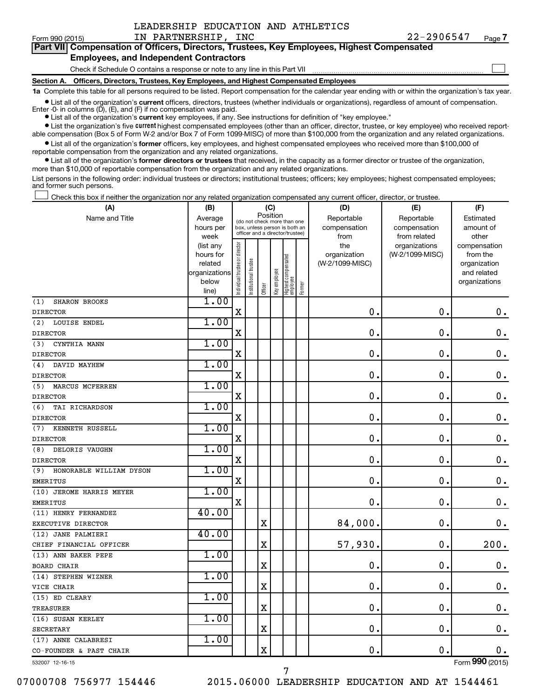$\Box$ 

| Part VII Compensation of Officers, Directors, Trustees, Key Employees, Highest Compensated |  |  |  |
|--------------------------------------------------------------------------------------------|--|--|--|
| <b>Employees, and Independent Contractors</b>                                              |  |  |  |

### Check if Schedule O contains a response or note to any line in this Part VII

**Section A. Officers, Directors, Trustees, Key Employees, and Highest Compensated Employees**

**1a**  Complete this table for all persons required to be listed. Report compensation for the calendar year ending with or within the organization's tax year.

**•** List all of the organization's current officers, directors, trustees (whether individuals or organizations), regardless of amount of compensation.

**•** List all of the organization's **current** key employees, if any. See instructions for definition of "key employee." Enter -0- in columns  $(D)$ ,  $(E)$ , and  $(F)$  if no compensation was paid.

**•** List the organization's five current highest compensated employees (other than an officer, director, trustee, or key employee) who received reportable compensation (Box 5 of Form W-2 and/or Box 7 of Form 1099-MISC) of more than \$100,000 from the organization and any related organizations.

**•** List all of the organization's former officers, key employees, and highest compensated employees who received more than \$100,000 of reportable compensation from the organization and any related organizations.

**•** List all of the organization's former directors or trustees that received, in the capacity as a former director or trustee of the organization, more than \$10,000 of reportable compensation from the organization and any related organizations.

List persons in the following order: individual trustees or directors; institutional trustees; officers; key employees; highest compensated employees; and former such persons.

Check this box if neither the organization nor any related organization compensated any current officer, director, or trustee.  $\Box$ 

| Position<br>Name and Title<br>Reportable<br>Average<br>Reportable<br>Estimated<br>(do not check more than one<br>compensation<br>hours per<br>box, unless person is both an<br>compensation<br>amount of<br>officer and a director/trustee)<br>from related<br>other<br>week<br>from<br>Individual trustee or director<br>the<br>organizations<br>(list any<br>compensation<br>(W-2/1099-MISC)<br>hours for<br>organization<br>from the<br>Highest compensated<br>employee<br>Institutional trustee<br>(W-2/1099-MISC)<br>related<br>organization<br>Key employee<br>organizations<br>and related<br>below<br>organizations<br>Former<br>Officer<br>line)<br>1.00<br><b>SHARON BROOKS</b><br>(1)<br>$\rm X$<br>$\mathbf 0$<br>$\mathbf 0$ .<br>$\boldsymbol{0}$ .<br><b>DIRECTOR</b><br>1.00<br>(2)<br>LOUISE ENDEL<br>$\mathbf X$<br>$\mathbf 0$<br>0<br>$\mathbf 0$ .<br><b>DIRECTOR</b><br>1.00<br>CYNTHIA MANN<br>(3)<br>0<br>$\mathbf 0$<br>X<br>$\mathbf 0$ .<br><b>DIRECTOR</b><br>1.00<br>(4)<br>DAVID MAYHEW<br>$\mathbf X$<br>0<br>$\mathbf 0$<br>$\mathbf 0$ .<br>1.00<br>MARCUS MCFERREN<br>(5)<br>X<br>$\mathbf 0$<br>$\mathbf 0$ .<br>$\boldsymbol{0}$ .<br><b>DIRECTOR</b><br>1.00<br>(6)<br>TAI RICHARDSON<br>$\mathbf X$<br>$\mathbf 0$<br>0<br>$\mathbf 0$ .<br><b>DIRECTOR</b><br>1.00<br>KENNETH RUSSELL<br>(7)<br>$\mathbf 0$<br>X<br>0<br>$\mathbf 0$ .<br><b>DIRECTOR</b><br>1.00<br>DELORIS VAUGHN<br>(8)<br>$\mathbf X$<br>$\mathbf 0$<br>$\mathbf 0$ .<br>$\mathbf 0$ .<br>1.00<br>HONORABLE WILLIAM DYSON<br>(9)<br>$\mathbf X$<br>0<br>$\mathbf 0$ .<br>$\mathbf 0$ .<br><b>EMERITUS</b><br>1.00<br>(10) JEROME HARRIS MEYER<br>$\mathbf 0$<br>$\mathbf X$<br>$\mathbf 0$<br>$\mathbf 0$ .<br><b>EMERITUS</b><br>40.00<br>(11) HENRY FERNANDEZ<br>$\mathbf 0$<br>$\mathbf X$<br>84,000.<br>$\mathbf 0$ .<br>EXECUTIVE DIRECTOR<br>40.00<br>(12) JANE PALMIERI<br>200.<br>$\mathbf X$<br>57,930.<br>$\mathbf 0$<br>CHIEF FINANCIAL OFFICER<br>1.00<br>(13) ANN BAKER PEPE<br>$\mathbf 0$<br>X<br>0<br>$\boldsymbol{0}$ .<br><b>BOARD CHAIR</b><br>1.00<br>(14) STEPHEN WIZNER<br>$\mathbf X$<br>$\mathbf 0$<br>$\mathbf 0$<br>$\mathbf 0$ .<br>VICE CHAIR<br>1.00<br>(15) ED CLEARY<br>X<br>0<br>$\mathbf 0$ .<br>0.<br>TREASURER<br>1.00<br>(16) SUSAN KERLEY<br>$\mathbf 0$ .<br>$\mathbf 0$ .<br>0.<br>$\mathbf X$<br><b>SECRETARY</b><br>1.00<br>(17) ANNE CALABRESI<br>$\mathbf X$<br>0.<br>$\mathbf 0$ .<br>$\mathbf 0$ .<br>CO-FOUNDER & PAST CHAIR | (A)             | (B) |  | (C) |  | (D) | (E) | (F) |
|---------------------------------------------------------------------------------------------------------------------------------------------------------------------------------------------------------------------------------------------------------------------------------------------------------------------------------------------------------------------------------------------------------------------------------------------------------------------------------------------------------------------------------------------------------------------------------------------------------------------------------------------------------------------------------------------------------------------------------------------------------------------------------------------------------------------------------------------------------------------------------------------------------------------------------------------------------------------------------------------------------------------------------------------------------------------------------------------------------------------------------------------------------------------------------------------------------------------------------------------------------------------------------------------------------------------------------------------------------------------------------------------------------------------------------------------------------------------------------------------------------------------------------------------------------------------------------------------------------------------------------------------------------------------------------------------------------------------------------------------------------------------------------------------------------------------------------------------------------------------------------------------------------------------------------------------------------------------------------------------------------------------------------------------------------------------------------------------------------------------------------------------------------------------------------------------------------------------------------------------------------------------------------------------------------------------------------------------------------------------------------------------------------------------------------------------------------------------------------------|-----------------|-----|--|-----|--|-----|-----|-----|
|                                                                                                                                                                                                                                                                                                                                                                                                                                                                                                                                                                                                                                                                                                                                                                                                                                                                                                                                                                                                                                                                                                                                                                                                                                                                                                                                                                                                                                                                                                                                                                                                                                                                                                                                                                                                                                                                                                                                                                                                                                                                                                                                                                                                                                                                                                                                                                                                                                                                                       |                 |     |  |     |  |     |     |     |
|                                                                                                                                                                                                                                                                                                                                                                                                                                                                                                                                                                                                                                                                                                                                                                                                                                                                                                                                                                                                                                                                                                                                                                                                                                                                                                                                                                                                                                                                                                                                                                                                                                                                                                                                                                                                                                                                                                                                                                                                                                                                                                                                                                                                                                                                                                                                                                                                                                                                                       |                 |     |  |     |  |     |     |     |
|                                                                                                                                                                                                                                                                                                                                                                                                                                                                                                                                                                                                                                                                                                                                                                                                                                                                                                                                                                                                                                                                                                                                                                                                                                                                                                                                                                                                                                                                                                                                                                                                                                                                                                                                                                                                                                                                                                                                                                                                                                                                                                                                                                                                                                                                                                                                                                                                                                                                                       |                 |     |  |     |  |     |     |     |
|                                                                                                                                                                                                                                                                                                                                                                                                                                                                                                                                                                                                                                                                                                                                                                                                                                                                                                                                                                                                                                                                                                                                                                                                                                                                                                                                                                                                                                                                                                                                                                                                                                                                                                                                                                                                                                                                                                                                                                                                                                                                                                                                                                                                                                                                                                                                                                                                                                                                                       |                 |     |  |     |  |     |     |     |
|                                                                                                                                                                                                                                                                                                                                                                                                                                                                                                                                                                                                                                                                                                                                                                                                                                                                                                                                                                                                                                                                                                                                                                                                                                                                                                                                                                                                                                                                                                                                                                                                                                                                                                                                                                                                                                                                                                                                                                                                                                                                                                                                                                                                                                                                                                                                                                                                                                                                                       |                 |     |  |     |  |     |     |     |
|                                                                                                                                                                                                                                                                                                                                                                                                                                                                                                                                                                                                                                                                                                                                                                                                                                                                                                                                                                                                                                                                                                                                                                                                                                                                                                                                                                                                                                                                                                                                                                                                                                                                                                                                                                                                                                                                                                                                                                                                                                                                                                                                                                                                                                                                                                                                                                                                                                                                                       |                 |     |  |     |  |     |     |     |
|                                                                                                                                                                                                                                                                                                                                                                                                                                                                                                                                                                                                                                                                                                                                                                                                                                                                                                                                                                                                                                                                                                                                                                                                                                                                                                                                                                                                                                                                                                                                                                                                                                                                                                                                                                                                                                                                                                                                                                                                                                                                                                                                                                                                                                                                                                                                                                                                                                                                                       |                 |     |  |     |  |     |     |     |
|                                                                                                                                                                                                                                                                                                                                                                                                                                                                                                                                                                                                                                                                                                                                                                                                                                                                                                                                                                                                                                                                                                                                                                                                                                                                                                                                                                                                                                                                                                                                                                                                                                                                                                                                                                                                                                                                                                                                                                                                                                                                                                                                                                                                                                                                                                                                                                                                                                                                                       |                 |     |  |     |  |     |     |     |
|                                                                                                                                                                                                                                                                                                                                                                                                                                                                                                                                                                                                                                                                                                                                                                                                                                                                                                                                                                                                                                                                                                                                                                                                                                                                                                                                                                                                                                                                                                                                                                                                                                                                                                                                                                                                                                                                                                                                                                                                                                                                                                                                                                                                                                                                                                                                                                                                                                                                                       |                 |     |  |     |  |     |     |     |
|                                                                                                                                                                                                                                                                                                                                                                                                                                                                                                                                                                                                                                                                                                                                                                                                                                                                                                                                                                                                                                                                                                                                                                                                                                                                                                                                                                                                                                                                                                                                                                                                                                                                                                                                                                                                                                                                                                                                                                                                                                                                                                                                                                                                                                                                                                                                                                                                                                                                                       |                 |     |  |     |  |     |     |     |
|                                                                                                                                                                                                                                                                                                                                                                                                                                                                                                                                                                                                                                                                                                                                                                                                                                                                                                                                                                                                                                                                                                                                                                                                                                                                                                                                                                                                                                                                                                                                                                                                                                                                                                                                                                                                                                                                                                                                                                                                                                                                                                                                                                                                                                                                                                                                                                                                                                                                                       |                 |     |  |     |  |     |     |     |
|                                                                                                                                                                                                                                                                                                                                                                                                                                                                                                                                                                                                                                                                                                                                                                                                                                                                                                                                                                                                                                                                                                                                                                                                                                                                                                                                                                                                                                                                                                                                                                                                                                                                                                                                                                                                                                                                                                                                                                                                                                                                                                                                                                                                                                                                                                                                                                                                                                                                                       |                 |     |  |     |  |     |     |     |
|                                                                                                                                                                                                                                                                                                                                                                                                                                                                                                                                                                                                                                                                                                                                                                                                                                                                                                                                                                                                                                                                                                                                                                                                                                                                                                                                                                                                                                                                                                                                                                                                                                                                                                                                                                                                                                                                                                                                                                                                                                                                                                                                                                                                                                                                                                                                                                                                                                                                                       |                 |     |  |     |  |     |     |     |
|                                                                                                                                                                                                                                                                                                                                                                                                                                                                                                                                                                                                                                                                                                                                                                                                                                                                                                                                                                                                                                                                                                                                                                                                                                                                                                                                                                                                                                                                                                                                                                                                                                                                                                                                                                                                                                                                                                                                                                                                                                                                                                                                                                                                                                                                                                                                                                                                                                                                                       |                 |     |  |     |  |     |     |     |
|                                                                                                                                                                                                                                                                                                                                                                                                                                                                                                                                                                                                                                                                                                                                                                                                                                                                                                                                                                                                                                                                                                                                                                                                                                                                                                                                                                                                                                                                                                                                                                                                                                                                                                                                                                                                                                                                                                                                                                                                                                                                                                                                                                                                                                                                                                                                                                                                                                                                                       |                 |     |  |     |  |     |     |     |
|                                                                                                                                                                                                                                                                                                                                                                                                                                                                                                                                                                                                                                                                                                                                                                                                                                                                                                                                                                                                                                                                                                                                                                                                                                                                                                                                                                                                                                                                                                                                                                                                                                                                                                                                                                                                                                                                                                                                                                                                                                                                                                                                                                                                                                                                                                                                                                                                                                                                                       | <b>DIRECTOR</b> |     |  |     |  |     |     |     |
|                                                                                                                                                                                                                                                                                                                                                                                                                                                                                                                                                                                                                                                                                                                                                                                                                                                                                                                                                                                                                                                                                                                                                                                                                                                                                                                                                                                                                                                                                                                                                                                                                                                                                                                                                                                                                                                                                                                                                                                                                                                                                                                                                                                                                                                                                                                                                                                                                                                                                       |                 |     |  |     |  |     |     |     |
|                                                                                                                                                                                                                                                                                                                                                                                                                                                                                                                                                                                                                                                                                                                                                                                                                                                                                                                                                                                                                                                                                                                                                                                                                                                                                                                                                                                                                                                                                                                                                                                                                                                                                                                                                                                                                                                                                                                                                                                                                                                                                                                                                                                                                                                                                                                                                                                                                                                                                       |                 |     |  |     |  |     |     |     |
|                                                                                                                                                                                                                                                                                                                                                                                                                                                                                                                                                                                                                                                                                                                                                                                                                                                                                                                                                                                                                                                                                                                                                                                                                                                                                                                                                                                                                                                                                                                                                                                                                                                                                                                                                                                                                                                                                                                                                                                                                                                                                                                                                                                                                                                                                                                                                                                                                                                                                       |                 |     |  |     |  |     |     |     |
|                                                                                                                                                                                                                                                                                                                                                                                                                                                                                                                                                                                                                                                                                                                                                                                                                                                                                                                                                                                                                                                                                                                                                                                                                                                                                                                                                                                                                                                                                                                                                                                                                                                                                                                                                                                                                                                                                                                                                                                                                                                                                                                                                                                                                                                                                                                                                                                                                                                                                       |                 |     |  |     |  |     |     |     |
|                                                                                                                                                                                                                                                                                                                                                                                                                                                                                                                                                                                                                                                                                                                                                                                                                                                                                                                                                                                                                                                                                                                                                                                                                                                                                                                                                                                                                                                                                                                                                                                                                                                                                                                                                                                                                                                                                                                                                                                                                                                                                                                                                                                                                                                                                                                                                                                                                                                                                       |                 |     |  |     |  |     |     |     |
|                                                                                                                                                                                                                                                                                                                                                                                                                                                                                                                                                                                                                                                                                                                                                                                                                                                                                                                                                                                                                                                                                                                                                                                                                                                                                                                                                                                                                                                                                                                                                                                                                                                                                                                                                                                                                                                                                                                                                                                                                                                                                                                                                                                                                                                                                                                                                                                                                                                                                       |                 |     |  |     |  |     |     |     |
|                                                                                                                                                                                                                                                                                                                                                                                                                                                                                                                                                                                                                                                                                                                                                                                                                                                                                                                                                                                                                                                                                                                                                                                                                                                                                                                                                                                                                                                                                                                                                                                                                                                                                                                                                                                                                                                                                                                                                                                                                                                                                                                                                                                                                                                                                                                                                                                                                                                                                       |                 |     |  |     |  |     |     |     |
|                                                                                                                                                                                                                                                                                                                                                                                                                                                                                                                                                                                                                                                                                                                                                                                                                                                                                                                                                                                                                                                                                                                                                                                                                                                                                                                                                                                                                                                                                                                                                                                                                                                                                                                                                                                                                                                                                                                                                                                                                                                                                                                                                                                                                                                                                                                                                                                                                                                                                       | <b>DIRECTOR</b> |     |  |     |  |     |     |     |
|                                                                                                                                                                                                                                                                                                                                                                                                                                                                                                                                                                                                                                                                                                                                                                                                                                                                                                                                                                                                                                                                                                                                                                                                                                                                                                                                                                                                                                                                                                                                                                                                                                                                                                                                                                                                                                                                                                                                                                                                                                                                                                                                                                                                                                                                                                                                                                                                                                                                                       |                 |     |  |     |  |     |     |     |
|                                                                                                                                                                                                                                                                                                                                                                                                                                                                                                                                                                                                                                                                                                                                                                                                                                                                                                                                                                                                                                                                                                                                                                                                                                                                                                                                                                                                                                                                                                                                                                                                                                                                                                                                                                                                                                                                                                                                                                                                                                                                                                                                                                                                                                                                                                                                                                                                                                                                                       |                 |     |  |     |  |     |     |     |
|                                                                                                                                                                                                                                                                                                                                                                                                                                                                                                                                                                                                                                                                                                                                                                                                                                                                                                                                                                                                                                                                                                                                                                                                                                                                                                                                                                                                                                                                                                                                                                                                                                                                                                                                                                                                                                                                                                                                                                                                                                                                                                                                                                                                                                                                                                                                                                                                                                                                                       |                 |     |  |     |  |     |     |     |
|                                                                                                                                                                                                                                                                                                                                                                                                                                                                                                                                                                                                                                                                                                                                                                                                                                                                                                                                                                                                                                                                                                                                                                                                                                                                                                                                                                                                                                                                                                                                                                                                                                                                                                                                                                                                                                                                                                                                                                                                                                                                                                                                                                                                                                                                                                                                                                                                                                                                                       |                 |     |  |     |  |     |     |     |
|                                                                                                                                                                                                                                                                                                                                                                                                                                                                                                                                                                                                                                                                                                                                                                                                                                                                                                                                                                                                                                                                                                                                                                                                                                                                                                                                                                                                                                                                                                                                                                                                                                                                                                                                                                                                                                                                                                                                                                                                                                                                                                                                                                                                                                                                                                                                                                                                                                                                                       |                 |     |  |     |  |     |     |     |
|                                                                                                                                                                                                                                                                                                                                                                                                                                                                                                                                                                                                                                                                                                                                                                                                                                                                                                                                                                                                                                                                                                                                                                                                                                                                                                                                                                                                                                                                                                                                                                                                                                                                                                                                                                                                                                                                                                                                                                                                                                                                                                                                                                                                                                                                                                                                                                                                                                                                                       |                 |     |  |     |  |     |     |     |
|                                                                                                                                                                                                                                                                                                                                                                                                                                                                                                                                                                                                                                                                                                                                                                                                                                                                                                                                                                                                                                                                                                                                                                                                                                                                                                                                                                                                                                                                                                                                                                                                                                                                                                                                                                                                                                                                                                                                                                                                                                                                                                                                                                                                                                                                                                                                                                                                                                                                                       |                 |     |  |     |  |     |     |     |
|                                                                                                                                                                                                                                                                                                                                                                                                                                                                                                                                                                                                                                                                                                                                                                                                                                                                                                                                                                                                                                                                                                                                                                                                                                                                                                                                                                                                                                                                                                                                                                                                                                                                                                                                                                                                                                                                                                                                                                                                                                                                                                                                                                                                                                                                                                                                                                                                                                                                                       |                 |     |  |     |  |     |     |     |
|                                                                                                                                                                                                                                                                                                                                                                                                                                                                                                                                                                                                                                                                                                                                                                                                                                                                                                                                                                                                                                                                                                                                                                                                                                                                                                                                                                                                                                                                                                                                                                                                                                                                                                                                                                                                                                                                                                                                                                                                                                                                                                                                                                                                                                                                                                                                                                                                                                                                                       |                 |     |  |     |  |     |     |     |
|                                                                                                                                                                                                                                                                                                                                                                                                                                                                                                                                                                                                                                                                                                                                                                                                                                                                                                                                                                                                                                                                                                                                                                                                                                                                                                                                                                                                                                                                                                                                                                                                                                                                                                                                                                                                                                                                                                                                                                                                                                                                                                                                                                                                                                                                                                                                                                                                                                                                                       |                 |     |  |     |  |     |     |     |
|                                                                                                                                                                                                                                                                                                                                                                                                                                                                                                                                                                                                                                                                                                                                                                                                                                                                                                                                                                                                                                                                                                                                                                                                                                                                                                                                                                                                                                                                                                                                                                                                                                                                                                                                                                                                                                                                                                                                                                                                                                                                                                                                                                                                                                                                                                                                                                                                                                                                                       |                 |     |  |     |  |     |     |     |
|                                                                                                                                                                                                                                                                                                                                                                                                                                                                                                                                                                                                                                                                                                                                                                                                                                                                                                                                                                                                                                                                                                                                                                                                                                                                                                                                                                                                                                                                                                                                                                                                                                                                                                                                                                                                                                                                                                                                                                                                                                                                                                                                                                                                                                                                                                                                                                                                                                                                                       |                 |     |  |     |  |     |     |     |
|                                                                                                                                                                                                                                                                                                                                                                                                                                                                                                                                                                                                                                                                                                                                                                                                                                                                                                                                                                                                                                                                                                                                                                                                                                                                                                                                                                                                                                                                                                                                                                                                                                                                                                                                                                                                                                                                                                                                                                                                                                                                                                                                                                                                                                                                                                                                                                                                                                                                                       |                 |     |  |     |  |     |     |     |
|                                                                                                                                                                                                                                                                                                                                                                                                                                                                                                                                                                                                                                                                                                                                                                                                                                                                                                                                                                                                                                                                                                                                                                                                                                                                                                                                                                                                                                                                                                                                                                                                                                                                                                                                                                                                                                                                                                                                                                                                                                                                                                                                                                                                                                                                                                                                                                                                                                                                                       |                 |     |  |     |  |     |     |     |
|                                                                                                                                                                                                                                                                                                                                                                                                                                                                                                                                                                                                                                                                                                                                                                                                                                                                                                                                                                                                                                                                                                                                                                                                                                                                                                                                                                                                                                                                                                                                                                                                                                                                                                                                                                                                                                                                                                                                                                                                                                                                                                                                                                                                                                                                                                                                                                                                                                                                                       |                 |     |  |     |  |     |     |     |
|                                                                                                                                                                                                                                                                                                                                                                                                                                                                                                                                                                                                                                                                                                                                                                                                                                                                                                                                                                                                                                                                                                                                                                                                                                                                                                                                                                                                                                                                                                                                                                                                                                                                                                                                                                                                                                                                                                                                                                                                                                                                                                                                                                                                                                                                                                                                                                                                                                                                                       |                 |     |  |     |  |     |     |     |
|                                                                                                                                                                                                                                                                                                                                                                                                                                                                                                                                                                                                                                                                                                                                                                                                                                                                                                                                                                                                                                                                                                                                                                                                                                                                                                                                                                                                                                                                                                                                                                                                                                                                                                                                                                                                                                                                                                                                                                                                                                                                                                                                                                                                                                                                                                                                                                                                                                                                                       |                 |     |  |     |  |     |     |     |
|                                                                                                                                                                                                                                                                                                                                                                                                                                                                                                                                                                                                                                                                                                                                                                                                                                                                                                                                                                                                                                                                                                                                                                                                                                                                                                                                                                                                                                                                                                                                                                                                                                                                                                                                                                                                                                                                                                                                                                                                                                                                                                                                                                                                                                                                                                                                                                                                                                                                                       |                 |     |  |     |  |     |     |     |

532007 12-16-15

07000708 756977 154446 2015.06000 LEADERSHIP EDUCATION AND AT 1544461

7

Form (2015) **990**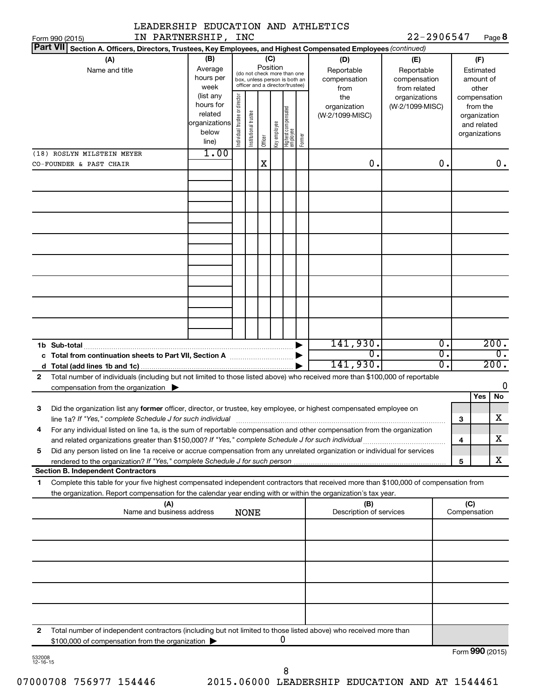| LEADERSHIP EDUCATION AND ATHLETICS                                                                                                                                                                                                                          |                                                                                                                                                           |                                |                                           |                                                   |                                        |                                 |        |                                        |                                  |   |                                                                          |                  |
|-------------------------------------------------------------------------------------------------------------------------------------------------------------------------------------------------------------------------------------------------------------|-----------------------------------------------------------------------------------------------------------------------------------------------------------|--------------------------------|-------------------------------------------|---------------------------------------------------|----------------------------------------|---------------------------------|--------|----------------------------------------|----------------------------------|---|--------------------------------------------------------------------------|------------------|
| IN PARTNERSHIP, INC<br>Form 990 (2015)                                                                                                                                                                                                                      |                                                                                                                                                           |                                |                                           |                                                   |                                        |                                 |        |                                        | 22-2906547                       |   |                                                                          | Page 8           |
| <b>Part VII</b><br>Section A. Officers, Directors, Trustees, Key Employees, and Highest Compensated Employees (continued)                                                                                                                                   |                                                                                                                                                           |                                |                                           |                                                   |                                        |                                 |        |                                        |                                  |   |                                                                          |                  |
| (A)<br>Name and title                                                                                                                                                                                                                                       | (B)<br>(C)<br>Position<br>Average<br>(do not check more than one<br>hours per<br>box, unless person is both an<br>officer and a director/trustee)<br>week |                                | (D)<br>Reportable<br>compensation<br>from | (E)<br>Reportable<br>compensation<br>from related | (F)<br>Estimated<br>amount of<br>other |                                 |        |                                        |                                  |   |                                                                          |                  |
|                                                                                                                                                                                                                                                             | (list any<br>hours for<br>related<br>organizations<br>below<br>line)                                                                                      | Individual trustee or director | Institutional trustee                     | Officer                                           | Key employee                           | Highest compensated<br>employee | Former | the<br>organization<br>(W-2/1099-MISC) | organizations<br>(W-2/1099-MISC) |   | compensation<br>from the<br>organization<br>and related<br>organizations |                  |
| (18) ROSLYN MILSTEIN MEYER                                                                                                                                                                                                                                  | 1.00                                                                                                                                                      |                                |                                           |                                                   |                                        |                                 |        |                                        |                                  |   |                                                                          |                  |
| CO-FOUNDER & PAST CHAIR                                                                                                                                                                                                                                     |                                                                                                                                                           |                                |                                           | X                                                 |                                        |                                 |        | 0.                                     | 0.                               |   |                                                                          | 0.               |
|                                                                                                                                                                                                                                                             |                                                                                                                                                           |                                |                                           |                                                   |                                        |                                 |        |                                        |                                  |   |                                                                          |                  |
|                                                                                                                                                                                                                                                             |                                                                                                                                                           |                                |                                           |                                                   |                                        |                                 |        |                                        |                                  |   |                                                                          |                  |
|                                                                                                                                                                                                                                                             |                                                                                                                                                           |                                |                                           |                                                   |                                        |                                 |        |                                        |                                  |   |                                                                          |                  |
|                                                                                                                                                                                                                                                             |                                                                                                                                                           |                                |                                           |                                                   |                                        |                                 |        |                                        |                                  |   |                                                                          |                  |
|                                                                                                                                                                                                                                                             |                                                                                                                                                           |                                |                                           |                                                   |                                        |                                 |        |                                        |                                  |   |                                                                          |                  |
|                                                                                                                                                                                                                                                             |                                                                                                                                                           |                                |                                           |                                                   |                                        |                                 |        |                                        |                                  |   |                                                                          |                  |
|                                                                                                                                                                                                                                                             |                                                                                                                                                           |                                |                                           |                                                   |                                        |                                 |        |                                        |                                  |   |                                                                          |                  |
|                                                                                                                                                                                                                                                             |                                                                                                                                                           |                                |                                           |                                                   |                                        |                                 |        |                                        | $\overline{0}$ .                 |   |                                                                          | 200.             |
|                                                                                                                                                                                                                                                             |                                                                                                                                                           |                                |                                           |                                                   |                                        |                                 |        | 141,930.<br>σ.                         | σ.                               |   |                                                                          | $\overline{0}$ . |
| d                                                                                                                                                                                                                                                           |                                                                                                                                                           |                                |                                           |                                                   |                                        |                                 |        | 141,930.                               | σ.                               |   |                                                                          | 200.             |
| Total number of individuals (including but not limited to those listed above) who received more than \$100,000 of reportable<br>$\mathbf{2}$<br>compensation from the organization $\blacktriangleright$                                                    |                                                                                                                                                           |                                |                                           |                                                   |                                        |                                 |        |                                        |                                  |   |                                                                          | 0                |
| Did the organization list any former officer, director, or trustee, key employee, or highest compensated employee on<br>З                                                                                                                                   |                                                                                                                                                           |                                |                                           |                                                   |                                        |                                 |        |                                        |                                  |   | <b>Yes</b>                                                               | No               |
| line 1a? If "Yes," complete Schedule J for such individual<br>For any individual listed on line 1a, is the sum of reportable compensation and other compensation from the organization<br>4                                                                 |                                                                                                                                                           |                                |                                           |                                                   |                                        |                                 |        |                                        |                                  | З |                                                                          | X                |
| Did any person listed on line 1a receive or accrue compensation from any unrelated organization or individual for services<br>5                                                                                                                             |                                                                                                                                                           |                                |                                           |                                                   |                                        |                                 |        |                                        |                                  | 4 |                                                                          | x                |
|                                                                                                                                                                                                                                                             |                                                                                                                                                           |                                |                                           |                                                   |                                        |                                 |        |                                        |                                  | 5 |                                                                          | x                |
| <b>Section B. Independent Contractors</b>                                                                                                                                                                                                                   |                                                                                                                                                           |                                |                                           |                                                   |                                        |                                 |        |                                        |                                  |   |                                                                          |                  |
| Complete this table for your five highest compensated independent contractors that received more than \$100,000 of compensation from<br>1<br>the organization. Report compensation for the calendar year ending with or within the organization's tax year. |                                                                                                                                                           |                                |                                           |                                                   |                                        |                                 |        |                                        |                                  |   |                                                                          |                  |
| (A)<br>(B)<br>Name and business address<br>Description of services<br><b>NONE</b>                                                                                                                                                                           |                                                                                                                                                           |                                |                                           |                                                   |                                        |                                 |        |                                        | (C)<br>Compensation              |   |                                                                          |                  |
|                                                                                                                                                                                                                                                             |                                                                                                                                                           |                                |                                           |                                                   |                                        |                                 |        |                                        |                                  |   |                                                                          |                  |
|                                                                                                                                                                                                                                                             |                                                                                                                                                           |                                |                                           |                                                   |                                        |                                 |        |                                        |                                  |   |                                                                          |                  |
|                                                                                                                                                                                                                                                             |                                                                                                                                                           |                                |                                           |                                                   |                                        |                                 |        |                                        |                                  |   |                                                                          |                  |
|                                                                                                                                                                                                                                                             |                                                                                                                                                           |                                |                                           |                                                   |                                        |                                 |        |                                        |                                  |   |                                                                          |                  |
|                                                                                                                                                                                                                                                             |                                                                                                                                                           |                                |                                           |                                                   |                                        |                                 |        |                                        |                                  |   |                                                                          |                  |
| Total number of independent contractors (including but not limited to those listed above) who received more than<br>2<br>\$100,000 of compensation from the organization                                                                                    |                                                                                                                                                           |                                |                                           |                                                   |                                        | U                               |        |                                        |                                  |   |                                                                          |                  |
|                                                                                                                                                                                                                                                             |                                                                                                                                                           |                                |                                           |                                                   |                                        |                                 |        |                                        |                                  |   |                                                                          | Form 990 (2015)  |

532008 12-16-15

8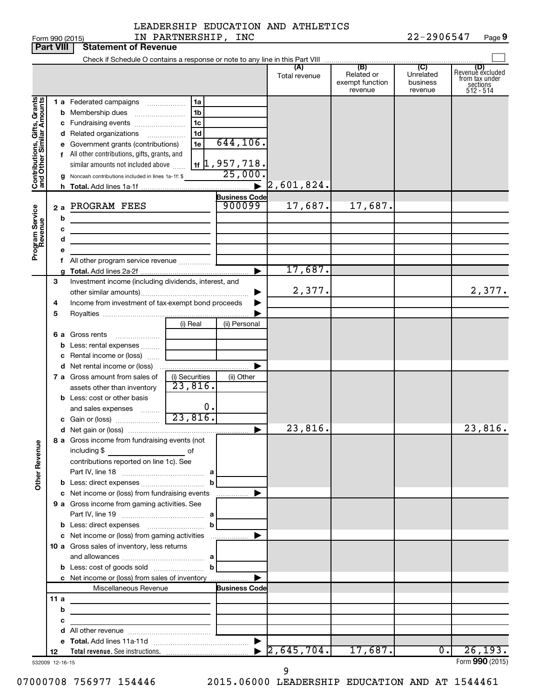| Form 990 (2015)                                           |     |                                                                                                                      | IN PARTNERSHIP, INC |                                         |                      |                                                 | 22-2906547                                         | Page 9                                                             |
|-----------------------------------------------------------|-----|----------------------------------------------------------------------------------------------------------------------|---------------------|-----------------------------------------|----------------------|-------------------------------------------------|----------------------------------------------------|--------------------------------------------------------------------|
| <b>Part VIII</b>                                          |     | <b>Statement of Revenue</b>                                                                                          |                     |                                         |                      |                                                 |                                                    |                                                                    |
|                                                           |     |                                                                                                                      |                     |                                         |                      |                                                 |                                                    |                                                                    |
|                                                           |     |                                                                                                                      |                     |                                         | (A)<br>Total revenue | (B)<br>Related or<br>exempt function<br>revenue | $\overline{C}$<br>Unrelated<br>business<br>revenue | (D)<br>Revenue excluded<br>from tax under<br>sections<br>512 - 514 |
|                                                           |     | 1 a Federated campaigns                                                                                              | 1a                  |                                         |                      |                                                 |                                                    |                                                                    |
| Contributions, Gifts, Grants<br>and Other Similar Amounts |     | <b>b</b> Membership dues                                                                                             | 1 <sub>b</sub>      |                                         |                      |                                                 |                                                    |                                                                    |
|                                                           |     | c Fundraising events                                                                                                 | 1 <sub>c</sub>      |                                         |                      |                                                 |                                                    |                                                                    |
|                                                           |     | d Related organizations<br>.                                                                                         | 1 <sub>d</sub>      |                                         |                      |                                                 |                                                    |                                                                    |
|                                                           |     | e Government grants (contributions)                                                                                  | 1e                  | 644, 106.                               |                      |                                                 |                                                    |                                                                    |
|                                                           |     | f All other contributions, gifts, grants, and                                                                        |                     |                                         |                      |                                                 |                                                    |                                                                    |
|                                                           |     | similar amounts not included above                                                                                   |                     | $\frac{11}{16}$ , 957, 718.<br>25, 000. |                      |                                                 |                                                    |                                                                    |
|                                                           |     | g Noncash contributions included in lines 1a-1f: \$                                                                  |                     |                                         | 2,601,824.           |                                                 |                                                    |                                                                    |
|                                                           |     |                                                                                                                      |                     | <b>Business Code</b>                    |                      |                                                 |                                                    |                                                                    |
|                                                           | 2 a | PROGRAM FEES                                                                                                         |                     | 900099                                  | 17,687.              | 17,687.                                         |                                                    |                                                                    |
|                                                           | b   |                                                                                                                      |                     |                                         |                      |                                                 |                                                    |                                                                    |
|                                                           | с   |                                                                                                                      |                     |                                         |                      |                                                 |                                                    |                                                                    |
|                                                           | d   | the control of the control of the control of the control of                                                          |                     |                                         |                      |                                                 |                                                    |                                                                    |
| Program Service<br>Revenue                                |     |                                                                                                                      |                     |                                         |                      |                                                 |                                                    |                                                                    |
|                                                           |     | All other program service revenue                                                                                    |                     |                                         |                      |                                                 |                                                    |                                                                    |
|                                                           |     |                                                                                                                      |                     |                                         | 17,687.              |                                                 |                                                    |                                                                    |
| З                                                         |     | Investment income (including dividends, interest, and                                                                |                     |                                         |                      |                                                 |                                                    |                                                                    |
|                                                           |     |                                                                                                                      |                     |                                         | 2,377.               |                                                 |                                                    | 2,377.                                                             |
| 4                                                         |     | Income from investment of tax-exempt bond proceeds                                                                   |                     |                                         |                      |                                                 |                                                    |                                                                    |
| 5                                                         |     |                                                                                                                      | (i) Real            | (ii) Personal                           |                      |                                                 |                                                    |                                                                    |
|                                                           |     | <b>6 a</b> Gross rents                                                                                               |                     |                                         |                      |                                                 |                                                    |                                                                    |
|                                                           |     | <b>b</b> Less: rental expenses                                                                                       |                     |                                         |                      |                                                 |                                                    |                                                                    |
|                                                           |     | c Rental income or (loss)                                                                                            |                     |                                         |                      |                                                 |                                                    |                                                                    |
|                                                           |     |                                                                                                                      |                     |                                         |                      |                                                 |                                                    |                                                                    |
|                                                           |     | 7 a Gross amount from sales of                                                                                       | (i) Securities      | (ii) Other                              |                      |                                                 |                                                    |                                                                    |
|                                                           |     | assets other than inventory                                                                                          | 23,816.             |                                         |                      |                                                 |                                                    |                                                                    |
|                                                           |     | <b>b</b> Less: cost or other basis                                                                                   |                     |                                         |                      |                                                 |                                                    |                                                                    |
|                                                           |     | and sales expenses<br>1.1.1.1.1.1.1                                                                                  | 0.<br>23,816.       |                                         |                      |                                                 |                                                    |                                                                    |
|                                                           |     | c Gain or (loss)                                                                                                     |                     |                                         | 23,816.              |                                                 |                                                    | 23,816.                                                            |
|                                                           |     | 8 a Gross income from fundraising events (not                                                                        |                     |                                         |                      |                                                 |                                                    |                                                                    |
| <b>Other Revenue</b>                                      |     | including \$                                                                                                         |                     |                                         |                      |                                                 |                                                    |                                                                    |
|                                                           |     | contributions reported on line 1c). See                                                                              |                     |                                         |                      |                                                 |                                                    |                                                                    |
|                                                           |     |                                                                                                                      |                     |                                         |                      |                                                 |                                                    |                                                                    |
|                                                           |     |                                                                                                                      |                     |                                         |                      |                                                 |                                                    |                                                                    |
|                                                           |     | c Net income or (loss) from fundraising events                                                                       |                     | -  ▶                                    |                      |                                                 |                                                    |                                                                    |
|                                                           |     | 9 a Gross income from gaming activities. See                                                                         |                     |                                         |                      |                                                 |                                                    |                                                                    |
|                                                           |     |                                                                                                                      |                     |                                         |                      |                                                 |                                                    |                                                                    |
|                                                           |     |                                                                                                                      |                     |                                         |                      |                                                 |                                                    |                                                                    |
|                                                           |     |                                                                                                                      |                     |                                         |                      |                                                 |                                                    |                                                                    |
|                                                           |     | 10 a Gross sales of inventory, less returns                                                                          |                     |                                         |                      |                                                 |                                                    |                                                                    |
|                                                           |     |                                                                                                                      |                     |                                         |                      |                                                 |                                                    |                                                                    |
|                                                           |     | c Net income or (loss) from sales of inventory                                                                       |                     |                                         |                      |                                                 |                                                    |                                                                    |
|                                                           |     | Miscellaneous Revenue                                                                                                |                     | <b>Business Code</b>                    |                      |                                                 |                                                    |                                                                    |
| 11 a                                                      |     |                                                                                                                      |                     |                                         |                      |                                                 |                                                    |                                                                    |
|                                                           | b   | <u> 1989 - Johann John Stone, markin fan it ferstjer fan it ferstjer fan it ferstjer fan it ferstjer fan it fers</u> |                     |                                         |                      |                                                 |                                                    |                                                                    |
|                                                           | с   | <u> 1989 - Johann Barn, amerikansk politiker (</u>                                                                   |                     |                                         |                      |                                                 |                                                    |                                                                    |
|                                                           |     |                                                                                                                      |                     |                                         |                      |                                                 |                                                    |                                                                    |
|                                                           |     |                                                                                                                      |                     |                                         | 2,645,704.           | 17,687.                                         | $\overline{0}$ .                                   | 26, 193.                                                           |
| 12<br>532009 12-16-15                                     |     |                                                                                                                      |                     |                                         |                      |                                                 |                                                    | Form 990 (2015)                                                    |

9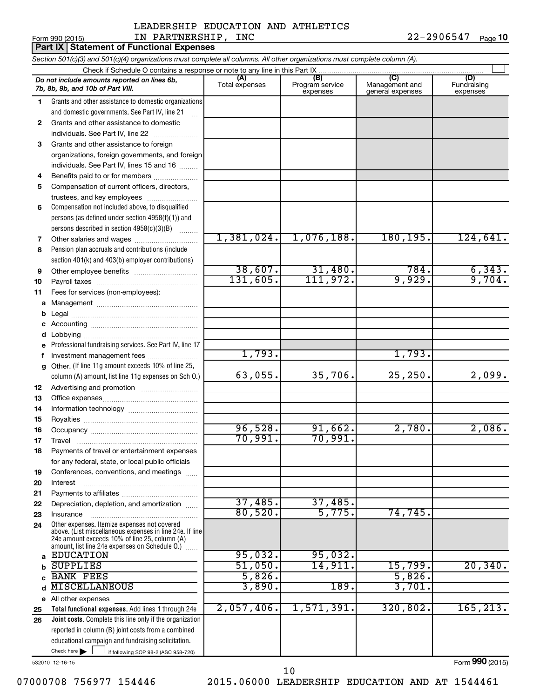# Form 990 (2015) Page IN PARTNERSHIP, INC 22-2906547 LEADERSHIP EDUCATION AND ATHLETICS

22-2906547 Page 10

|              | Part IX Statement of Functional Expenses                                                                                   |                       |                                    |                                           |                                |  |  |  |  |
|--------------|----------------------------------------------------------------------------------------------------------------------------|-----------------------|------------------------------------|-------------------------------------------|--------------------------------|--|--|--|--|
|              | Section 501(c)(3) and 501(c)(4) organizations must complete all columns. All other organizations must complete column (A). |                       |                                    |                                           |                                |  |  |  |  |
|              |                                                                                                                            |                       |                                    |                                           |                                |  |  |  |  |
|              | Do not include amounts reported on lines 6b,<br>7b, 8b, 9b, and 10b of Part VIII.                                          | (A)<br>Total expenses | (B)<br>Program service<br>expenses | (C)<br>Management and<br>general expenses | (D)<br>Fundraising<br>expenses |  |  |  |  |
| 1.           | Grants and other assistance to domestic organizations                                                                      |                       |                                    |                                           |                                |  |  |  |  |
|              | and domestic governments. See Part IV, line 21                                                                             |                       |                                    |                                           |                                |  |  |  |  |
| $\mathbf{2}$ | Grants and other assistance to domestic                                                                                    |                       |                                    |                                           |                                |  |  |  |  |
|              | individuals. See Part IV, line 22                                                                                          |                       |                                    |                                           |                                |  |  |  |  |
| 3            | Grants and other assistance to foreign                                                                                     |                       |                                    |                                           |                                |  |  |  |  |
|              | organizations, foreign governments, and foreign                                                                            |                       |                                    |                                           |                                |  |  |  |  |
|              | individuals. See Part IV, lines 15 and 16                                                                                  |                       |                                    |                                           |                                |  |  |  |  |
| 4            | Benefits paid to or for members                                                                                            |                       |                                    |                                           |                                |  |  |  |  |
| 5            | Compensation of current officers, directors,                                                                               |                       |                                    |                                           |                                |  |  |  |  |
|              | trustees, and key employees                                                                                                |                       |                                    |                                           |                                |  |  |  |  |
| 6            | Compensation not included above, to disqualified                                                                           |                       |                                    |                                           |                                |  |  |  |  |
|              | persons (as defined under section 4958(f)(1)) and                                                                          |                       |                                    |                                           |                                |  |  |  |  |
|              | persons described in section 4958(c)(3)(B)                                                                                 | 1,381,024.            | 1,076,188.                         | 180, 195.                                 | 124,641.                       |  |  |  |  |
| 7<br>8       | Other salaries and wages<br>Pension plan accruals and contributions (include                                               |                       |                                    |                                           |                                |  |  |  |  |
|              | section 401(k) and 403(b) employer contributions)                                                                          |                       |                                    |                                           |                                |  |  |  |  |
| 9            |                                                                                                                            | 38,607.               | 31,480.                            | 784.                                      |                                |  |  |  |  |
| 10           |                                                                                                                            | 131,605.              | 111,972.                           | 9,929.                                    | $\frac{6,343.}{9,704.}$        |  |  |  |  |
| 11           | Fees for services (non-employees):                                                                                         |                       |                                    |                                           |                                |  |  |  |  |
| а            |                                                                                                                            |                       |                                    |                                           |                                |  |  |  |  |
| b            |                                                                                                                            |                       |                                    |                                           |                                |  |  |  |  |
| c            |                                                                                                                            |                       |                                    |                                           |                                |  |  |  |  |
| d            |                                                                                                                            |                       |                                    |                                           |                                |  |  |  |  |
| е            | Professional fundraising services. See Part IV, line 17                                                                    |                       |                                    |                                           |                                |  |  |  |  |
| f            | Investment management fees                                                                                                 | 1,793.                |                                    | 1,793.                                    |                                |  |  |  |  |
| g            | Other. (If line 11g amount exceeds 10% of line 25,                                                                         |                       |                                    |                                           |                                |  |  |  |  |
|              | column (A) amount, list line 11g expenses on Sch O.)                                                                       | 63,055.               | 35,706.                            | 25, 250.                                  | 2,099.                         |  |  |  |  |
| 12           |                                                                                                                            |                       |                                    |                                           |                                |  |  |  |  |
| 13           |                                                                                                                            |                       |                                    |                                           |                                |  |  |  |  |
| 14           |                                                                                                                            |                       |                                    |                                           |                                |  |  |  |  |
| 15           |                                                                                                                            |                       |                                    |                                           |                                |  |  |  |  |
| 16           |                                                                                                                            | 96,528.               | 91,662.                            | 2,780.                                    | 2,086.                         |  |  |  |  |
| 17           | Travel                                                                                                                     | 70,991.               | 70,991.                            |                                           |                                |  |  |  |  |
| 18           | Payments of travel or entertainment expenses                                                                               |                       |                                    |                                           |                                |  |  |  |  |
|              | for any federal, state, or local public officials                                                                          |                       |                                    |                                           |                                |  |  |  |  |
| 19           | Conferences, conventions, and meetings                                                                                     |                       |                                    |                                           |                                |  |  |  |  |
| 20           | Interest                                                                                                                   |                       |                                    |                                           |                                |  |  |  |  |
| 21<br>22     | Depreciation, depletion, and amortization                                                                                  | 37,485.               | 37,485.                            |                                           |                                |  |  |  |  |
| 23           | Insurance                                                                                                                  | 80,520.               | 5,775.                             | 74,745.                                   |                                |  |  |  |  |
| 24           | Other expenses. Itemize expenses not covered                                                                               |                       |                                    |                                           |                                |  |  |  |  |
|              | above. (List miscellaneous expenses in line 24e. If line                                                                   |                       |                                    |                                           |                                |  |  |  |  |
|              | 24e amount exceeds 10% of line 25, column (A)<br>amount, list line 24e expenses on Schedule O.)                            |                       |                                    |                                           |                                |  |  |  |  |
| a            | <b>EDUCATION</b>                                                                                                           | 95,032.               | 95,032.                            |                                           |                                |  |  |  |  |
|              | <b>SUPPLIES</b>                                                                                                            | 51,050.               | 14,911.                            | 15,799.                                   | 20, 340.                       |  |  |  |  |
|              | <b>BANK FEES</b>                                                                                                           | 5,826.                |                                    | 5,826.                                    |                                |  |  |  |  |
|              | <b>MISCELLANEOUS</b>                                                                                                       | 3,890.                | 189.                               | 3,701.                                    |                                |  |  |  |  |
|              | e All other expenses                                                                                                       |                       |                                    |                                           |                                |  |  |  |  |
| 25           | Total functional expenses. Add lines 1 through 24e                                                                         | 2,057,406.            | 1,571,391.                         | 320,802.                                  | 165, 213.                      |  |  |  |  |
| 26           | Joint costs. Complete this line only if the organization                                                                   |                       |                                    |                                           |                                |  |  |  |  |
|              | reported in column (B) joint costs from a combined                                                                         |                       |                                    |                                           |                                |  |  |  |  |
|              | educational campaign and fundraising solicitation.                                                                         |                       |                                    |                                           |                                |  |  |  |  |
|              | Check here<br>if following SOP 98-2 (ASC 958-720)                                                                          |                       |                                    |                                           |                                |  |  |  |  |

532010 12-16-15

07000708 756977 154446 2015.06000 LEADERSHIP EDUCATION AND AT 1544461 10

Form (2015) **990**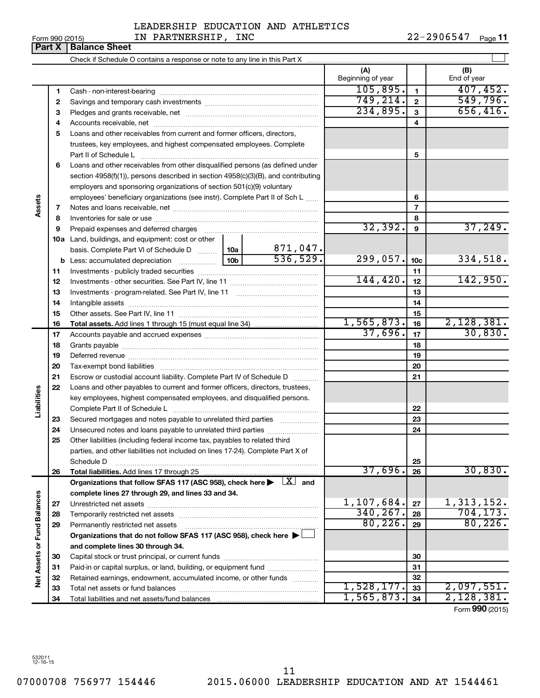| Form 990 (2015) |  |
|-----------------|--|
|-----------------|--|

# LEADERSHIP EDUCATION AND ATHLETICS

22-2906547 Page 11

Form 990 (2015)  $IN$  PARTNERSHIP, INC  $22-2906547$  Page **Part X Balance Sheet**

|                      |    |                                                                                                                                                                               |                                                                                   |          | (A)<br>Beginning of year |                 | (B)<br>End of year |
|----------------------|----|-------------------------------------------------------------------------------------------------------------------------------------------------------------------------------|-----------------------------------------------------------------------------------|----------|--------------------------|-----------------|--------------------|
|                      | 1  |                                                                                                                                                                               |                                                                                   |          | 105,895.                 | $\mathbf{1}$    | 407, 452.          |
|                      | 2  |                                                                                                                                                                               |                                                                                   |          | 749, 214.                | $\overline{2}$  | 549,796.           |
|                      | 3  |                                                                                                                                                                               |                                                                                   | 234,895. | $\mathbf{3}$             | 656,416.        |                    |
|                      | 4  |                                                                                                                                                                               |                                                                                   | 4        |                          |                 |                    |
|                      | 5  | Loans and other receivables from current and former officers, directors,                                                                                                      |                                                                                   |          |                          |                 |                    |
|                      |    | trustees, key employees, and highest compensated employees. Complete                                                                                                          |                                                                                   |          |                          |                 |                    |
|                      |    |                                                                                                                                                                               |                                                                                   |          |                          | 5               |                    |
|                      | 6  | Loans and other receivables from other disqualified persons (as defined under                                                                                                 |                                                                                   |          |                          |                 |                    |
|                      |    |                                                                                                                                                                               | section 4958(f)(1)), persons described in section 4958(c)(3)(B), and contributing |          |                          |                 |                    |
|                      |    | employers and sponsoring organizations of section 501(c)(9) voluntary                                                                                                         |                                                                                   |          |                          |                 |                    |
|                      |    | employees' beneficiary organizations (see instr). Complete Part II of Sch L                                                                                                   |                                                                                   |          |                          | 6               |                    |
| Assets               | 7  |                                                                                                                                                                               |                                                                                   |          |                          | $\overline{7}$  |                    |
|                      | 8  |                                                                                                                                                                               |                                                                                   |          |                          | 8               |                    |
|                      | 9  | Prepaid expenses and deferred charges                                                                                                                                         |                                                                                   |          | 32, 392.                 | 9               | 37,249.            |
|                      |    | <b>10a</b> Land, buildings, and equipment: cost or other                                                                                                                      |                                                                                   |          |                          |                 |                    |
|                      |    | basis. Complete Part VI of Schedule D  10a                                                                                                                                    |                                                                                   | 871,047. |                          |                 |                    |
|                      | b  |                                                                                                                                                                               | 10 <sub>b</sub>                                                                   | 536,529. | 299,057.                 | 10 <sub>c</sub> | 334,518.           |
|                      | 11 |                                                                                                                                                                               |                                                                                   |          |                          | 11              |                    |
|                      | 12 |                                                                                                                                                                               |                                                                                   | 144,420. | 12                       | 142,950.        |                    |
|                      | 13 |                                                                                                                                                                               |                                                                                   | 13       |                          |                 |                    |
|                      | 14 |                                                                                                                                                                               |                                                                                   |          | 14                       |                 |                    |
|                      | 15 |                                                                                                                                                                               |                                                                                   |          |                          | 15              |                    |
|                      | 16 |                                                                                                                                                                               |                                                                                   |          | 1,565,873.               | 16              | 2,128,381.         |
|                      | 17 |                                                                                                                                                                               |                                                                                   |          | 37,696.                  | 17              | 30,830.            |
|                      | 18 |                                                                                                                                                                               |                                                                                   | 18       |                          |                 |                    |
|                      | 19 |                                                                                                                                                                               |                                                                                   |          |                          | 19              |                    |
|                      | 20 |                                                                                                                                                                               |                                                                                   |          |                          | 20              |                    |
|                      | 21 | Escrow or custodial account liability. Complete Part IV of Schedule D                                                                                                         |                                                                                   |          |                          | 21              |                    |
|                      | 22 | Loans and other payables to current and former officers, directors, trustees,                                                                                                 |                                                                                   |          |                          |                 |                    |
|                      |    | key employees, highest compensated employees, and disqualified persons.                                                                                                       |                                                                                   |          |                          |                 |                    |
| Liabilities          |    |                                                                                                                                                                               |                                                                                   |          |                          | 22              |                    |
|                      | 23 | Secured mortgages and notes payable to unrelated third parties                                                                                                                |                                                                                   |          |                          | 23              |                    |
|                      | 24 |                                                                                                                                                                               |                                                                                   |          |                          | 24              |                    |
|                      | 25 | Other liabilities (including federal income tax, payables to related third                                                                                                    |                                                                                   |          |                          |                 |                    |
|                      |    | parties, and other liabilities not included on lines 17-24). Complete Part X of                                                                                               |                                                                                   |          |                          |                 |                    |
|                      |    | Schedule D                                                                                                                                                                    |                                                                                   |          | 37,696.                  | 25              | 30,830.            |
|                      | 26 |                                                                                                                                                                               |                                                                                   |          |                          | 26              |                    |
|                      |    | Organizations that follow SFAS 117 (ASC 958), check here $\blacktriangleright \begin{array}{c} \perp X \end{array}$ and<br>complete lines 27 through 29, and lines 33 and 34. |                                                                                   |          |                          |                 |                    |
|                      | 27 |                                                                                                                                                                               |                                                                                   |          | 1,107,684.               | 27              | 1,313,152.         |
|                      | 28 |                                                                                                                                                                               |                                                                                   |          | 340, 267.                | 28              | 704, 173.          |
|                      | 29 | Permanently restricted net assets                                                                                                                                             |                                                                                   |          | 80, 226.                 | 29              | 80, 226.           |
| <b>Fund Balances</b> |    | Organizations that do not follow SFAS 117 (ASC 958), check here $\blacktriangleright$                                                                                         |                                                                                   |          |                          |                 |                    |
|                      |    | and complete lines 30 through 34.                                                                                                                                             |                                                                                   |          |                          |                 |                    |
| Net Assets or        | 30 |                                                                                                                                                                               |                                                                                   |          |                          | 30              |                    |
|                      | 31 | Paid-in or capital surplus, or land, building, or equipment fund                                                                                                              |                                                                                   |          |                          | 31              |                    |
|                      | 32 | Retained earnings, endowment, accumulated income, or other funds                                                                                                              |                                                                                   |          |                          | 32              |                    |
|                      | 33 |                                                                                                                                                                               |                                                                                   |          | 1,528,177.               | 33              | 2,097,551.         |
|                      | 34 |                                                                                                                                                                               |                                                                                   |          | 1,565,873.               | 34              | 2,128,381.         |
|                      |    |                                                                                                                                                                               |                                                                                   |          |                          |                 |                    |

Form (2015) **990**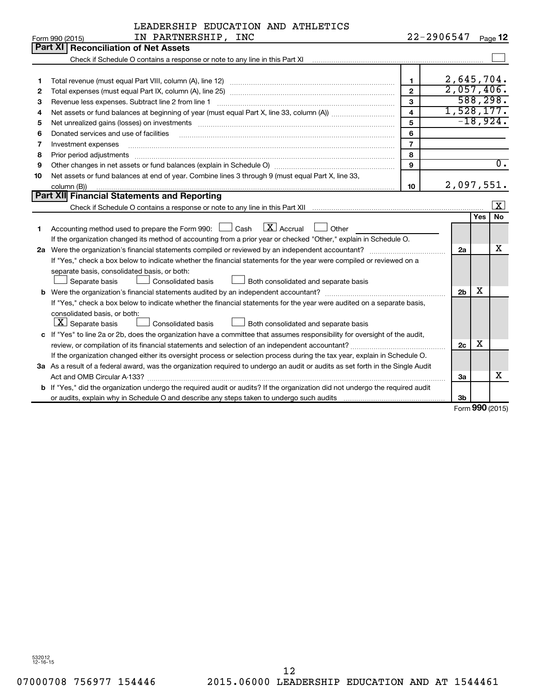| LEADERSHIP EDUCATION AND ATHLETICS |  |  |
|------------------------------------|--|--|
|                                    |  |  |

|    | IN PARTNERSHIP, INC<br>Form 990 (2015)                                                                                               |                         | 22-2906547     |            | Page 12             |
|----|--------------------------------------------------------------------------------------------------------------------------------------|-------------------------|----------------|------------|---------------------|
|    | Part XI Reconciliation of Net Assets                                                                                                 |                         |                |            |                     |
|    |                                                                                                                                      |                         |                |            |                     |
|    |                                                                                                                                      |                         |                |            |                     |
| 1  |                                                                                                                                      | $\mathbf{1}$            | 2,645,704.     |            |                     |
| 2  |                                                                                                                                      | $\overline{2}$          | 2,057,406.     |            |                     |
| З  | Revenue less expenses. Subtract line 2 from line 1                                                                                   | 3                       |                |            | 588, 298.           |
| 4  |                                                                                                                                      | $\overline{\mathbf{4}}$ | 1,528,177.     |            |                     |
| 5  |                                                                                                                                      | 5                       |                |            | $-18,924.$          |
| 6  | Donated services and use of facilities                                                                                               | 6                       |                |            |                     |
| 7  | Investment expenses                                                                                                                  | $\overline{7}$          |                |            |                     |
| 8  | Prior period adjustments                                                                                                             | 8                       |                |            |                     |
| 9  |                                                                                                                                      | $\mathbf{Q}$            |                |            | $\overline{0}$ .    |
| 10 | Net assets or fund balances at end of year. Combine lines 3 through 9 (must equal Part X, line 33,                                   |                         |                |            |                     |
|    | column (B))                                                                                                                          | 10                      | 2,097,551.     |            |                     |
|    | Part XII Financial Statements and Reporting                                                                                          |                         |                |            |                     |
|    |                                                                                                                                      |                         |                |            | $\lfloor x \rfloor$ |
|    |                                                                                                                                      |                         |                | <b>Yes</b> | <b>No</b>           |
| 1  | Accounting method used to prepare the Form 990: $\Box$ Cash $\Box X$ Accrual<br>$\Box$ Other                                         |                         |                |            |                     |
|    | If the organization changed its method of accounting from a prior year or checked "Other," explain in Schedule O.                    |                         |                |            |                     |
|    |                                                                                                                                      |                         | 2a             |            | x                   |
|    | If "Yes," check a box below to indicate whether the financial statements for the year were compiled or reviewed on a                 |                         |                |            |                     |
|    | separate basis, consolidated basis, or both:                                                                                         |                         |                |            |                     |
|    | Separate basis<br>Both consolidated and separate basis<br>Consolidated basis                                                         |                         |                |            |                     |
|    |                                                                                                                                      |                         | 2 <sub>b</sub> | х          |                     |
|    | If "Yes," check a box below to indicate whether the financial statements for the year were audited on a separate basis,              |                         |                |            |                     |
|    | consolidated basis, or both:                                                                                                         |                         |                |            |                     |
|    | $ \mathbf{X} $ Separate basis<br>Consolidated basis<br>Both consolidated and separate basis                                          |                         |                |            |                     |
|    | c If "Yes" to line 2a or 2b, does the organization have a committee that assumes responsibility for oversight of the audit,          |                         |                |            |                     |
|    | review, or compilation of its financial statements and selection of an independent accountant?                                       |                         | 2c             | х          |                     |
|    | If the organization changed either its oversight process or selection process during the tax year, explain in Schedule O.            |                         |                |            |                     |
|    | 3a As a result of a federal award, was the organization required to undergo an audit or audits as set forth in the Single Audit      |                         |                |            |                     |
|    |                                                                                                                                      |                         | За             |            | X                   |
|    | <b>b</b> If "Yes," did the organization undergo the required audit or audits? If the organization did not undergo the required audit |                         |                |            |                     |
|    |                                                                                                                                      |                         | Зb             |            |                     |

Form (2015) **990**

532012 12-16-15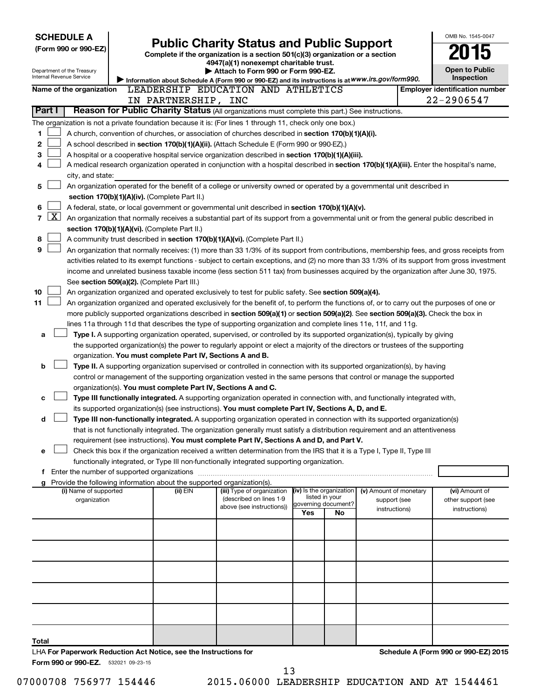| <b>SCHEDULE A</b> |                                                                                                                                                                                                |                                                                                                                                                                            |                                                                        |                                                                                                                                            |     |                                            |                               |  | OMB No. 1545-0047                                                                                                                             |
|-------------------|------------------------------------------------------------------------------------------------------------------------------------------------------------------------------------------------|----------------------------------------------------------------------------------------------------------------------------------------------------------------------------|------------------------------------------------------------------------|--------------------------------------------------------------------------------------------------------------------------------------------|-----|--------------------------------------------|-------------------------------|--|-----------------------------------------------------------------------------------------------------------------------------------------------|
|                   | (Form 990 or 990-EZ)                                                                                                                                                                           |                                                                                                                                                                            |                                                                        | <b>Public Charity Status and Public Support</b>                                                                                            |     |                                            |                               |  |                                                                                                                                               |
|                   |                                                                                                                                                                                                |                                                                                                                                                                            |                                                                        | Complete if the organization is a section 501(c)(3) organization or a section<br>4947(a)(1) nonexempt charitable trust.                    |     |                                            |                               |  |                                                                                                                                               |
|                   | Department of the Treasury                                                                                                                                                                     |                                                                                                                                                                            |                                                                        | Attach to Form 990 or Form 990-EZ.                                                                                                         |     |                                            |                               |  | <b>Open to Public</b>                                                                                                                         |
|                   | Internal Revenue Service                                                                                                                                                                       |                                                                                                                                                                            |                                                                        | Information about Schedule A (Form 990 or 990-EZ) and its instructions is at WWW.irs.gov/form990.                                          |     |                                            |                               |  | Inspection                                                                                                                                    |
|                   | Name of the organization                                                                                                                                                                       |                                                                                                                                                                            |                                                                        | LEADERSHIP EDUCATION AND ATHLETICS                                                                                                         |     |                                            |                               |  | <b>Employer identification number</b>                                                                                                         |
| Part I            |                                                                                                                                                                                                |                                                                                                                                                                            | IN PARTNERSHIP, INC                                                    | Reason for Public Charity Status (All organizations must complete this part.) See instructions.                                            |     |                                            |                               |  | 22-2906547                                                                                                                                    |
|                   |                                                                                                                                                                                                |                                                                                                                                                                            |                                                                        |                                                                                                                                            |     |                                            |                               |  |                                                                                                                                               |
|                   |                                                                                                                                                                                                |                                                                                                                                                                            |                                                                        | The organization is not a private foundation because it is: (For lines 1 through 11, check only one box.)                                  |     |                                            |                               |  |                                                                                                                                               |
| 1                 |                                                                                                                                                                                                |                                                                                                                                                                            |                                                                        | A church, convention of churches, or association of churches described in section 170(b)(1)(A)(i).                                         |     |                                            |                               |  |                                                                                                                                               |
| 2<br>3            | A school described in section 170(b)(1)(A)(ii). (Attach Schedule E (Form 990 or 990-EZ).)<br>A hospital or a cooperative hospital service organization described in section 170(b)(1)(A)(iii). |                                                                                                                                                                            |                                                                        |                                                                                                                                            |     |                                            |                               |  |                                                                                                                                               |
| 4                 |                                                                                                                                                                                                |                                                                                                                                                                            |                                                                        | A medical research organization operated in conjunction with a hospital described in section 170(b)(1)(A)(iii). Enter the hospital's name, |     |                                            |                               |  |                                                                                                                                               |
|                   | city, and state:                                                                                                                                                                               |                                                                                                                                                                            |                                                                        |                                                                                                                                            |     |                                            |                               |  |                                                                                                                                               |
| 5                 |                                                                                                                                                                                                |                                                                                                                                                                            |                                                                        |                                                                                                                                            |     |                                            |                               |  |                                                                                                                                               |
|                   |                                                                                                                                                                                                | An organization operated for the benefit of a college or university owned or operated by a governmental unit described in<br>section 170(b)(1)(A)(iv). (Complete Part II.) |                                                                        |                                                                                                                                            |     |                                            |                               |  |                                                                                                                                               |
| 6                 |                                                                                                                                                                                                |                                                                                                                                                                            |                                                                        | A federal, state, or local government or governmental unit described in section $170(b)(1)(A)(v)$ .                                        |     |                                            |                               |  |                                                                                                                                               |
| $\overline{7}$    | $\mathbf{X}$                                                                                                                                                                                   |                                                                                                                                                                            |                                                                        | An organization that normally receives a substantial part of its support from a governmental unit or from the general public described in  |     |                                            |                               |  |                                                                                                                                               |
|                   |                                                                                                                                                                                                |                                                                                                                                                                            | section 170(b)(1)(A)(vi). (Complete Part II.)                          |                                                                                                                                            |     |                                            |                               |  |                                                                                                                                               |
| 8                 |                                                                                                                                                                                                |                                                                                                                                                                            |                                                                        | A community trust described in section 170(b)(1)(A)(vi). (Complete Part II.)                                                               |     |                                            |                               |  |                                                                                                                                               |
| 9                 |                                                                                                                                                                                                |                                                                                                                                                                            |                                                                        | An organization that normally receives: (1) more than 33 1/3% of its support from contributions, membership fees, and gross receipts from  |     |                                            |                               |  |                                                                                                                                               |
|                   |                                                                                                                                                                                                |                                                                                                                                                                            |                                                                        |                                                                                                                                            |     |                                            |                               |  | activities related to its exempt functions - subject to certain exceptions, and (2) no more than 33 1/3% of its support from gross investment |
|                   |                                                                                                                                                                                                |                                                                                                                                                                            |                                                                        | income and unrelated business taxable income (less section 511 tax) from businesses acquired by the organization after June 30, 1975.      |     |                                            |                               |  |                                                                                                                                               |
|                   |                                                                                                                                                                                                |                                                                                                                                                                            | See section 509(a)(2). (Complete Part III.)                            |                                                                                                                                            |     |                                            |                               |  |                                                                                                                                               |
| 10                |                                                                                                                                                                                                |                                                                                                                                                                            |                                                                        | An organization organized and operated exclusively to test for public safety. See section 509(a)(4).                                       |     |                                            |                               |  |                                                                                                                                               |
| 11                |                                                                                                                                                                                                |                                                                                                                                                                            |                                                                        | An organization organized and operated exclusively for the benefit of, to perform the functions of, or to carry out the purposes of one or |     |                                            |                               |  |                                                                                                                                               |
|                   |                                                                                                                                                                                                |                                                                                                                                                                            |                                                                        | more publicly supported organizations described in section 509(a)(1) or section 509(a)(2). See section 509(a)(3). Check the box in         |     |                                            |                               |  |                                                                                                                                               |
|                   |                                                                                                                                                                                                |                                                                                                                                                                            |                                                                        | lines 11a through 11d that describes the type of supporting organization and complete lines 11e, 11f, and 11g.                             |     |                                            |                               |  |                                                                                                                                               |
| a                 |                                                                                                                                                                                                |                                                                                                                                                                            |                                                                        | Type I. A supporting organization operated, supervised, or controlled by its supported organization(s), typically by giving                |     |                                            |                               |  |                                                                                                                                               |
|                   |                                                                                                                                                                                                |                                                                                                                                                                            |                                                                        | the supported organization(s) the power to regularly appoint or elect a majority of the directors or trustees of the supporting            |     |                                            |                               |  |                                                                                                                                               |
|                   |                                                                                                                                                                                                |                                                                                                                                                                            | organization. You must complete Part IV, Sections A and B.             |                                                                                                                                            |     |                                            |                               |  |                                                                                                                                               |
| b                 |                                                                                                                                                                                                |                                                                                                                                                                            |                                                                        | Type II. A supporting organization supervised or controlled in connection with its supported organization(s), by having                    |     |                                            |                               |  |                                                                                                                                               |
|                   |                                                                                                                                                                                                |                                                                                                                                                                            | organization(s). You must complete Part IV, Sections A and C.          | control or management of the supporting organization vested in the same persons that control or manage the supported                       |     |                                            |                               |  |                                                                                                                                               |
| c                 |                                                                                                                                                                                                |                                                                                                                                                                            |                                                                        | Type III functionally integrated. A supporting organization operated in connection with, and functionally integrated with,                 |     |                                            |                               |  |                                                                                                                                               |
|                   |                                                                                                                                                                                                |                                                                                                                                                                            |                                                                        | its supported organization(s) (see instructions). You must complete Part IV, Sections A, D, and E.                                         |     |                                            |                               |  |                                                                                                                                               |
| d                 |                                                                                                                                                                                                |                                                                                                                                                                            |                                                                        | Type III non-functionally integrated. A supporting organization operated in connection with its supported organization(s)                  |     |                                            |                               |  |                                                                                                                                               |
|                   |                                                                                                                                                                                                |                                                                                                                                                                            |                                                                        | that is not functionally integrated. The organization generally must satisfy a distribution requirement and an attentiveness               |     |                                            |                               |  |                                                                                                                                               |
|                   |                                                                                                                                                                                                |                                                                                                                                                                            |                                                                        | requirement (see instructions). You must complete Part IV, Sections A and D, and Part V.                                                   |     |                                            |                               |  |                                                                                                                                               |
| е                 |                                                                                                                                                                                                |                                                                                                                                                                            |                                                                        | Check this box if the organization received a written determination from the IRS that it is a Type I, Type II, Type III                    |     |                                            |                               |  |                                                                                                                                               |
|                   |                                                                                                                                                                                                |                                                                                                                                                                            |                                                                        | functionally integrated, or Type III non-functionally integrated supporting organization.                                                  |     |                                            |                               |  |                                                                                                                                               |
|                   | f Enter the number of supported organizations                                                                                                                                                  |                                                                                                                                                                            |                                                                        |                                                                                                                                            |     |                                            |                               |  |                                                                                                                                               |
|                   |                                                                                                                                                                                                |                                                                                                                                                                            | Provide the following information about the supported organization(s). |                                                                                                                                            |     |                                            |                               |  |                                                                                                                                               |
|                   | (i) Name of supported                                                                                                                                                                          |                                                                                                                                                                            | (ii) EIN                                                               | (iii) Type of organization                                                                                                                 |     | (iv) Is the organization<br>listed in your | (v) Amount of monetary        |  | (vi) Amount of                                                                                                                                |
|                   | organization                                                                                                                                                                                   |                                                                                                                                                                            |                                                                        | (described on lines 1-9<br>above (see instructions))                                                                                       |     | governing document?                        | support (see<br>instructions) |  | other support (see<br>instructions)                                                                                                           |
|                   |                                                                                                                                                                                                |                                                                                                                                                                            |                                                                        |                                                                                                                                            | Yes | No                                         |                               |  |                                                                                                                                               |
|                   |                                                                                                                                                                                                |                                                                                                                                                                            |                                                                        |                                                                                                                                            |     |                                            |                               |  |                                                                                                                                               |
|                   |                                                                                                                                                                                                |                                                                                                                                                                            |                                                                        |                                                                                                                                            |     |                                            |                               |  |                                                                                                                                               |
|                   |                                                                                                                                                                                                |                                                                                                                                                                            |                                                                        |                                                                                                                                            |     |                                            |                               |  |                                                                                                                                               |
|                   |                                                                                                                                                                                                |                                                                                                                                                                            |                                                                        |                                                                                                                                            |     |                                            |                               |  |                                                                                                                                               |
|                   |                                                                                                                                                                                                |                                                                                                                                                                            |                                                                        |                                                                                                                                            |     |                                            |                               |  |                                                                                                                                               |
|                   |                                                                                                                                                                                                |                                                                                                                                                                            |                                                                        |                                                                                                                                            |     |                                            |                               |  |                                                                                                                                               |
|                   |                                                                                                                                                                                                |                                                                                                                                                                            |                                                                        |                                                                                                                                            |     |                                            |                               |  |                                                                                                                                               |
|                   |                                                                                                                                                                                                |                                                                                                                                                                            |                                                                        |                                                                                                                                            |     |                                            |                               |  |                                                                                                                                               |
|                   |                                                                                                                                                                                                |                                                                                                                                                                            |                                                                        |                                                                                                                                            |     |                                            |                               |  |                                                                                                                                               |
|                   |                                                                                                                                                                                                |                                                                                                                                                                            |                                                                        |                                                                                                                                            |     |                                            |                               |  |                                                                                                                                               |
| Total             |                                                                                                                                                                                                |                                                                                                                                                                            |                                                                        |                                                                                                                                            |     |                                            |                               |  |                                                                                                                                               |
|                   |                                                                                                                                                                                                |                                                                                                                                                                            | LHA For Paperwork Reduction Act Notice, see the Instructions for       |                                                                                                                                            |     |                                            |                               |  | Schedule A (Form 990 or 990-EZ) 2015                                                                                                          |
|                   | Form 990 or 990-EZ. 532021 09-23-15                                                                                                                                                            |                                                                                                                                                                            |                                                                        |                                                                                                                                            |     |                                            |                               |  |                                                                                                                                               |

07000708 756977 154446 2015.06000 LEADERSHIP EDUCATION AND AT 1544461 13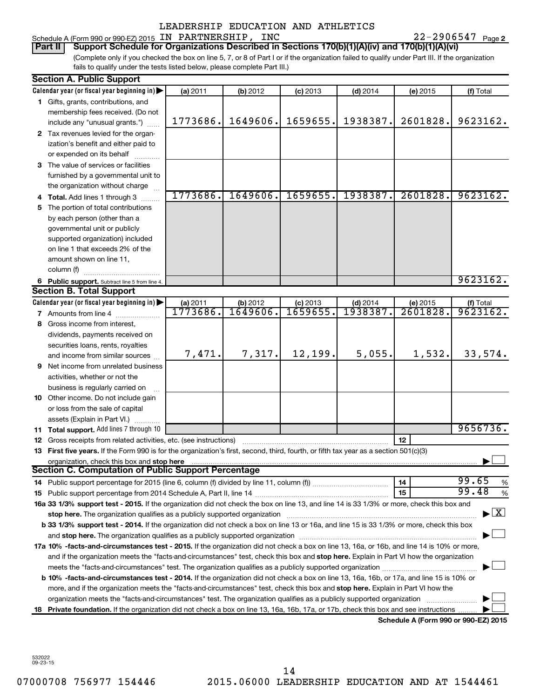# Schedule A (Form 990 or 990-EZ) 2015 Page IN PARTNERSHIP, INC 22-2906547 LEADERSHIP EDUCATION AND ATHLETICS

22-2906547 Page 2

(Complete only if you checked the box on line 5, 7, or 8 of Part I or if the organization failed to qualify under Part III. If the organization **Part II Support Schedule for Organizations Described in Sections 170(b)(1)(A)(iv) and 170(b)(1)(A)(vi)**

fails to qualify under the tests listed below, please complete Part III.)

|     | <b>Section A. Public Support</b>                                                                                                                                                                                              |          |          |            |            |                                      |               |  |  |
|-----|-------------------------------------------------------------------------------------------------------------------------------------------------------------------------------------------------------------------------------|----------|----------|------------|------------|--------------------------------------|---------------|--|--|
|     | Calendar year (or fiscal year beginning in)                                                                                                                                                                                   | (a) 2011 | (b) 2012 | $(c)$ 2013 | $(d)$ 2014 | (e) 2015                             | (f) Total     |  |  |
|     | 1 Gifts, grants, contributions, and                                                                                                                                                                                           |          |          |            |            |                                      |               |  |  |
|     | membership fees received. (Do not                                                                                                                                                                                             |          |          |            |            |                                      |               |  |  |
|     | include any "unusual grants.")                                                                                                                                                                                                | 1773686. | 1649606. | 1659655.   | 1938387.   | 2601828.                             | 9623162.      |  |  |
|     | 2 Tax revenues levied for the organ-                                                                                                                                                                                          |          |          |            |            |                                      |               |  |  |
|     | ization's benefit and either paid to                                                                                                                                                                                          |          |          |            |            |                                      |               |  |  |
|     | or expended on its behalf                                                                                                                                                                                                     |          |          |            |            |                                      |               |  |  |
|     | 3 The value of services or facilities                                                                                                                                                                                         |          |          |            |            |                                      |               |  |  |
|     | furnished by a governmental unit to                                                                                                                                                                                           |          |          |            |            |                                      |               |  |  |
|     | the organization without charge                                                                                                                                                                                               |          |          |            |            |                                      |               |  |  |
|     | 4 Total. Add lines 1 through 3                                                                                                                                                                                                | 1773686. | 1649606. | 1659655.   | 1938387.   | 2601828.                             | 9623162.      |  |  |
| 5.  | The portion of total contributions                                                                                                                                                                                            |          |          |            |            |                                      |               |  |  |
|     | by each person (other than a                                                                                                                                                                                                  |          |          |            |            |                                      |               |  |  |
|     | governmental unit or publicly                                                                                                                                                                                                 |          |          |            |            |                                      |               |  |  |
|     | supported organization) included                                                                                                                                                                                              |          |          |            |            |                                      |               |  |  |
|     | on line 1 that exceeds 2% of the                                                                                                                                                                                              |          |          |            |            |                                      |               |  |  |
|     | amount shown on line 11,                                                                                                                                                                                                      |          |          |            |            |                                      |               |  |  |
|     | column (f)                                                                                                                                                                                                                    |          |          |            |            |                                      |               |  |  |
|     | 6 Public support. Subtract line 5 from line 4.                                                                                                                                                                                |          |          |            |            |                                      | 9623162.      |  |  |
|     | <b>Section B. Total Support</b>                                                                                                                                                                                               |          |          |            |            |                                      |               |  |  |
|     | Calendar year (or fiscal year beginning in)                                                                                                                                                                                   | (a) 2011 | (b) 2012 | $(c)$ 2013 | $(d)$ 2014 | (e) 2015                             | (f) Total     |  |  |
|     | <b>7</b> Amounts from line 4                                                                                                                                                                                                  | 1773686. | 1649606. | 1659655    | 1938387    | $\overline{2601828}$                 | 9623162.      |  |  |
|     | 8 Gross income from interest,                                                                                                                                                                                                 |          |          |            |            |                                      |               |  |  |
|     | dividends, payments received on                                                                                                                                                                                               |          |          |            |            |                                      |               |  |  |
|     | securities loans, rents, royalties                                                                                                                                                                                            |          |          |            |            |                                      |               |  |  |
|     | and income from similar sources                                                                                                                                                                                               | 7,471.   | 7,317.   | 12, 199.   | 5,055.     | 1,532.                               | 33,574.       |  |  |
|     | <b>9</b> Net income from unrelated business                                                                                                                                                                                   |          |          |            |            |                                      |               |  |  |
|     | activities, whether or not the                                                                                                                                                                                                |          |          |            |            |                                      |               |  |  |
|     | business is regularly carried on                                                                                                                                                                                              |          |          |            |            |                                      |               |  |  |
|     | 10 Other income. Do not include gain                                                                                                                                                                                          |          |          |            |            |                                      |               |  |  |
|     | or loss from the sale of capital                                                                                                                                                                                              |          |          |            |            |                                      |               |  |  |
|     | assets (Explain in Part VI.)                                                                                                                                                                                                  |          |          |            |            |                                      |               |  |  |
|     | 11 Total support. Add lines 7 through 10                                                                                                                                                                                      |          |          |            |            |                                      | 9656736.      |  |  |
|     | <b>12</b> Gross receipts from related activities, etc. (see instructions)                                                                                                                                                     |          |          |            |            | 12                                   |               |  |  |
|     | 13 First five years. If the Form 990 is for the organization's first, second, third, fourth, or fifth tax year as a section 501(c)(3)                                                                                         |          |          |            |            |                                      |               |  |  |
|     | organization, check this box and stop here                                                                                                                                                                                    |          |          |            |            |                                      |               |  |  |
|     | <b>Section C. Computation of Public Support Percentage</b>                                                                                                                                                                    |          |          |            |            |                                      |               |  |  |
|     |                                                                                                                                                                                                                               |          |          |            |            | 14                                   | 99.65<br>%    |  |  |
|     |                                                                                                                                                                                                                               |          |          |            |            | 15                                   | 99.48<br>$\%$ |  |  |
|     | 16a 33 1/3% support test - 2015. If the organization did not check the box on line 13, and line 14 is 33 1/3% or more, check this box and                                                                                     |          |          |            |            |                                      |               |  |  |
|     | stop here. The organization qualifies as a publicly supported organization manufaction manufacture or the organization manufacture or the state of the state of the state of the state of the state of the state of the state |          |          |            |            |                                      | $\mathbf{X}$  |  |  |
|     | b 33 1/3% support test - 2014. If the organization did not check a box on line 13 or 16a, and line 15 is 33 1/3% or more, check this box                                                                                      |          |          |            |            |                                      |               |  |  |
|     |                                                                                                                                                                                                                               |          |          |            |            |                                      |               |  |  |
|     | 17a 10% -facts-and-circumstances test - 2015. If the organization did not check a box on line 13, 16a, or 16b, and line 14 is 10% or more,                                                                                    |          |          |            |            |                                      |               |  |  |
|     | and if the organization meets the "facts-and-circumstances" test, check this box and stop here. Explain in Part VI how the organization                                                                                       |          |          |            |            |                                      |               |  |  |
|     |                                                                                                                                                                                                                               |          |          |            |            |                                      |               |  |  |
|     | <b>b 10%</b> -facts-and-circumstances test - 2014. If the organization did not check a box on line 13, 16a, 16b, or 17a, and line 15 is 10% or                                                                                |          |          |            |            |                                      |               |  |  |
|     | more, and if the organization meets the "facts-and-circumstances" test, check this box and stop here. Explain in Part VI how the                                                                                              |          |          |            |            |                                      |               |  |  |
|     | organization meets the "facts-and-circumstances" test. The organization qualifies as a publicly supported organization                                                                                                        |          |          |            |            |                                      |               |  |  |
| 18. | Private foundation. If the organization did not check a box on line 13, 16a, 16b, 17a, or 17b, check this box and see instructions                                                                                            |          |          |            |            |                                      |               |  |  |
|     |                                                                                                                                                                                                                               |          |          |            |            | Schedule A (Form 990 or 990-EZ) 2015 |               |  |  |

532022 09-23-15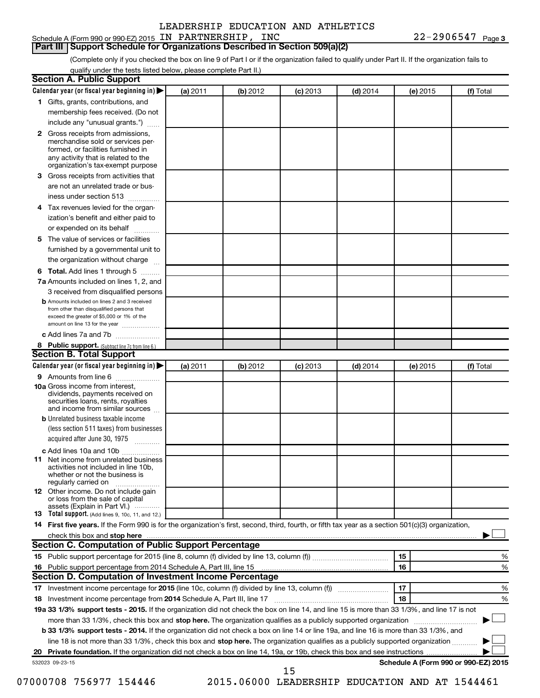### Schedule A (Form 990 or 990-EZ) 2015 Page IN PARTNERSHIP, INC 22-2906547

### **Part III Support Schedule for Organizations Described in Section 509(a)(2)**

(Complete only if you checked the box on line 9 of Part I or if the organization failed to qualify under Part II. If the organization fails to qualify under the tests listed below, please complete Part II.)

| Calendar year (or fiscal year beginning in)                                                                                                                                                                                                               | (a) 2011 | (b) 2012                                       | $(c)$ 2013 | $(d)$ 2014 |    | (e) 2015 | (f) Total                            |
|-----------------------------------------------------------------------------------------------------------------------------------------------------------------------------------------------------------------------------------------------------------|----------|------------------------------------------------|------------|------------|----|----------|--------------------------------------|
| 1 Gifts, grants, contributions, and                                                                                                                                                                                                                       |          |                                                |            |            |    |          |                                      |
| membership fees received. (Do not                                                                                                                                                                                                                         |          |                                                |            |            |    |          |                                      |
| include any "unusual grants.")                                                                                                                                                                                                                            |          |                                                |            |            |    |          |                                      |
| Gross receipts from admissions,<br>$\mathbf{2}$<br>merchandise sold or services per-<br>formed, or facilities furnished in<br>any activity that is related to the                                                                                         |          |                                                |            |            |    |          |                                      |
| organization's tax-exempt purpose                                                                                                                                                                                                                         |          |                                                |            |            |    |          |                                      |
| Gross receipts from activities that<br>3                                                                                                                                                                                                                  |          |                                                |            |            |    |          |                                      |
| are not an unrelated trade or bus-                                                                                                                                                                                                                        |          |                                                |            |            |    |          |                                      |
| iness under section 513                                                                                                                                                                                                                                   |          |                                                |            |            |    |          |                                      |
| Tax revenues levied for the organ-<br>4                                                                                                                                                                                                                   |          |                                                |            |            |    |          |                                      |
| ization's benefit and either paid to<br>or expended on its behalf<br>.                                                                                                                                                                                    |          |                                                |            |            |    |          |                                      |
| The value of services or facilities<br>5                                                                                                                                                                                                                  |          |                                                |            |            |    |          |                                      |
| furnished by a governmental unit to<br>the organization without charge                                                                                                                                                                                    |          |                                                |            |            |    |          |                                      |
| Total. Add lines 1 through 5                                                                                                                                                                                                                              |          |                                                |            |            |    |          |                                      |
| 6<br>7a Amounts included on lines 1, 2, and                                                                                                                                                                                                               |          |                                                |            |            |    |          |                                      |
| 3 received from disqualified persons                                                                                                                                                                                                                      |          |                                                |            |            |    |          |                                      |
| <b>b</b> Amounts included on lines 2 and 3 received                                                                                                                                                                                                       |          |                                                |            |            |    |          |                                      |
| from other than disqualified persons that<br>exceed the greater of \$5,000 or 1% of the<br>amount on line 13 for the year                                                                                                                                 |          |                                                |            |            |    |          |                                      |
| c Add lines 7a and 7b                                                                                                                                                                                                                                     |          |                                                |            |            |    |          |                                      |
| 8 Public support. (Subtract line 7c from line 6.)                                                                                                                                                                                                         |          |                                                |            |            |    |          |                                      |
| <b>Section B. Total Support</b>                                                                                                                                                                                                                           |          |                                                |            |            |    |          |                                      |
| Calendar year (or fiscal year beginning in)                                                                                                                                                                                                               | (a) 2011 | (b) 2012                                       | $(c)$ 2013 | $(d)$ 2014 |    | (e) 2015 | (f) Total                            |
| 9 Amounts from line 6                                                                                                                                                                                                                                     |          |                                                |            |            |    |          |                                      |
| <b>10a</b> Gross income from interest,<br>dividends, payments received on<br>securities loans, rents, royalties<br>and income from similar sources                                                                                                        |          |                                                |            |            |    |          |                                      |
| <b>b</b> Unrelated business taxable income                                                                                                                                                                                                                |          |                                                |            |            |    |          |                                      |
| (less section 511 taxes) from businesses<br>acquired after June 30, 1975                                                                                                                                                                                  |          |                                                |            |            |    |          |                                      |
| c Add lines 10a and 10b                                                                                                                                                                                                                                   |          |                                                |            |            |    |          |                                      |
| Net income from unrelated business<br>11<br>activities not included in line 10b.<br>whether or not the business is<br>regularly carried on                                                                                                                |          |                                                |            |            |    |          |                                      |
| <b>12</b> Other income. Do not include gain<br>or loss from the sale of capital<br>assets (Explain in Part VI.)                                                                                                                                           |          |                                                |            |            |    |          |                                      |
| <b>13</b> Total support. (Add lines 9, 10c, 11, and 12.)                                                                                                                                                                                                  |          |                                                |            |            |    |          |                                      |
| 14 First five years. If the Form 990 is for the organization's first, second, third, fourth, or fifth tax year as a section 501(c)(3) organization,                                                                                                       |          |                                                |            |            |    |          |                                      |
|                                                                                                                                                                                                                                                           |          |                                                |            |            |    |          |                                      |
| Section C. Computation of Public Support Percentage                                                                                                                                                                                                       |          |                                                |            |            |    |          |                                      |
|                                                                                                                                                                                                                                                           |          |                                                |            |            | 15 |          | %                                    |
|                                                                                                                                                                                                                                                           |          |                                                |            |            | 16 |          | %                                    |
| Section D. Computation of Investment Income Percentage                                                                                                                                                                                                    |          |                                                |            |            |    |          |                                      |
|                                                                                                                                                                                                                                                           |          |                                                |            |            | 17 |          | %                                    |
|                                                                                                                                                                                                                                                           |          |                                                |            |            | 18 |          | %                                    |
| 19a 33 1/3% support tests - 2015. If the organization did not check the box on line 14, and line 15 is more than 33 1/3%, and line 17 is not                                                                                                              |          |                                                |            |            |    |          |                                      |
|                                                                                                                                                                                                                                                           |          |                                                |            |            |    |          |                                      |
| more than 33 1/3%, check this box and stop here. The organization qualifies as a publicly supported organization<br>b 33 1/3% support tests - 2014. If the organization did not check a box on line 14 or line 19a, and line 16 is more than 33 1/3%, and |          |                                                |            |            |    |          |                                      |
| line 18 is not more than 33 1/3%, check this box and stop here. The organization qualifies as a publicly supported organization                                                                                                                           |          |                                                |            |            |    |          |                                      |
|                                                                                                                                                                                                                                                           |          |                                                |            |            |    |          |                                      |
| 532023 09-23-15                                                                                                                                                                                                                                           |          |                                                |            |            |    |          | Schedule A (Form 990 or 990-EZ) 2015 |
| 07000708 756977 154446                                                                                                                                                                                                                                    |          | 2015.06000 LEADERSHIP EDUCATION AND AT 1544461 | 15         |            |    |          |                                      |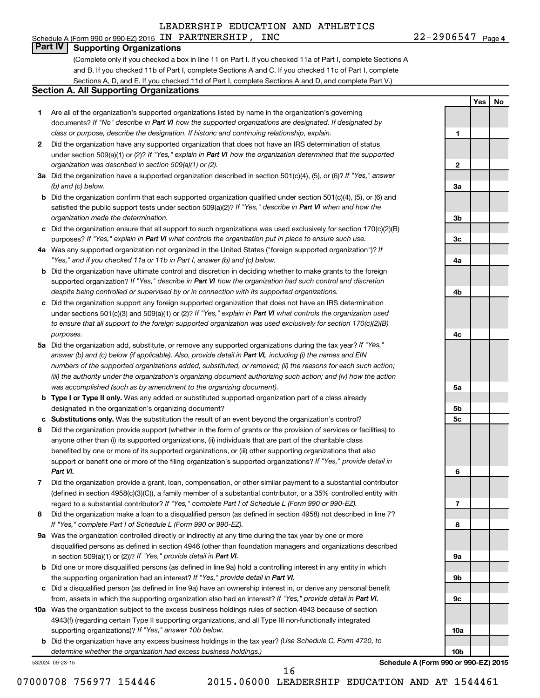#### 22-2906547 Page 4 Schedule A (Form 990 or 990-EZ) 2015 Page IN PARTNERSHIP, INC 22-2906547

**1**

**2**

**3a**

**3b**

**3c**

**4a**

**4b**

**4c**

**5a**

**5b 5c**

**6**

**7**

**8**

**9a**

**9b**

**9c**

**10a**

**10b**

**Yes No**

# **Part IV Supporting Organizations**

(Complete only if you checked a box in line 11 on Part I. If you checked 11a of Part I, complete Sections A and B. If you checked 11b of Part I, complete Sections A and C. If you checked 11c of Part I, complete Sections A, D, and E. If you checked 11d of Part I, complete Sections A and D, and complete Part V.)

### **Section A. All Supporting Organizations**

- **1** Are all of the organization's supported organizations listed by name in the organization's governing documents? If "No" describe in Part VI how the supported organizations are designated. If designated by *class or purpose, describe the designation. If historic and continuing relationship, explain.*
- **2** Did the organization have any supported organization that does not have an IRS determination of status under section 509(a)(1) or (2)? If "Yes," explain in Part VI how the organization determined that the supported *organization was described in section 509(a)(1) or (2).*
- **3a** Did the organization have a supported organization described in section 501(c)(4), (5), or (6)? If "Yes," answer *(b) and (c) below.*
- **b** Did the organization confirm that each supported organization qualified under section 501(c)(4), (5), or (6) and satisfied the public support tests under section 509(a)(2)? If "Yes," describe in Part VI when and how the *organization made the determination.*
- **c** Did the organization ensure that all support to such organizations was used exclusively for section 170(c)(2)(B) purposes? If "Yes," explain in Part VI what controls the organization put in place to ensure such use.
- **4 a** *If* Was any supported organization not organized in the United States ("foreign supported organization")? *"Yes," and if you checked 11a or 11b in Part I, answer (b) and (c) below.*
- **b** Did the organization have ultimate control and discretion in deciding whether to make grants to the foreign supported organization? If "Yes," describe in Part VI how the organization had such control and discretion *despite being controlled or supervised by or in connection with its supported organizations.*
- **c** Did the organization support any foreign supported organization that does not have an IRS determination under sections 501(c)(3) and 509(a)(1) or (2)? If "Yes," explain in Part VI what controls the organization used *to ensure that all support to the foreign supported organization was used exclusively for section 170(c)(2)(B) purposes.*
- **5a** Did the organization add, substitute, or remove any supported organizations during the tax year? If "Yes," answer (b) and (c) below (if applicable). Also, provide detail in Part VI, including (i) the names and EIN *numbers of the supported organizations added, substituted, or removed; (ii) the reasons for each such action; (iii) the authority under the organization's organizing document authorizing such action; and (iv) how the action was accomplished (such as by amendment to the organizing document).*
- **b Type I or Type II only.** Was any added or substituted supported organization part of a class already designated in the organization's organizing document?
- **c Substitutions only.**  Was the substitution the result of an event beyond the organization's control?
- **6** Did the organization provide support (whether in the form of grants or the provision of services or facilities) to support or benefit one or more of the filing organization's supported organizations? If "Yes," provide detail in anyone other than (i) its supported organizations, (ii) individuals that are part of the charitable class benefited by one or more of its supported organizations, or (iii) other supporting organizations that also *Part VI.*
- **7** Did the organization provide a grant, loan, compensation, or other similar payment to a substantial contributor regard to a substantial contributor? If "Yes," complete Part I of Schedule L (Form 990 or 990-EZ). (defined in section 4958(c)(3)(C)), a family member of a substantial contributor, or a 35% controlled entity with
- **8** Did the organization make a loan to a disqualified person (as defined in section 4958) not described in line 7? *If "Yes," complete Part I of Schedule L (Form 990 or 990-EZ).*
- **9 a** Was the organization controlled directly or indirectly at any time during the tax year by one or more in section 509(a)(1) or (2))? If "Yes," provide detail in Part VI. disqualified persons as defined in section 4946 (other than foundation managers and organizations described
- **b** Did one or more disqualified persons (as defined in line 9a) hold a controlling interest in any entity in which the supporting organization had an interest? If "Yes," provide detail in Part VI.
- **c** Did a disqualified person (as defined in line 9a) have an ownership interest in, or derive any personal benefit from, assets in which the supporting organization also had an interest? If "Yes," provide detail in Part VI.
- **10 a** Was the organization subject to the excess business holdings rules of section 4943 because of section supporting organizations)? If "Yes," answer 10b below. 4943(f) (regarding certain Type II supporting organizations, and all Type III non-functionally integrated
	- **b** Did the organization have any excess business holdings in the tax year? (Use Schedule C, Form 4720, to *determine whether the organization had excess business holdings.)*

532024 09-23-15

**Schedule A (Form 990 or 990-EZ) 2015**

16

07000708 756977 154446 2015.06000 LEADERSHIP EDUCATION AND AT 1544461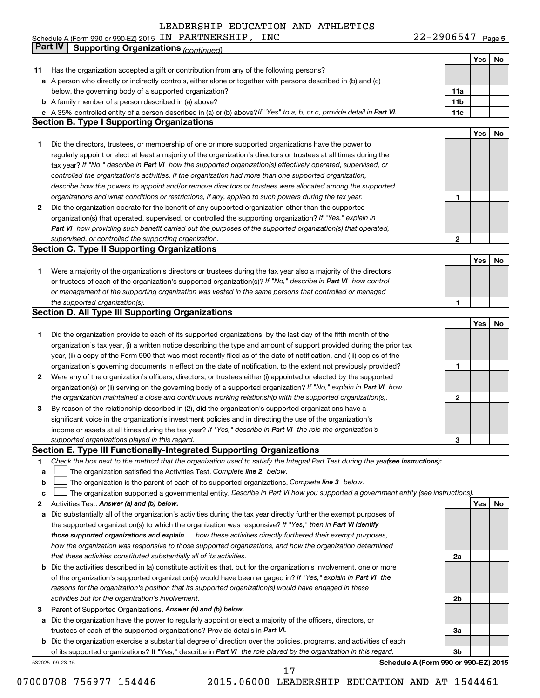22-2906547 Page 5 Schedule A (Form 990 or 990-EZ) 2015 Page IN PARTNERSHIP, INC 22-2906547

|    | Part IV<br><b>Supporting Organizations (continued)</b>                                                                          |                 |            |    |
|----|---------------------------------------------------------------------------------------------------------------------------------|-----------------|------------|----|
|    |                                                                                                                                 |                 | Yes        | No |
| 11 | Has the organization accepted a gift or contribution from any of the following persons?                                         |                 |            |    |
|    | a A person who directly or indirectly controls, either alone or together with persons described in (b) and (c)                  |                 |            |    |
|    | below, the governing body of a supported organization?                                                                          | 11a             |            |    |
|    | <b>b</b> A family member of a person described in (a) above?                                                                    | 11 <sub>b</sub> |            |    |
|    | c A 35% controlled entity of a person described in (a) or (b) above? If "Yes" to a, b, or c, provide detail in Part VI.         | 11c             |            |    |
|    | <b>Section B. Type I Supporting Organizations</b>                                                                               |                 |            |    |
|    |                                                                                                                                 |                 | Yes        | No |
| 1  | Did the directors, trustees, or membership of one or more supported organizations have the power to                             |                 |            |    |
|    | regularly appoint or elect at least a majority of the organization's directors or trustees at all times during the              |                 |            |    |
|    | tax year? If "No," describe in Part VI how the supported organization(s) effectively operated, supervised, or                   |                 |            |    |
|    | controlled the organization's activities. If the organization had more than one supported organization,                         |                 |            |    |
|    | describe how the powers to appoint and/or remove directors or trustees were allocated among the supported                       |                 |            |    |
|    | organizations and what conditions or restrictions, if any, applied to such powers during the tax year.                          | 1               |            |    |
| 2  | Did the organization operate for the benefit of any supported organization other than the supported                             |                 |            |    |
|    | organization(s) that operated, supervised, or controlled the supporting organization? If "Yes," explain in                      |                 |            |    |
|    | Part VI how providing such benefit carried out the purposes of the supported organization(s) that operated,                     |                 |            |    |
|    | supervised, or controlled the supporting organization.                                                                          | 2               |            |    |
|    | <b>Section C. Type II Supporting Organizations</b>                                                                              |                 |            |    |
|    |                                                                                                                                 |                 | Yes        | No |
| 1. | Were a majority of the organization's directors or trustees during the tax year also a majority of the directors                |                 |            |    |
|    | or trustees of each of the organization's supported organization(s)? If "No," describe in Part VI how control                   |                 |            |    |
|    | or management of the supporting organization was vested in the same persons that controlled or managed                          |                 |            |    |
|    | the supported organization(s).                                                                                                  | 1               |            |    |
|    | <b>Section D. All Type III Supporting Organizations</b>                                                                         |                 |            |    |
|    |                                                                                                                                 |                 | Yes        | No |
| 1  | Did the organization provide to each of its supported organizations, by the last day of the fifth month of the                  |                 |            |    |
|    | organization's tax year, (i) a written notice describing the type and amount of support provided during the prior tax           |                 |            |    |
|    | year, (ii) a copy of the Form 990 that was most recently filed as of the date of notification, and (iii) copies of the          |                 |            |    |
|    | organization's governing documents in effect on the date of notification, to the extent not previously provided?                | 1               |            |    |
| 2  | Were any of the organization's officers, directors, or trustees either (i) appointed or elected by the supported                |                 |            |    |
|    | organization(s) or (ii) serving on the governing body of a supported organization? If "No," explain in Part VI how              |                 |            |    |
|    | the organization maintained a close and continuous working relationship with the supported organization(s).                     | 2               |            |    |
| 3  | By reason of the relationship described in (2), did the organization's supported organizations have a                           |                 |            |    |
|    | significant voice in the organization's investment policies and in directing the use of the organization's                      |                 |            |    |
|    | income or assets at all times during the tax year? If "Yes," describe in Part VI the role the organization's                    |                 |            |    |
|    | supported organizations played in this regard.                                                                                  | з               |            |    |
|    | Section E. Type III Functionally-Integrated Supporting Organizations                                                            |                 |            |    |
| 1  | Check the box next to the method that the organization used to satisfy the Integral Part Test during the yealsee instructions): |                 |            |    |
| a  | The organization satisfied the Activities Test. Complete line 2 below.                                                          |                 |            |    |
| b  | The organization is the parent of each of its supported organizations. Complete line 3 below.                                   |                 |            |    |
| с  | The organization supported a governmental entity. Describe in Part VI how you supported a government entity (see instructions). |                 |            |    |
| 2  | Activities Test. Answer (a) and (b) below.                                                                                      |                 | <b>Yes</b> | No |
| а  | Did substantially all of the organization's activities during the tax year directly further the exempt purposes of              |                 |            |    |
|    | the supported organization(s) to which the organization was responsive? If "Yes," then in Part VI identify                      |                 |            |    |
|    | those supported organizations and explain<br>how these activities directly furthered their exempt purposes,                     |                 |            |    |
|    | how the organization was responsive to those supported organizations, and how the organization determined                       |                 |            |    |
|    | that these activities constituted substantially all of its activities.                                                          | 2a              |            |    |
|    | b Did the activities described in (a) constitute activities that, but for the organization's involvement, one or more           |                 |            |    |
|    | of the organization's supported organization(s) would have been engaged in? If "Yes," explain in Part VI the                    |                 |            |    |
|    | reasons for the organization's position that its supported organization(s) would have engaged in these                          |                 |            |    |
|    | activities but for the organization's involvement.                                                                              | 2b              |            |    |
| з  | Parent of Supported Organizations. Answer (a) and (b) below.                                                                    |                 |            |    |
| а  | Did the organization have the power to regularly appoint or elect a majority of the officers, directors, or                     |                 |            |    |
|    | trustees of each of the supported organizations? Provide details in Part VI.                                                    | За              |            |    |
|    | <b>b</b> Did the organization exercise a substantial degree of direction over the policies, programs, and activities of each    |                 |            |    |
|    | of its supported organizations? If "Yes," describe in Part VI the role played by the organization in this regard.               | Зb              |            |    |
|    | Schedule A (Form 990 or 990-EZ) 2015<br>532025 09-23-15                                                                         |                 |            |    |

07000708 756977 154446 2015.06000 LEADERSHIP EDUCATION AND AT 1544461

17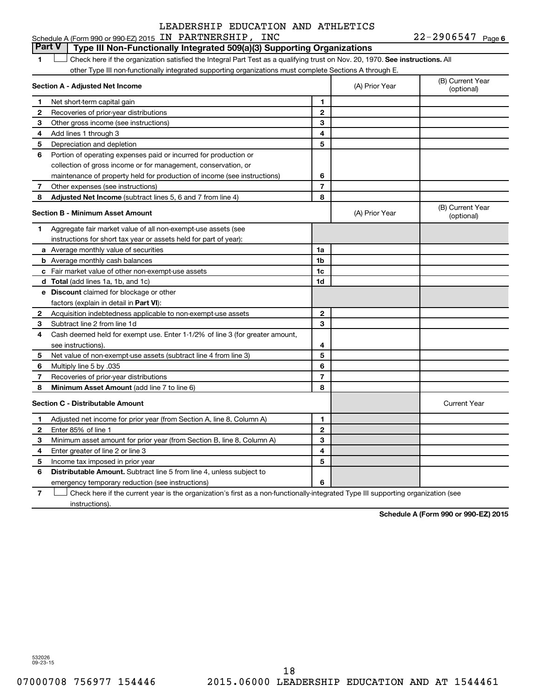## Schedule A (Form 990 or 990-EZ) 2015 Page IN PARTNERSHIP, INC 22-2906547 LEADERSHIP EDUCATION AND ATHLETICS

22-2906547 Page 6

#### 1  $\Box$  Check here if the organization satisfied the Integral Part Test as a qualifying trust on Nov. 20, 1970. See instructions. All **Section A - Adjusted Net Income 1 2 3 4 5 6 7 8 1 2 3 4 5 6 7 Adjusted Net Income** (subtract lines 5, 6 and 7 from line 4) **8 8 Section B - Minimum Asset Amount 1 2 3 4 5 6 7 8 a** Average monthly value of securities **b** Average monthly cash balances **c** Fair market value of other non-exempt-use assets **d Total**  (add lines 1a, 1b, and 1c) **e Discount** claimed for blockage or other **1a 1b 1c 1d 2 3 4 5 6 7 8** factors (explain in detail in Part VI): **Minimum Asset Amount**  (add line 7 to line 6) **Section C - Distributable Amount 1 2 3 4 5 6 1 2 3 4 5 6** Distributable Amount. Subtract line 5 from line 4, unless subject to other Type III non-functionally integrated supporting organizations must complete Sections A through E. (B) Current Year (A) Prior Year Net short-term capital gain Recoveries of prior-year distributions Other gross income (see instructions) Add lines 1 through 3 Depreciation and depletion Portion of operating expenses paid or incurred for production or collection of gross income or for management, conservation, or maintenance of property held for production of income (see instructions) Other expenses (see instructions) (B) Current Year  $(A)$  Prior Year  $\left\{\n\begin{array}{ccc}\n\end{array}\n\right\}$  (optional) Aggregate fair market value of all non-exempt-use assets (see instructions for short tax year or assets held for part of year): Acquisition indebtedness applicable to non-exempt-use assets Subtract line 2 from line 1d Cash deemed held for exempt use. Enter 1-1/2% of line 3 (for greater amount, see instructions). Net value of non-exempt-use assets (subtract line 4 from line 3) Multiply line 5 by .035 Recoveries of prior-year distributions Current Year Adjusted net income for prior year (from Section A, line 8, Column A) Enter 85% of line 1 Minimum asset amount for prior year (from Section B, line 8, Column A) Enter greater of line 2 or line 3 Income tax imposed in prior year emergency temporary reduction (see instructions) **Part V Type III Non-Functionally Integrated 509(a)(3) Supporting Organizations**   $\Box$

**7** Check here if the current year is the organization's first as a non-functionally-integrated Type III supporting organization (see † instructions).

**Schedule A (Form 990 or 990-EZ) 2015**

532026 09-23-15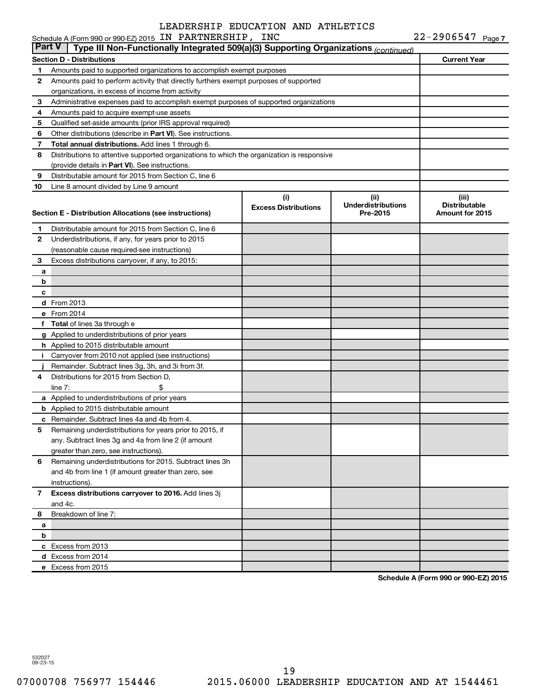| ∣ Part V∣<br>Type III Non-Functionally Integrated 509(a)(3) Supporting Organizations (continued)<br><b>Current Year</b><br><b>Section D - Distributions</b><br>Amounts paid to supported organizations to accomplish exempt purposes<br>1<br>Amounts paid to perform activity that directly furthers exempt purposes of supported<br>2<br>organizations, in excess of income from activity<br>Administrative expenses paid to accomplish exempt purposes of supported organizations<br>З<br>4<br>Amounts paid to acquire exempt-use assets<br>5<br>Qualified set-aside amounts (prior IRS approval required)<br>6<br>Other distributions (describe in <b>Part VI</b> ). See instructions.<br>Total annual distributions. Add lines 1 through 6.<br>7<br>8<br>Distributions to attentive supported organizations to which the organization is responsive<br>(provide details in Part VI). See instructions.<br>Distributable amount for 2015 from Section C, line 6<br>9<br>10<br>Line 8 amount divided by Line 9 amount<br>(i)<br>(ii)<br>(iii)<br><b>Underdistributions</b><br><b>Distributable</b><br><b>Excess Distributions</b><br>Pre-2015<br><b>Amount for 2015</b><br>Distributable amount for 2015 from Section C, line 6<br>1.<br>Underdistributions, if any, for years prior to 2015<br>2<br>(reasonable cause required-see instructions)<br>Excess distributions carryover, if any, to 2015:<br>3<br>a<br>b<br>c<br><b>d</b> From 2013<br>e From 2014<br>f Total of lines 3a through e<br>g Applied to underdistributions of prior years<br><b>h</b> Applied to 2015 distributable amount<br>Carryover from 2010 not applied (see instructions)<br>Ť.<br>Remainder. Subtract lines 3g, 3h, and 3i from 3f.<br>Distributions for 2015 from Section D,<br>4<br>line $7:$<br>a Applied to underdistributions of prior years<br><b>b</b> Applied to 2015 distributable amount<br><b>c</b> Remainder. Subtract lines 4a and 4b from 4.<br>Remaining underdistributions for years prior to 2015, if<br>any. Subtract lines 3g and 4a from line 2 (if amount<br>greater than zero, see instructions).<br>Remaining underdistributions for 2015. Subtract lines 3h<br>6<br>and 4b from line 1 (if amount greater than zero, see<br>instructions).<br>Excess distributions carryover to 2016. Add lines 3j<br>7<br>and 4c.<br>Breakdown of line 7:<br>8<br>a<br>b<br>c Excess from 2013<br>d Excess from 2014<br>e Excess from 2015 | Schedule A (Form 990 or 990-EZ) 2015 IN PARTNERSHIP, INC |  | $22 - 2906547$ Page 7 |
|---------------------------------------------------------------------------------------------------------------------------------------------------------------------------------------------------------------------------------------------------------------------------------------------------------------------------------------------------------------------------------------------------------------------------------------------------------------------------------------------------------------------------------------------------------------------------------------------------------------------------------------------------------------------------------------------------------------------------------------------------------------------------------------------------------------------------------------------------------------------------------------------------------------------------------------------------------------------------------------------------------------------------------------------------------------------------------------------------------------------------------------------------------------------------------------------------------------------------------------------------------------------------------------------------------------------------------------------------------------------------------------------------------------------------------------------------------------------------------------------------------------------------------------------------------------------------------------------------------------------------------------------------------------------------------------------------------------------------------------------------------------------------------------------------------------------------------------------------------------------------------------------------------------------------------------------------------------------------------------------------------------------------------------------------------------------------------------------------------------------------------------------------------------------------------------------------------------------------------------------------------------------------------------------------------------------------------------------------------------------------------------------------------------------------------------|----------------------------------------------------------|--|-----------------------|
| Section E - Distribution Allocations (see instructions)                                                                                                                                                                                                                                                                                                                                                                                                                                                                                                                                                                                                                                                                                                                                                                                                                                                                                                                                                                                                                                                                                                                                                                                                                                                                                                                                                                                                                                                                                                                                                                                                                                                                                                                                                                                                                                                                                                                                                                                                                                                                                                                                                                                                                                                                                                                                                                               |                                                          |  |                       |
|                                                                                                                                                                                                                                                                                                                                                                                                                                                                                                                                                                                                                                                                                                                                                                                                                                                                                                                                                                                                                                                                                                                                                                                                                                                                                                                                                                                                                                                                                                                                                                                                                                                                                                                                                                                                                                                                                                                                                                                                                                                                                                                                                                                                                                                                                                                                                                                                                                       |                                                          |  |                       |
|                                                                                                                                                                                                                                                                                                                                                                                                                                                                                                                                                                                                                                                                                                                                                                                                                                                                                                                                                                                                                                                                                                                                                                                                                                                                                                                                                                                                                                                                                                                                                                                                                                                                                                                                                                                                                                                                                                                                                                                                                                                                                                                                                                                                                                                                                                                                                                                                                                       |                                                          |  |                       |
|                                                                                                                                                                                                                                                                                                                                                                                                                                                                                                                                                                                                                                                                                                                                                                                                                                                                                                                                                                                                                                                                                                                                                                                                                                                                                                                                                                                                                                                                                                                                                                                                                                                                                                                                                                                                                                                                                                                                                                                                                                                                                                                                                                                                                                                                                                                                                                                                                                       |                                                          |  |                       |
|                                                                                                                                                                                                                                                                                                                                                                                                                                                                                                                                                                                                                                                                                                                                                                                                                                                                                                                                                                                                                                                                                                                                                                                                                                                                                                                                                                                                                                                                                                                                                                                                                                                                                                                                                                                                                                                                                                                                                                                                                                                                                                                                                                                                                                                                                                                                                                                                                                       |                                                          |  |                       |
|                                                                                                                                                                                                                                                                                                                                                                                                                                                                                                                                                                                                                                                                                                                                                                                                                                                                                                                                                                                                                                                                                                                                                                                                                                                                                                                                                                                                                                                                                                                                                                                                                                                                                                                                                                                                                                                                                                                                                                                                                                                                                                                                                                                                                                                                                                                                                                                                                                       |                                                          |  |                       |
|                                                                                                                                                                                                                                                                                                                                                                                                                                                                                                                                                                                                                                                                                                                                                                                                                                                                                                                                                                                                                                                                                                                                                                                                                                                                                                                                                                                                                                                                                                                                                                                                                                                                                                                                                                                                                                                                                                                                                                                                                                                                                                                                                                                                                                                                                                                                                                                                                                       |                                                          |  |                       |
|                                                                                                                                                                                                                                                                                                                                                                                                                                                                                                                                                                                                                                                                                                                                                                                                                                                                                                                                                                                                                                                                                                                                                                                                                                                                                                                                                                                                                                                                                                                                                                                                                                                                                                                                                                                                                                                                                                                                                                                                                                                                                                                                                                                                                                                                                                                                                                                                                                       |                                                          |  |                       |
|                                                                                                                                                                                                                                                                                                                                                                                                                                                                                                                                                                                                                                                                                                                                                                                                                                                                                                                                                                                                                                                                                                                                                                                                                                                                                                                                                                                                                                                                                                                                                                                                                                                                                                                                                                                                                                                                                                                                                                                                                                                                                                                                                                                                                                                                                                                                                                                                                                       |                                                          |  |                       |
|                                                                                                                                                                                                                                                                                                                                                                                                                                                                                                                                                                                                                                                                                                                                                                                                                                                                                                                                                                                                                                                                                                                                                                                                                                                                                                                                                                                                                                                                                                                                                                                                                                                                                                                                                                                                                                                                                                                                                                                                                                                                                                                                                                                                                                                                                                                                                                                                                                       |                                                          |  |                       |
|                                                                                                                                                                                                                                                                                                                                                                                                                                                                                                                                                                                                                                                                                                                                                                                                                                                                                                                                                                                                                                                                                                                                                                                                                                                                                                                                                                                                                                                                                                                                                                                                                                                                                                                                                                                                                                                                                                                                                                                                                                                                                                                                                                                                                                                                                                                                                                                                                                       |                                                          |  |                       |
|                                                                                                                                                                                                                                                                                                                                                                                                                                                                                                                                                                                                                                                                                                                                                                                                                                                                                                                                                                                                                                                                                                                                                                                                                                                                                                                                                                                                                                                                                                                                                                                                                                                                                                                                                                                                                                                                                                                                                                                                                                                                                                                                                                                                                                                                                                                                                                                                                                       |                                                          |  |                       |
|                                                                                                                                                                                                                                                                                                                                                                                                                                                                                                                                                                                                                                                                                                                                                                                                                                                                                                                                                                                                                                                                                                                                                                                                                                                                                                                                                                                                                                                                                                                                                                                                                                                                                                                                                                                                                                                                                                                                                                                                                                                                                                                                                                                                                                                                                                                                                                                                                                       |                                                          |  |                       |
|                                                                                                                                                                                                                                                                                                                                                                                                                                                                                                                                                                                                                                                                                                                                                                                                                                                                                                                                                                                                                                                                                                                                                                                                                                                                                                                                                                                                                                                                                                                                                                                                                                                                                                                                                                                                                                                                                                                                                                                                                                                                                                                                                                                                                                                                                                                                                                                                                                       |                                                          |  |                       |
|                                                                                                                                                                                                                                                                                                                                                                                                                                                                                                                                                                                                                                                                                                                                                                                                                                                                                                                                                                                                                                                                                                                                                                                                                                                                                                                                                                                                                                                                                                                                                                                                                                                                                                                                                                                                                                                                                                                                                                                                                                                                                                                                                                                                                                                                                                                                                                                                                                       |                                                          |  |                       |
|                                                                                                                                                                                                                                                                                                                                                                                                                                                                                                                                                                                                                                                                                                                                                                                                                                                                                                                                                                                                                                                                                                                                                                                                                                                                                                                                                                                                                                                                                                                                                                                                                                                                                                                                                                                                                                                                                                                                                                                                                                                                                                                                                                                                                                                                                                                                                                                                                                       |                                                          |  |                       |
|                                                                                                                                                                                                                                                                                                                                                                                                                                                                                                                                                                                                                                                                                                                                                                                                                                                                                                                                                                                                                                                                                                                                                                                                                                                                                                                                                                                                                                                                                                                                                                                                                                                                                                                                                                                                                                                                                                                                                                                                                                                                                                                                                                                                                                                                                                                                                                                                                                       |                                                          |  |                       |
|                                                                                                                                                                                                                                                                                                                                                                                                                                                                                                                                                                                                                                                                                                                                                                                                                                                                                                                                                                                                                                                                                                                                                                                                                                                                                                                                                                                                                                                                                                                                                                                                                                                                                                                                                                                                                                                                                                                                                                                                                                                                                                                                                                                                                                                                                                                                                                                                                                       |                                                          |  |                       |
|                                                                                                                                                                                                                                                                                                                                                                                                                                                                                                                                                                                                                                                                                                                                                                                                                                                                                                                                                                                                                                                                                                                                                                                                                                                                                                                                                                                                                                                                                                                                                                                                                                                                                                                                                                                                                                                                                                                                                                                                                                                                                                                                                                                                                                                                                                                                                                                                                                       |                                                          |  |                       |
|                                                                                                                                                                                                                                                                                                                                                                                                                                                                                                                                                                                                                                                                                                                                                                                                                                                                                                                                                                                                                                                                                                                                                                                                                                                                                                                                                                                                                                                                                                                                                                                                                                                                                                                                                                                                                                                                                                                                                                                                                                                                                                                                                                                                                                                                                                                                                                                                                                       |                                                          |  |                       |
|                                                                                                                                                                                                                                                                                                                                                                                                                                                                                                                                                                                                                                                                                                                                                                                                                                                                                                                                                                                                                                                                                                                                                                                                                                                                                                                                                                                                                                                                                                                                                                                                                                                                                                                                                                                                                                                                                                                                                                                                                                                                                                                                                                                                                                                                                                                                                                                                                                       |                                                          |  |                       |
|                                                                                                                                                                                                                                                                                                                                                                                                                                                                                                                                                                                                                                                                                                                                                                                                                                                                                                                                                                                                                                                                                                                                                                                                                                                                                                                                                                                                                                                                                                                                                                                                                                                                                                                                                                                                                                                                                                                                                                                                                                                                                                                                                                                                                                                                                                                                                                                                                                       |                                                          |  |                       |
|                                                                                                                                                                                                                                                                                                                                                                                                                                                                                                                                                                                                                                                                                                                                                                                                                                                                                                                                                                                                                                                                                                                                                                                                                                                                                                                                                                                                                                                                                                                                                                                                                                                                                                                                                                                                                                                                                                                                                                                                                                                                                                                                                                                                                                                                                                                                                                                                                                       |                                                          |  |                       |
|                                                                                                                                                                                                                                                                                                                                                                                                                                                                                                                                                                                                                                                                                                                                                                                                                                                                                                                                                                                                                                                                                                                                                                                                                                                                                                                                                                                                                                                                                                                                                                                                                                                                                                                                                                                                                                                                                                                                                                                                                                                                                                                                                                                                                                                                                                                                                                                                                                       |                                                          |  |                       |
|                                                                                                                                                                                                                                                                                                                                                                                                                                                                                                                                                                                                                                                                                                                                                                                                                                                                                                                                                                                                                                                                                                                                                                                                                                                                                                                                                                                                                                                                                                                                                                                                                                                                                                                                                                                                                                                                                                                                                                                                                                                                                                                                                                                                                                                                                                                                                                                                                                       |                                                          |  |                       |
|                                                                                                                                                                                                                                                                                                                                                                                                                                                                                                                                                                                                                                                                                                                                                                                                                                                                                                                                                                                                                                                                                                                                                                                                                                                                                                                                                                                                                                                                                                                                                                                                                                                                                                                                                                                                                                                                                                                                                                                                                                                                                                                                                                                                                                                                                                                                                                                                                                       |                                                          |  |                       |
|                                                                                                                                                                                                                                                                                                                                                                                                                                                                                                                                                                                                                                                                                                                                                                                                                                                                                                                                                                                                                                                                                                                                                                                                                                                                                                                                                                                                                                                                                                                                                                                                                                                                                                                                                                                                                                                                                                                                                                                                                                                                                                                                                                                                                                                                                                                                                                                                                                       |                                                          |  |                       |
|                                                                                                                                                                                                                                                                                                                                                                                                                                                                                                                                                                                                                                                                                                                                                                                                                                                                                                                                                                                                                                                                                                                                                                                                                                                                                                                                                                                                                                                                                                                                                                                                                                                                                                                                                                                                                                                                                                                                                                                                                                                                                                                                                                                                                                                                                                                                                                                                                                       |                                                          |  |                       |
|                                                                                                                                                                                                                                                                                                                                                                                                                                                                                                                                                                                                                                                                                                                                                                                                                                                                                                                                                                                                                                                                                                                                                                                                                                                                                                                                                                                                                                                                                                                                                                                                                                                                                                                                                                                                                                                                                                                                                                                                                                                                                                                                                                                                                                                                                                                                                                                                                                       |                                                          |  |                       |
|                                                                                                                                                                                                                                                                                                                                                                                                                                                                                                                                                                                                                                                                                                                                                                                                                                                                                                                                                                                                                                                                                                                                                                                                                                                                                                                                                                                                                                                                                                                                                                                                                                                                                                                                                                                                                                                                                                                                                                                                                                                                                                                                                                                                                                                                                                                                                                                                                                       |                                                          |  |                       |
|                                                                                                                                                                                                                                                                                                                                                                                                                                                                                                                                                                                                                                                                                                                                                                                                                                                                                                                                                                                                                                                                                                                                                                                                                                                                                                                                                                                                                                                                                                                                                                                                                                                                                                                                                                                                                                                                                                                                                                                                                                                                                                                                                                                                                                                                                                                                                                                                                                       |                                                          |  |                       |
|                                                                                                                                                                                                                                                                                                                                                                                                                                                                                                                                                                                                                                                                                                                                                                                                                                                                                                                                                                                                                                                                                                                                                                                                                                                                                                                                                                                                                                                                                                                                                                                                                                                                                                                                                                                                                                                                                                                                                                                                                                                                                                                                                                                                                                                                                                                                                                                                                                       |                                                          |  |                       |
|                                                                                                                                                                                                                                                                                                                                                                                                                                                                                                                                                                                                                                                                                                                                                                                                                                                                                                                                                                                                                                                                                                                                                                                                                                                                                                                                                                                                                                                                                                                                                                                                                                                                                                                                                                                                                                                                                                                                                                                                                                                                                                                                                                                                                                                                                                                                                                                                                                       |                                                          |  |                       |
|                                                                                                                                                                                                                                                                                                                                                                                                                                                                                                                                                                                                                                                                                                                                                                                                                                                                                                                                                                                                                                                                                                                                                                                                                                                                                                                                                                                                                                                                                                                                                                                                                                                                                                                                                                                                                                                                                                                                                                                                                                                                                                                                                                                                                                                                                                                                                                                                                                       |                                                          |  |                       |
|                                                                                                                                                                                                                                                                                                                                                                                                                                                                                                                                                                                                                                                                                                                                                                                                                                                                                                                                                                                                                                                                                                                                                                                                                                                                                                                                                                                                                                                                                                                                                                                                                                                                                                                                                                                                                                                                                                                                                                                                                                                                                                                                                                                                                                                                                                                                                                                                                                       |                                                          |  |                       |
|                                                                                                                                                                                                                                                                                                                                                                                                                                                                                                                                                                                                                                                                                                                                                                                                                                                                                                                                                                                                                                                                                                                                                                                                                                                                                                                                                                                                                                                                                                                                                                                                                                                                                                                                                                                                                                                                                                                                                                                                                                                                                                                                                                                                                                                                                                                                                                                                                                       |                                                          |  |                       |
|                                                                                                                                                                                                                                                                                                                                                                                                                                                                                                                                                                                                                                                                                                                                                                                                                                                                                                                                                                                                                                                                                                                                                                                                                                                                                                                                                                                                                                                                                                                                                                                                                                                                                                                                                                                                                                                                                                                                                                                                                                                                                                                                                                                                                                                                                                                                                                                                                                       |                                                          |  |                       |
|                                                                                                                                                                                                                                                                                                                                                                                                                                                                                                                                                                                                                                                                                                                                                                                                                                                                                                                                                                                                                                                                                                                                                                                                                                                                                                                                                                                                                                                                                                                                                                                                                                                                                                                                                                                                                                                                                                                                                                                                                                                                                                                                                                                                                                                                                                                                                                                                                                       |                                                          |  |                       |
|                                                                                                                                                                                                                                                                                                                                                                                                                                                                                                                                                                                                                                                                                                                                                                                                                                                                                                                                                                                                                                                                                                                                                                                                                                                                                                                                                                                                                                                                                                                                                                                                                                                                                                                                                                                                                                                                                                                                                                                                                                                                                                                                                                                                                                                                                                                                                                                                                                       |                                                          |  |                       |
|                                                                                                                                                                                                                                                                                                                                                                                                                                                                                                                                                                                                                                                                                                                                                                                                                                                                                                                                                                                                                                                                                                                                                                                                                                                                                                                                                                                                                                                                                                                                                                                                                                                                                                                                                                                                                                                                                                                                                                                                                                                                                                                                                                                                                                                                                                                                                                                                                                       |                                                          |  |                       |
|                                                                                                                                                                                                                                                                                                                                                                                                                                                                                                                                                                                                                                                                                                                                                                                                                                                                                                                                                                                                                                                                                                                                                                                                                                                                                                                                                                                                                                                                                                                                                                                                                                                                                                                                                                                                                                                                                                                                                                                                                                                                                                                                                                                                                                                                                                                                                                                                                                       |                                                          |  |                       |
|                                                                                                                                                                                                                                                                                                                                                                                                                                                                                                                                                                                                                                                                                                                                                                                                                                                                                                                                                                                                                                                                                                                                                                                                                                                                                                                                                                                                                                                                                                                                                                                                                                                                                                                                                                                                                                                                                                                                                                                                                                                                                                                                                                                                                                                                                                                                                                                                                                       |                                                          |  |                       |
|                                                                                                                                                                                                                                                                                                                                                                                                                                                                                                                                                                                                                                                                                                                                                                                                                                                                                                                                                                                                                                                                                                                                                                                                                                                                                                                                                                                                                                                                                                                                                                                                                                                                                                                                                                                                                                                                                                                                                                                                                                                                                                                                                                                                                                                                                                                                                                                                                                       |                                                          |  |                       |
|                                                                                                                                                                                                                                                                                                                                                                                                                                                                                                                                                                                                                                                                                                                                                                                                                                                                                                                                                                                                                                                                                                                                                                                                                                                                                                                                                                                                                                                                                                                                                                                                                                                                                                                                                                                                                                                                                                                                                                                                                                                                                                                                                                                                                                                                                                                                                                                                                                       |                                                          |  |                       |
|                                                                                                                                                                                                                                                                                                                                                                                                                                                                                                                                                                                                                                                                                                                                                                                                                                                                                                                                                                                                                                                                                                                                                                                                                                                                                                                                                                                                                                                                                                                                                                                                                                                                                                                                                                                                                                                                                                                                                                                                                                                                                                                                                                                                                                                                                                                                                                                                                                       |                                                          |  |                       |
|                                                                                                                                                                                                                                                                                                                                                                                                                                                                                                                                                                                                                                                                                                                                                                                                                                                                                                                                                                                                                                                                                                                                                                                                                                                                                                                                                                                                                                                                                                                                                                                                                                                                                                                                                                                                                                                                                                                                                                                                                                                                                                                                                                                                                                                                                                                                                                                                                                       |                                                          |  |                       |
|                                                                                                                                                                                                                                                                                                                                                                                                                                                                                                                                                                                                                                                                                                                                                                                                                                                                                                                                                                                                                                                                                                                                                                                                                                                                                                                                                                                                                                                                                                                                                                                                                                                                                                                                                                                                                                                                                                                                                                                                                                                                                                                                                                                                                                                                                                                                                                                                                                       |                                                          |  |                       |
|                                                                                                                                                                                                                                                                                                                                                                                                                                                                                                                                                                                                                                                                                                                                                                                                                                                                                                                                                                                                                                                                                                                                                                                                                                                                                                                                                                                                                                                                                                                                                                                                                                                                                                                                                                                                                                                                                                                                                                                                                                                                                                                                                                                                                                                                                                                                                                                                                                       |                                                          |  |                       |

**Schedule A (Form 990 or 990-EZ) 2015**

532027 09-23-15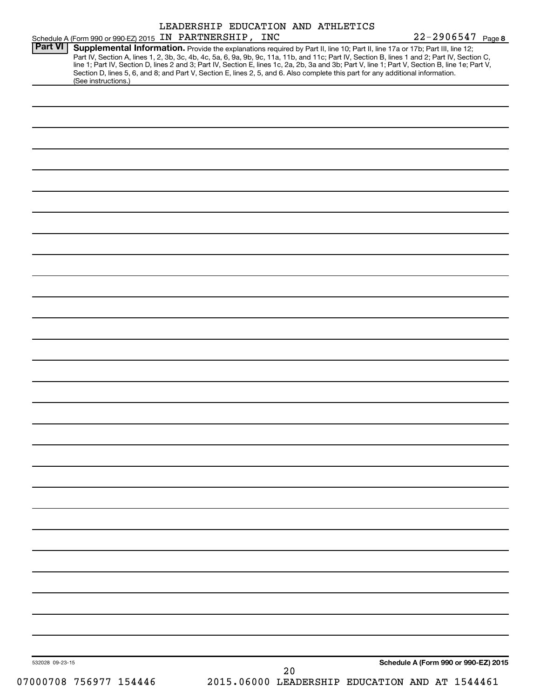| Schedule A (Form 990 or 990-EZ) 2015 IN PARTNERSHIP, INC | LEADERSHIP EDUCATION AND ATHLETICS                                                                                                                                                                                                                                                                                                                                                                                                                                                                                                                                  | $22 - 2906547$ Page 8                |
|----------------------------------------------------------|---------------------------------------------------------------------------------------------------------------------------------------------------------------------------------------------------------------------------------------------------------------------------------------------------------------------------------------------------------------------------------------------------------------------------------------------------------------------------------------------------------------------------------------------------------------------|--------------------------------------|
| <b>Part VI</b><br>(See instructions.)                    | Supplemental Information. Provide the explanations required by Part II, line 10; Part II, line 17a or 17b; Part III, line 12;<br>Part IV, Section A, lines 1, 2, 3b, 3c, 4b, 4c, 5a, 6, 9a, 9b, 9c, 11a, 11b, and 11c; Part IV, Section B, lines 1 and 2; Part IV, Section C,<br>line 1; Part IV, Section D, lines 2 and 3; Part IV, Section E, lines 1c, 2a, 2b, 3a and 3b; Part V, line 1; Part V, Section B, line 1e; Part V,<br>Section D, lines 5, 6, and 8; and Part V, Section E, lines 2, 5, and 6. Also complete this part for any additional information. |                                      |
|                                                          |                                                                                                                                                                                                                                                                                                                                                                                                                                                                                                                                                                     |                                      |
|                                                          |                                                                                                                                                                                                                                                                                                                                                                                                                                                                                                                                                                     |                                      |
|                                                          |                                                                                                                                                                                                                                                                                                                                                                                                                                                                                                                                                                     |                                      |
|                                                          |                                                                                                                                                                                                                                                                                                                                                                                                                                                                                                                                                                     |                                      |
|                                                          |                                                                                                                                                                                                                                                                                                                                                                                                                                                                                                                                                                     |                                      |
|                                                          |                                                                                                                                                                                                                                                                                                                                                                                                                                                                                                                                                                     |                                      |
|                                                          |                                                                                                                                                                                                                                                                                                                                                                                                                                                                                                                                                                     |                                      |
|                                                          |                                                                                                                                                                                                                                                                                                                                                                                                                                                                                                                                                                     |                                      |
|                                                          |                                                                                                                                                                                                                                                                                                                                                                                                                                                                                                                                                                     |                                      |
|                                                          |                                                                                                                                                                                                                                                                                                                                                                                                                                                                                                                                                                     |                                      |
|                                                          |                                                                                                                                                                                                                                                                                                                                                                                                                                                                                                                                                                     |                                      |
|                                                          |                                                                                                                                                                                                                                                                                                                                                                                                                                                                                                                                                                     |                                      |
|                                                          |                                                                                                                                                                                                                                                                                                                                                                                                                                                                                                                                                                     |                                      |
|                                                          |                                                                                                                                                                                                                                                                                                                                                                                                                                                                                                                                                                     |                                      |
|                                                          |                                                                                                                                                                                                                                                                                                                                                                                                                                                                                                                                                                     |                                      |
|                                                          |                                                                                                                                                                                                                                                                                                                                                                                                                                                                                                                                                                     |                                      |
|                                                          |                                                                                                                                                                                                                                                                                                                                                                                                                                                                                                                                                                     |                                      |
|                                                          |                                                                                                                                                                                                                                                                                                                                                                                                                                                                                                                                                                     |                                      |
|                                                          |                                                                                                                                                                                                                                                                                                                                                                                                                                                                                                                                                                     |                                      |
|                                                          |                                                                                                                                                                                                                                                                                                                                                                                                                                                                                                                                                                     |                                      |
|                                                          |                                                                                                                                                                                                                                                                                                                                                                                                                                                                                                                                                                     |                                      |
|                                                          |                                                                                                                                                                                                                                                                                                                                                                                                                                                                                                                                                                     |                                      |
|                                                          |                                                                                                                                                                                                                                                                                                                                                                                                                                                                                                                                                                     |                                      |
|                                                          |                                                                                                                                                                                                                                                                                                                                                                                                                                                                                                                                                                     |                                      |
|                                                          |                                                                                                                                                                                                                                                                                                                                                                                                                                                                                                                                                                     |                                      |
| 532028 09-23-15                                          |                                                                                                                                                                                                                                                                                                                                                                                                                                                                                                                                                                     | Schedule A (Form 990 or 990-EZ) 2015 |
| 07000708 756977 154446                                   | 20<br>2015.06000 LEADERSHIP EDUCATION AND AT 1544461                                                                                                                                                                                                                                                                                                                                                                                                                                                                                                                |                                      |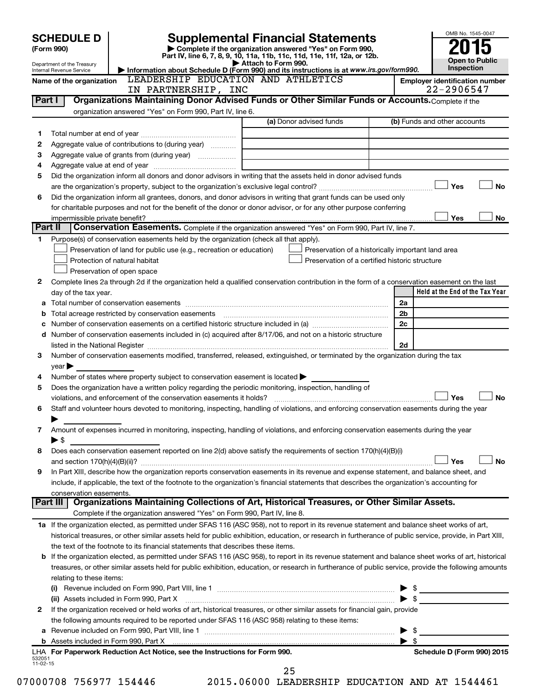|                    | <b>Supplemental Financial Statements</b><br><b>SCHEDULE D</b> |                                                                                                        |                                                                                                                                                                                                                                | OMB No. 1545-0047                     |
|--------------------|---------------------------------------------------------------|--------------------------------------------------------------------------------------------------------|--------------------------------------------------------------------------------------------------------------------------------------------------------------------------------------------------------------------------------|---------------------------------------|
|                    | (Form 990)                                                    |                                                                                                        |                                                                                                                                                                                                                                |                                       |
|                    | Department of the Treasury                                    |                                                                                                        | Part IV, line 6, 7, 8, 9, 10, 11a, 11b, 11c, 11d, 11e, 11f, 12a, or 12b.<br>Attach to Form 990.                                                                                                                                | <b>Open to Public</b><br>Inspection   |
|                    | Internal Revenue Service<br>Name of the organization          | LEADERSHIP EDUCATION AND ATHLETICS                                                                     | Information about Schedule D (Form 990) and its instructions is at www.irs.gov/form990.                                                                                                                                        | <b>Employer identification number</b> |
|                    |                                                               | IN PARTNERSHIP, INC                                                                                    |                                                                                                                                                                                                                                | 22-2906547                            |
| Part I             |                                                               |                                                                                                        | Organizations Maintaining Donor Advised Funds or Other Similar Funds or Accounts. Complete if the                                                                                                                              |                                       |
|                    |                                                               | organization answered "Yes" on Form 990, Part IV, line 6.                                              | (a) Donor advised funds                                                                                                                                                                                                        |                                       |
|                    |                                                               |                                                                                                        |                                                                                                                                                                                                                                | (b) Funds and other accounts          |
| 1<br>2             |                                                               | Aggregate value of contributions to (during year)                                                      |                                                                                                                                                                                                                                |                                       |
| з                  |                                                               |                                                                                                        |                                                                                                                                                                                                                                |                                       |
| 4                  |                                                               |                                                                                                        |                                                                                                                                                                                                                                |                                       |
| 5                  |                                                               |                                                                                                        | Did the organization inform all donors and donor advisors in writing that the assets held in donor advised funds                                                                                                               |                                       |
|                    |                                                               |                                                                                                        |                                                                                                                                                                                                                                | Yes<br><b>No</b>                      |
| 6                  |                                                               |                                                                                                        | Did the organization inform all grantees, donors, and donor advisors in writing that grant funds can be used only                                                                                                              |                                       |
|                    |                                                               |                                                                                                        | for charitable purposes and not for the benefit of the donor or donor advisor, or for any other purpose conferring                                                                                                             |                                       |
|                    | impermissible private benefit?                                |                                                                                                        |                                                                                                                                                                                                                                | Yes<br>No                             |
| Part II            |                                                               |                                                                                                        | Conservation Easements. Complete if the organization answered "Yes" on Form 990, Part IV, line 7.                                                                                                                              |                                       |
| 1                  |                                                               | Purpose(s) of conservation easements held by the organization (check all that apply).                  |                                                                                                                                                                                                                                |                                       |
|                    |                                                               | Preservation of land for public use (e.g., recreation or education)                                    | Preservation of a historically important land area                                                                                                                                                                             |                                       |
|                    |                                                               | Protection of natural habitat                                                                          | Preservation of a certified historic structure                                                                                                                                                                                 |                                       |
| 2                  |                                                               | Preservation of open space                                                                             |                                                                                                                                                                                                                                |                                       |
|                    | day of the tax year.                                          |                                                                                                        | Complete lines 2a through 2d if the organization held a qualified conservation contribution in the form of a conservation easement on the last                                                                                 | Held at the End of the Tax Year       |
|                    |                                                               |                                                                                                        |                                                                                                                                                                                                                                | 2a                                    |
| b                  |                                                               |                                                                                                        |                                                                                                                                                                                                                                | 2 <sub>b</sub>                        |
|                    |                                                               |                                                                                                        |                                                                                                                                                                                                                                | 2c                                    |
| d                  |                                                               |                                                                                                        | Number of conservation easements included in (c) acquired after 8/17/06, and not on a historic structure                                                                                                                       |                                       |
|                    |                                                               |                                                                                                        |                                                                                                                                                                                                                                | 2d                                    |
| 3                  |                                                               |                                                                                                        | Number of conservation easements modified, transferred, released, extinguished, or terminated by the organization during the tax                                                                                               |                                       |
|                    | year                                                          |                                                                                                        |                                                                                                                                                                                                                                |                                       |
| 4                  |                                                               | Number of states where property subject to conservation easement is located                            |                                                                                                                                                                                                                                |                                       |
| 5                  |                                                               | Does the organization have a written policy regarding the periodic monitoring, inspection, handling of |                                                                                                                                                                                                                                |                                       |
|                    |                                                               | violations, and enforcement of the conservation easements it holds?                                    |                                                                                                                                                                                                                                | Yes<br><b>No</b>                      |
| 6                  |                                                               |                                                                                                        | Staff and volunteer hours devoted to monitoring, inspecting, handling of violations, and enforcing conservation easements during the year                                                                                      |                                       |
|                    |                                                               |                                                                                                        |                                                                                                                                                                                                                                |                                       |
| 7                  | $\blacktriangleright$ \$                                      |                                                                                                        | Amount of expenses incurred in monitoring, inspecting, handling of violations, and enforcing conservation easements during the year                                                                                            |                                       |
| 8                  |                                                               |                                                                                                        | Does each conservation easement reported on line $2(d)$ above satisfy the requirements of section 170(h)(4)(B)(i)                                                                                                              |                                       |
|                    |                                                               |                                                                                                        |                                                                                                                                                                                                                                | Yes<br>No                             |
| 9                  |                                                               |                                                                                                        | In Part XIII, describe how the organization reports conservation easements in its revenue and expense statement, and balance sheet, and                                                                                        |                                       |
|                    |                                                               |                                                                                                        | include, if applicable, the text of the footnote to the organization's financial statements that describes the organization's accounting for                                                                                   |                                       |
|                    | conservation easements.                                       |                                                                                                        |                                                                                                                                                                                                                                |                                       |
|                    |                                                               |                                                                                                        | Part III   Organizations Maintaining Collections of Art, Historical Treasures, or Other Similar Assets.                                                                                                                        |                                       |
|                    |                                                               | Complete if the organization answered "Yes" on Form 990, Part IV, line 8.                              |                                                                                                                                                                                                                                |                                       |
|                    |                                                               |                                                                                                        | 1a If the organization elected, as permitted under SFAS 116 (ASC 958), not to report in its revenue statement and balance sheet works of art,                                                                                  |                                       |
|                    |                                                               |                                                                                                        | historical treasures, or other similar assets held for public exhibition, education, or research in furtherance of public service, provide, in Part XIII,                                                                      |                                       |
|                    |                                                               | the text of the footnote to its financial statements that describes these items.                       |                                                                                                                                                                                                                                |                                       |
|                    |                                                               |                                                                                                        | <b>b</b> If the organization elected, as permitted under SFAS 116 (ASC 958), to report in its revenue statement and balance sheet works of art, historical                                                                     |                                       |
|                    |                                                               |                                                                                                        | treasures, or other similar assets held for public exhibition, education, or research in furtherance of public service, provide the following amounts                                                                          |                                       |
|                    | relating to these items:                                      |                                                                                                        |                                                                                                                                                                                                                                |                                       |
|                    |                                                               |                                                                                                        |                                                                                                                                                                                                                                | $\frac{1}{2}$                         |
| 2                  |                                                               | (ii) Assets included in Form 990, Part X                                                               | If the organization received or held works of art, historical treasures, or other similar assets for financial gain, provide                                                                                                   |                                       |
|                    |                                                               | the following amounts required to be reported under SFAS 116 (ASC 958) relating to these items:        |                                                                                                                                                                                                                                |                                       |
| а                  |                                                               |                                                                                                        |                                                                                                                                                                                                                                | - \$                                  |
|                    |                                                               |                                                                                                        | b Assets included in Form 990, Part X [11] matter is a substitute that is a set of the state of the state of the state of the state of the state of the state of the state of the state of the state of the state of the state | $\blacktriangleright$ s               |
|                    |                                                               | LHA For Paperwork Reduction Act Notice, see the Instructions for Form 990.                             |                                                                                                                                                                                                                                | Schedule D (Form 990) 2015            |
| 532051<br>11-02-15 |                                                               |                                                                                                        |                                                                                                                                                                                                                                |                                       |
|                    |                                                               |                                                                                                        | 25                                                                                                                                                                                                                             |                                       |

07000708 756977 154446 2015.06000 LEADERSHIP EDUCATION AND AT 1544461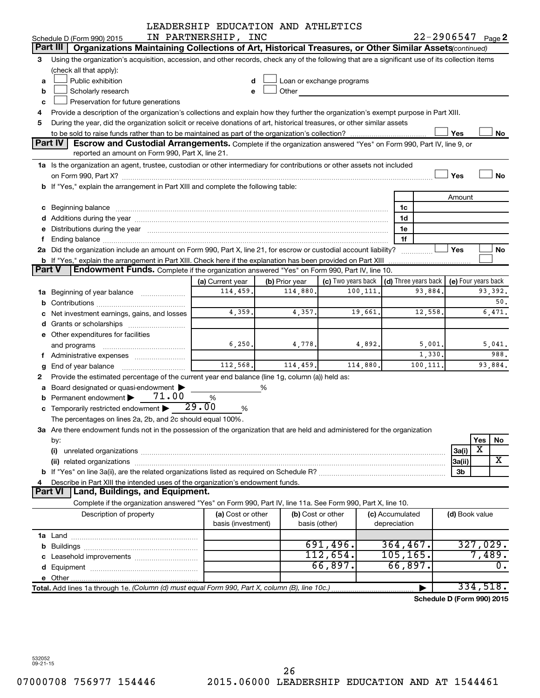|    |                                                                                                                                                                                                                               | LEADERSHIP EDUCATION AND ATHLETICS |                |                           |          |                        |         |                            |                  |
|----|-------------------------------------------------------------------------------------------------------------------------------------------------------------------------------------------------------------------------------|------------------------------------|----------------|---------------------------|----------|------------------------|---------|----------------------------|------------------|
|    | Schedule D (Form 990) 2015                                                                                                                                                                                                    | IN PARTNERSHIP, INC                |                |                           |          |                        |         | $22 - 2906547$ Page 2      |                  |
|    | Part III<br>Organizations Maintaining Collections of Art, Historical Treasures, or Other Similar Assets (continued)                                                                                                           |                                    |                |                           |          |                        |         |                            |                  |
| 3  | Using the organization's acquisition, accession, and other records, check any of the following that are a significant use of its collection items                                                                             |                                    |                |                           |          |                        |         |                            |                  |
|    | (check all that apply):                                                                                                                                                                                                       |                                    |                |                           |          |                        |         |                            |                  |
| a  | Public exhibition                                                                                                                                                                                                             | d                                  |                | Loan or exchange programs |          |                        |         |                            |                  |
| b  | Scholarly research                                                                                                                                                                                                            | е                                  | Other          |                           |          |                        |         |                            |                  |
| c  | Preservation for future generations                                                                                                                                                                                           |                                    |                |                           |          |                        |         |                            |                  |
| 4  | Provide a description of the organization's collections and explain how they further the organization's exempt purpose in Part XIII.                                                                                          |                                    |                |                           |          |                        |         |                            |                  |
| 5  | During the year, did the organization solicit or receive donations of art, historical treasures, or other similar assets                                                                                                      |                                    |                |                           |          |                        |         |                            |                  |
|    |                                                                                                                                                                                                                               |                                    |                |                           |          |                        |         | Yes                        | No               |
|    | <b>Part IV</b><br><b>Escrow and Custodial Arrangements.</b> Complete if the organization answered "Yes" on Form 990, Part IV, line 9, or                                                                                      |                                    |                |                           |          |                        |         |                            |                  |
|    | reported an amount on Form 990, Part X, line 21.                                                                                                                                                                              |                                    |                |                           |          |                        |         |                            |                  |
|    | 1a Is the organization an agent, trustee, custodian or other intermediary for contributions or other assets not included                                                                                                      |                                    |                |                           |          |                        |         |                            |                  |
|    |                                                                                                                                                                                                                               |                                    |                |                           |          |                        |         | Yes                        | No               |
|    | b If "Yes," explain the arrangement in Part XIII and complete the following table:                                                                                                                                            |                                    |                |                           |          |                        |         |                            |                  |
|    |                                                                                                                                                                                                                               |                                    |                |                           |          |                        |         | Amount                     |                  |
|    |                                                                                                                                                                                                                               |                                    |                |                           |          | 1c                     |         |                            |                  |
|    |                                                                                                                                                                                                                               |                                    |                |                           |          | 1d                     |         |                            |                  |
|    | e Distributions during the year manufactured and continuum control of the control of the control of the state of the control of the control of the control of the control of the control of the control of the control of the |                                    |                |                           |          | 1e                     |         |                            |                  |
| f. |                                                                                                                                                                                                                               |                                    |                |                           |          | 1f                     |         |                            |                  |
|    | 2a Did the organization include an amount on Form 990, Part X, line 21, for escrow or custodial account liability?                                                                                                            |                                    |                |                           |          |                        |         | Yes                        | No               |
|    | b If "Yes," explain the arrangement in Part XIII. Check here if the explanation has been provided on Part XIII                                                                                                                |                                    |                |                           |          | . <u>.</u>             |         |                            |                  |
|    | <b>Part V</b><br><b>Endowment Funds.</b> Complete if the organization answered "Yes" on Form 990, Part IV, line 10.                                                                                                           |                                    |                |                           |          |                        |         |                            |                  |
|    |                                                                                                                                                                                                                               | (a) Current year                   | (b) Prior year | (c) Two years back        |          | $(d)$ Three years back |         | (e) Four years back        |                  |
|    | <b>1a</b> Beginning of year balance <i>manumumum</i>                                                                                                                                                                          | 114,459.                           | 114,880.       |                           | 100,111. |                        | 93,884. |                            | 93,392.          |
|    |                                                                                                                                                                                                                               |                                    |                |                           |          |                        |         |                            | 50.              |
|    | c Net investment earnings, gains, and losses                                                                                                                                                                                  | 4,359.                             | 4,357.         |                           | 19,661.  |                        | 12,558. |                            | 6,471.           |
|    |                                                                                                                                                                                                                               |                                    |                |                           |          |                        |         |                            |                  |
|    | e Other expenditures for facilities                                                                                                                                                                                           |                                    |                |                           |          |                        |         |                            |                  |
|    | and programs                                                                                                                                                                                                                  | 6, 250.                            | 4,778.         |                           | 4,892    |                        | 5,001.  |                            | 5,041.           |
|    |                                                                                                                                                                                                                               |                                    |                |                           |          |                        | 1,330.  |                            | 988.             |
|    | <b>g</b> End of year balance $\ldots$                                                                                                                                                                                         | 112,568.                           | 114,459.       |                           | 114,880. | 100,111.               |         |                            | 93,884.          |
| 2. | Provide the estimated percentage of the current year end balance (line 1g, column (a)) held as:                                                                                                                               |                                    |                |                           |          |                        |         |                            |                  |
|    | a Board designated or quasi-endowment >                                                                                                                                                                                       |                                    | %              |                           |          |                        |         |                            |                  |
|    | 71.00<br><b>b</b> Permanent endowment $\blacktriangleright$                                                                                                                                                                   | %                                  |                |                           |          |                        |         |                            |                  |
|    | c Temporarily restricted endowment $\blacktriangleright$ 29.00                                                                                                                                                                | %                                  |                |                           |          |                        |         |                            |                  |
|    | The percentages on lines 2a, 2b, and 2c should equal 100%.                                                                                                                                                                    |                                    |                |                           |          |                        |         |                            |                  |
|    | 3a Are there endowment funds not in the possession of the organization that are held and administered for the organization                                                                                                    |                                    |                |                           |          |                        |         |                            |                  |
|    | by:                                                                                                                                                                                                                           |                                    |                |                           |          |                        |         |                            | Yes<br>No        |
|    | (i)                                                                                                                                                                                                                           |                                    |                |                           |          |                        |         | 3a(i)                      | X                |
|    |                                                                                                                                                                                                                               |                                    |                |                           |          |                        |         | 3a(ii)                     | X                |
|    |                                                                                                                                                                                                                               |                                    |                |                           |          |                        |         | 3b                         |                  |
| 4  | Describe in Part XIII the intended uses of the organization's endowment funds.                                                                                                                                                |                                    |                |                           |          |                        |         |                            |                  |
|    | <b>Land, Buildings, and Equipment.</b><br><b>Part VI</b>                                                                                                                                                                      |                                    |                |                           |          |                        |         |                            |                  |
|    | Complete if the organization answered "Yes" on Form 990, Part IV, line 11a. See Form 990, Part X, line 10.                                                                                                                    |                                    |                |                           |          |                        |         |                            |                  |
|    | Description of property                                                                                                                                                                                                       | (a) Cost or other                  |                | (b) Cost or other         |          | (c) Accumulated        |         | (d) Book value             |                  |
|    |                                                                                                                                                                                                                               | basis (investment)                 |                | basis (other)             |          | depreciation           |         |                            |                  |
|    |                                                                                                                                                                                                                               |                                    |                |                           |          |                        |         |                            |                  |
|    |                                                                                                                                                                                                                               |                                    |                | 691,496.                  |          | 364, 467.              |         |                            | 327,029.         |
|    |                                                                                                                                                                                                                               |                                    |                | 112,654.                  |          | 105, 165.              |         |                            | 7,489.           |
|    |                                                                                                                                                                                                                               |                                    |                | 66,897.                   |          | 66,897.                |         |                            | $\overline{0}$ . |
|    |                                                                                                                                                                                                                               |                                    |                |                           |          |                        |         |                            |                  |
|    | Total. Add lines 1a through 1e. (Column (d) must equal Form 990, Part X, column (B), line 10c.)                                                                                                                               |                                    |                |                           |          |                        |         |                            | 334,518.         |
|    |                                                                                                                                                                                                                               |                                    |                |                           |          |                        |         | Schedule D (Form 990) 2015 |                  |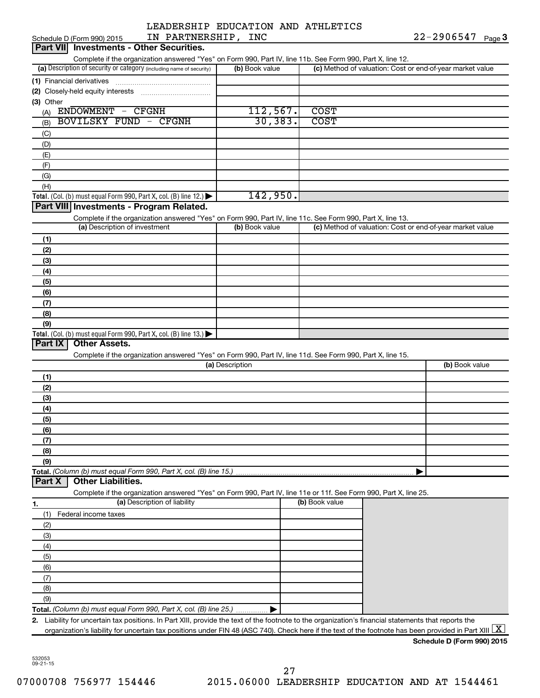| IN PARTNERSHIP, INC<br>Schedule D (Form 990) 2015                                                                                                                                  |                 |                                                           | $22 - 2906547$ Page 3      |
|------------------------------------------------------------------------------------------------------------------------------------------------------------------------------------|-----------------|-----------------------------------------------------------|----------------------------|
| <b>Investments - Other Securities.</b><br><b>Part VIII</b>                                                                                                                         |                 |                                                           |                            |
| Complete if the organization answered "Yes" on Form 990, Part IV, line 11b. See Form 990, Part X, line 12.<br>(a) Description of security or category (including name of security) | (b) Book value  | (c) Method of valuation: Cost or end-of-year market value |                            |
|                                                                                                                                                                                    |                 |                                                           |                            |
| (1) Financial derivatives<br>(2) Closely-held equity interests                                                                                                                     |                 |                                                           |                            |
| (3) Other                                                                                                                                                                          |                 |                                                           |                            |
| ENDOWMENT - CFGNH<br>(A)                                                                                                                                                           | 112,567.        | <b>COST</b>                                               |                            |
| <b>BOVILSKY FUND - CFGNH</b><br>(B)                                                                                                                                                | 30, 383.        | <b>COST</b>                                               |                            |
| (C)                                                                                                                                                                                |                 |                                                           |                            |
| (D)                                                                                                                                                                                |                 |                                                           |                            |
| (E)                                                                                                                                                                                |                 |                                                           |                            |
| (F)                                                                                                                                                                                |                 |                                                           |                            |
| (G)                                                                                                                                                                                |                 |                                                           |                            |
| (H)                                                                                                                                                                                |                 |                                                           |                            |
| Total. (Col. (b) must equal Form 990, Part X, col. (B) line 12.) $\blacktriangleright$                                                                                             | 142,950.        |                                                           |                            |
| Part VIII Investments - Program Related.                                                                                                                                           |                 |                                                           |                            |
| Complete if the organization answered "Yes" on Form 990, Part IV, line 11c. See Form 990, Part X, line 13.                                                                         |                 |                                                           |                            |
| (a) Description of investment                                                                                                                                                      | (b) Book value  | (c) Method of valuation: Cost or end-of-year market value |                            |
| (1)                                                                                                                                                                                |                 |                                                           |                            |
| (2)                                                                                                                                                                                |                 |                                                           |                            |
| (3)                                                                                                                                                                                |                 |                                                           |                            |
| (4)                                                                                                                                                                                |                 |                                                           |                            |
| (5)                                                                                                                                                                                |                 |                                                           |                            |
| (6)                                                                                                                                                                                |                 |                                                           |                            |
| (7)                                                                                                                                                                                |                 |                                                           |                            |
| (8)                                                                                                                                                                                |                 |                                                           |                            |
| (9)                                                                                                                                                                                |                 |                                                           |                            |
| Total. (Col. (b) must equal Form 990, Part X, col. (B) line 13.) $\blacktriangleright$                                                                                             |                 |                                                           |                            |
| <b>Other Assets.</b><br>Part IX                                                                                                                                                    |                 |                                                           |                            |
| Complete if the organization answered "Yes" on Form 990, Part IV, line 11d. See Form 990, Part X, line 15.                                                                         |                 |                                                           |                            |
|                                                                                                                                                                                    | (a) Description |                                                           | (b) Book value             |
| (1)                                                                                                                                                                                |                 |                                                           |                            |
| (2)                                                                                                                                                                                |                 |                                                           |                            |
| (3)                                                                                                                                                                                |                 |                                                           |                            |
| (4)                                                                                                                                                                                |                 |                                                           |                            |
| (5)                                                                                                                                                                                |                 |                                                           |                            |
| (6)<br>(7)                                                                                                                                                                         |                 |                                                           |                            |
| (8)                                                                                                                                                                                |                 |                                                           |                            |
| (9)                                                                                                                                                                                |                 |                                                           |                            |
|                                                                                                                                                                                    |                 | Þ                                                         |                            |
| <b>Other Liabilities.</b><br>Part X                                                                                                                                                |                 |                                                           |                            |
| Complete if the organization answered "Yes" on Form 990, Part IV, line 11e or 11f. See Form 990, Part X, line 25.                                                                  |                 |                                                           |                            |
| (a) Description of liability<br>1.                                                                                                                                                 |                 | (b) Book value                                            |                            |
| (1)<br>Federal income taxes                                                                                                                                                        |                 |                                                           |                            |
| (2)                                                                                                                                                                                |                 |                                                           |                            |
| (3)                                                                                                                                                                                |                 |                                                           |                            |
| (4)                                                                                                                                                                                |                 |                                                           |                            |
| (5)                                                                                                                                                                                |                 |                                                           |                            |
| (6)                                                                                                                                                                                |                 |                                                           |                            |
| (7)                                                                                                                                                                                |                 |                                                           |                            |
| (8)                                                                                                                                                                                |                 |                                                           |                            |
| (9)                                                                                                                                                                                |                 |                                                           |                            |
| Total. (Column (b) must equal Form 990, Part X, col. (B) line 25.)                                                                                                                 |                 |                                                           |                            |
| Liability for uncertain tax positions. In Part XIII, provide the text of the footnote to the organization's financial statements that reports the<br>2.                            |                 |                                                           |                            |
| organization's liability for uncertain tax positions under FIN 48 (ASC 740). Check here if the text of the footnote has been provided in Part XIII                                 |                 |                                                           | X                          |
|                                                                                                                                                                                    |                 |                                                           | Schedule D (Form 990) 2015 |

532053 09-21-15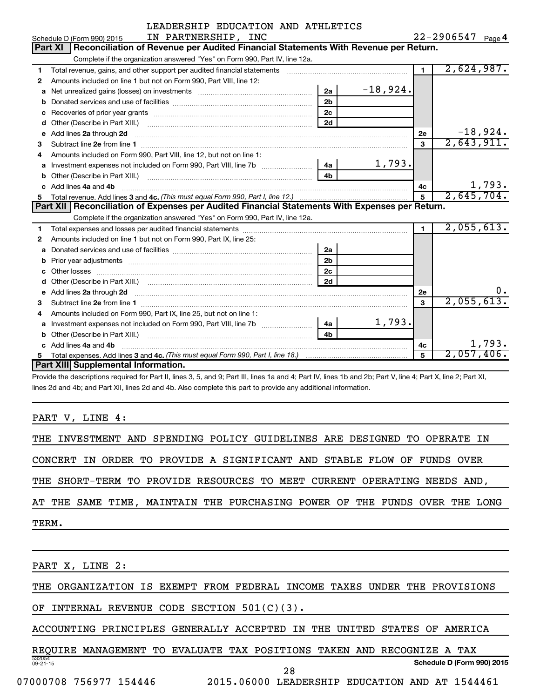|              | IN PARTNERSHIP, INC<br>Schedule D (Form 990) 2015                                                                                                                                                                                   |                |            |                | $22 - 2906547$ Page 4 |
|--------------|-------------------------------------------------------------------------------------------------------------------------------------------------------------------------------------------------------------------------------------|----------------|------------|----------------|-----------------------|
|              | Part XI   Reconciliation of Revenue per Audited Financial Statements With Revenue per Return.                                                                                                                                       |                |            |                |                       |
|              | Complete if the organization answered "Yes" on Form 990, Part IV, line 12a.                                                                                                                                                         |                |            |                |                       |
| 1            | Total revenue, gains, and other support per audited financial statements [111] [11] Total revenue, gains, and other support per audited financial statements                                                                        |                |            | $\mathbf 1$    | 2,624,987.            |
| 2            | Amounts included on line 1 but not on Form 990, Part VIII, line 12:                                                                                                                                                                 |                |            |                |                       |
| a            |                                                                                                                                                                                                                                     | 2a             | $-18,924.$ |                |                       |
| b            |                                                                                                                                                                                                                                     | 2 <sub>b</sub> |            |                |                       |
| C            |                                                                                                                                                                                                                                     | 2 <sub>c</sub> |            |                |                       |
| d            |                                                                                                                                                                                                                                     | 2d             |            |                |                       |
| e            | Add lines 2a through 2d                                                                                                                                                                                                             |                |            | 2e             | $-18,924.$            |
| 3            |                                                                                                                                                                                                                                     |                |            | 3              | 2,643,911.            |
|              | Amounts included on Form 990, Part VIII, line 12, but not on line 1:                                                                                                                                                                |                |            |                |                       |
| a            |                                                                                                                                                                                                                                     | 4a             | 1,793.     |                |                       |
| b            |                                                                                                                                                                                                                                     |                |            |                |                       |
| C.           | Add lines 4a and 4b                                                                                                                                                                                                                 |                |            | 4c             | 1,793.                |
| 5            |                                                                                                                                                                                                                                     |                |            | 5              | 2,645,704.            |
|              |                                                                                                                                                                                                                                     |                |            |                |                       |
|              | Part XII Reconciliation of Expenses per Audited Financial Statements With Expenses per Return.                                                                                                                                      |                |            |                |                       |
|              | Complete if the organization answered "Yes" on Form 990, Part IV, line 12a.                                                                                                                                                         |                |            |                |                       |
| 1.           |                                                                                                                                                                                                                                     |                |            | $\blacksquare$ | 2,055,613.            |
| 2            | Amounts included on line 1 but not on Form 990, Part IX, line 25:                                                                                                                                                                   |                |            |                |                       |
| a            |                                                                                                                                                                                                                                     | 2a             |            |                |                       |
| b            |                                                                                                                                                                                                                                     | 2 <sub>b</sub> |            |                |                       |
| C            |                                                                                                                                                                                                                                     | 2 <sub>c</sub> |            |                |                       |
|              |                                                                                                                                                                                                                                     | 2d             |            |                |                       |
| $\mathbf{e}$ | Add lines 2a through 2d <b>[10]</b> University of the state of the state of the state of the state of the state of the state of the state of the state of the state of the state of the state of the state of the state of the stat |                |            | 2е             | О.                    |
| 3            |                                                                                                                                                                                                                                     |                |            | 3              | 2,055,613.            |
| 4            | Amounts included on Form 990, Part IX, line 25, but not on line 1:                                                                                                                                                                  |                |            |                |                       |
| a            | Investment expenses not included on Form 990, Part VIII, line 7b [[[[[[[[[[[[[[[[[[[[[[]]]]]]]]                                                                                                                                     | -4a l          | 1,793.     |                |                       |
| b            |                                                                                                                                                                                                                                     | 4 <sub>h</sub> |            |                |                       |
|              | Add lines 4a and 4b                                                                                                                                                                                                                 |                |            | 4c             | 1,793.                |
| 5            | <b>Part XIII Supplemental Information.</b>                                                                                                                                                                                          |                |            | 5              | 2,057,406.            |

Provide the descriptions required for Part II, lines 3, 5, and 9; Part III, lines 1a and 4; Part IV, lines 1b and 2b; Part V, line 4; Part X, line 2; Part XI, lines 2d and 4b; and Part XII, lines 2d and 4b. Also complete this part to provide any additional information.

PART V, LINE 4:

THE INVESTMENT AND SPENDING POLICY GUIDELINES ARE DESIGNED TO OPERATE IN

CONCERT IN ORDER TO PROVIDE A SIGNIFICANT AND STABLE FLOW OF FUNDS OVER

THE SHORT-TERM TO PROVIDE RESOURCES TO MEET CURRENT OPERATING NEEDS AND,

AT THE SAME TIME, MAINTAIN THE PURCHASING POWER OF THE FUNDS OVER THE LONG

TERM.

PART X, LINE 2:

THE ORGANIZATION IS EXEMPT FROM FEDERAL INCOME TAXES UNDER THE PROVISIONS

OF INTERNAL REVENUE CODE SECTION 501(C)(3).

ACCOUNTING PRINCIPLES GENERALLY ACCEPTED IN THE UNITED STATES OF AMERICA

532054 09-21-15 **Schedule D (Form 990) 2015** REQUIRE MANAGEMENT TO EVALUATE TAX POSITIONS TAKEN AND RECOGNIZE A TAX

07000708 756977 154446 2015.06000 LEADERSHIP EDUCATION AND AT 1544461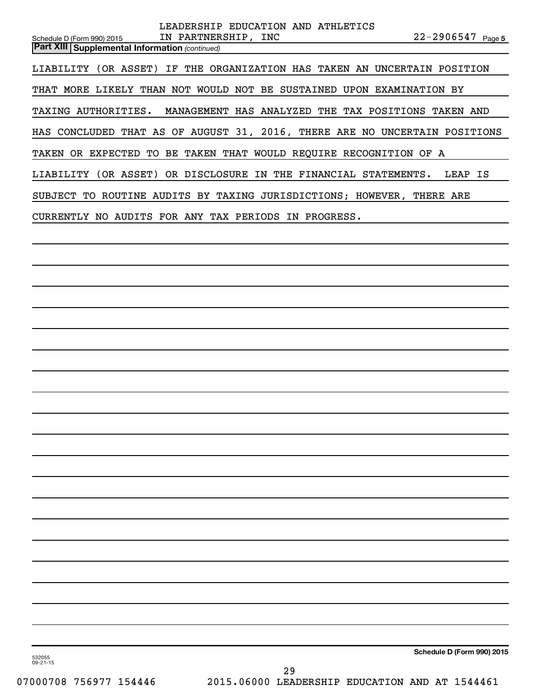| LEADERSHIP EDUCATION AND ATHLETICS                                                                                                    |
|---------------------------------------------------------------------------------------------------------------------------------------|
| IN PARTNERSHIP, INC<br>$22 - 2906547$ Page 5<br>Schedule D (Form 990) 2015<br><b>Part XIII   Supplemental Information (continued)</b> |
| LIABILITY (OR ASSET) IF THE ORGANIZATION HAS TAKEN AN UNCERTAIN POSITION                                                              |
| THAT MORE LIKELY THAN NOT WOULD NOT BE SUSTAINED UPON EXAMINATION BY                                                                  |
| MANAGEMENT HAS ANALYZED THE TAX POSITIONS TAKEN AND<br>TAXING AUTHORITIES.                                                            |
| HAS CONCLUDED THAT AS OF AUGUST 31, 2016, THERE ARE NO UNCERTAIN POSITIONS                                                            |
| TAKEN OR EXPECTED TO BE TAKEN THAT WOULD REQUIRE RECOGNITION OF A                                                                     |
| LIABILITY (OR ASSET) OR DISCLOSURE IN THE FINANCIAL STATEMENTS.<br>LEAP IS                                                            |
| SUBJECT TO ROUTINE AUDITS BY TAXING JURISDICTIONS; HOWEVER, THERE ARE                                                                 |
| CURRENTLY NO AUDITS FOR ANY TAX PERIODS IN PROGRESS.                                                                                  |
|                                                                                                                                       |
|                                                                                                                                       |
|                                                                                                                                       |
|                                                                                                                                       |
|                                                                                                                                       |
|                                                                                                                                       |
|                                                                                                                                       |
|                                                                                                                                       |
|                                                                                                                                       |
|                                                                                                                                       |
|                                                                                                                                       |
|                                                                                                                                       |
|                                                                                                                                       |
|                                                                                                                                       |
|                                                                                                                                       |
|                                                                                                                                       |
|                                                                                                                                       |
|                                                                                                                                       |
|                                                                                                                                       |
| Schedule D (Form 990) 2015                                                                                                            |
| 532055<br>$09 - 21 - 15$<br>っ                                                                                                         |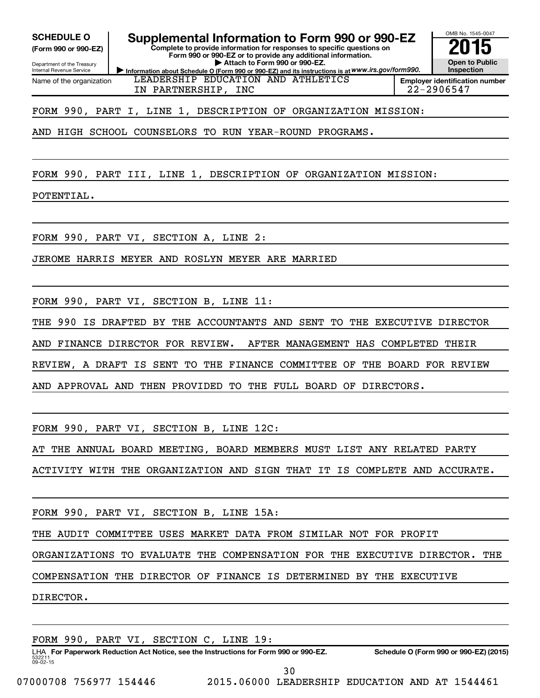**(Form 990 or 990-EZ)**

Department of the Treasury Internal Revenue Service Name of the organization

**Complete to provide information for responses to specific questions on** SCHEDULE O **Supplemental Information to Form 990 or 990-EZ** 2015<br>(Form 990 or 990-EZ)

**Information about Schedule O (Form 990 or 990-EZ) and its instructions is at WWW.irs.gov/form990. Form 990 or 990-EZ or to provide any additional information. | Attach to Form 990 or 990-EZ.**

**Open to Public Inspection Employer identification number**

OMB No. 1545-0047

LEADERSHIP EDUCATION AND ATHLETICS IN PARTNERSHIP, INC 22-2906547

# FORM 990, PART I, LINE 1, DESCRIPTION OF ORGANIZATION MISSION:

AND HIGH SCHOOL COUNSELORS TO RUN YEAR-ROUND PROGRAMS.

FORM 990, PART III, LINE 1, DESCRIPTION OF ORGANIZATION MISSION:

POTENTIAL.

FORM 990, PART VI, SECTION A, LINE 2:

JEROME HARRIS MEYER AND ROSLYN MEYER ARE MARRIED

FORM 990, PART VI, SECTION B, LINE 11:

THE 990 IS DRAFTED BY THE ACCOUNTANTS AND SENT TO THE EXECUTIVE DIRECTOR

AND FINANCE DIRECTOR FOR REVIEW. AFTER MANAGEMENT HAS COMPLETED THEIR

REVIEW, A DRAFT IS SENT TO THE FINANCE COMMITTEE OF THE BOARD FOR REVIEW

AND APPROVAL AND THEN PROVIDED TO THE FULL BOARD OF DIRECTORS.

FORM 990, PART VI, SECTION B, LINE 12C:

AT THE ANNUAL BOARD MEETING, BOARD MEMBERS MUST LIST ANY RELATED PARTY

ACTIVITY WITH THE ORGANIZATION AND SIGN THAT IT IS COMPLETE AND ACCURATE.

FORM 990, PART VI, SECTION B, LINE 15A:

THE AUDIT COMMITTEE USES MARKET DATA FROM SIMILAR NOT FOR PROFIT

ORGANIZATIONS TO EVALUATE THE COMPENSATION FOR THE EXECUTIVE DIRECTOR. THE

COMPENSATION THE DIRECTOR OF FINANCE IS DETERMINED BY THE EXECUTIVE

DIRECTOR.

FORM 990, PART VI, SECTION C, LINE 19:

532211  $09 - 02 - 15$ LHA For Paperwork Reduction Act Notice, see the Instructions for Form 990 or 990-EZ. Schedule O (Form 990 or 990-EZ) (2015) 30